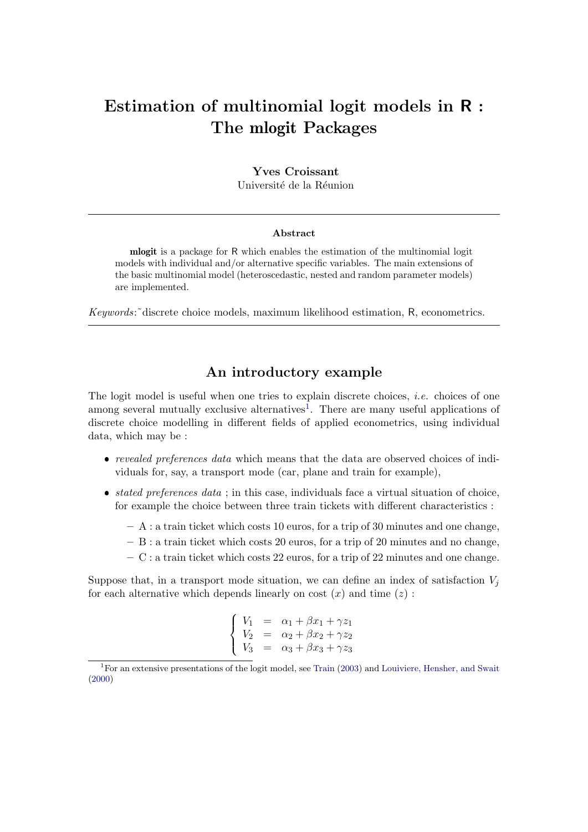# Estimation of multinomial logit models in R : The mlogit Packages

# Yves Croissant

Université de la Réunion

## Abstract

mlogit is a package for R which enables the estimation of the multinomial logit models with individual and/or alternative specific variables. The main extensions of the basic multinomial model (heteroscedastic, nested and random parameter models) are implemented.

Keywords:˜discrete choice models, maximum likelihood estimation, R, econometrics.

# An introductory example

The logit model is useful when one tries to explain discrete choices, *i.e.* choices of one among several mutually exclusive alternatives<sup>[1](#page-0-0)</sup>. There are many useful applications of discrete choice modelling in different fields of applied econometrics, using individual data, which may be :

- revealed preferences data which means that the data are observed choices of individuals for, say, a transport mode (car, plane and train for example),
- $\bullet$  *stated preferences data*; in this case, individuals face a virtual situation of choice, for example the choice between three train tickets with different characteristics :
	- $A$ : a train ticket which costs 10 euros, for a trip of 30 minutes and one change,
	- B : a train ticket which costs 20 euros, for a trip of 20 minutes and no change,
	- $-$  C : a train ticket which costs 22 euros, for a trip of 22 minutes and one change.

Suppose that, in a transport mode situation, we can define an index of satisfaction  $V_i$ for each alternative which depends linearly on cost  $(x)$  and time  $(z)$ :

$$
\begin{cases}\nV_1 = \alpha_1 + \beta x_1 + \gamma z_1 \\
V_2 = \alpha_2 + \beta x_2 + \gamma z_2 \\
V_3 = \alpha_3 + \beta x_3 + \gamma z_3\n\end{cases}
$$

<span id="page-0-0"></span><sup>1</sup>For an extensive presentations of the logit model, see [Train](#page-69-0) [\(2003\)](#page-69-0) and [Louiviere, Hensher, and Swait](#page-68-0) [\(2000\)](#page-68-0)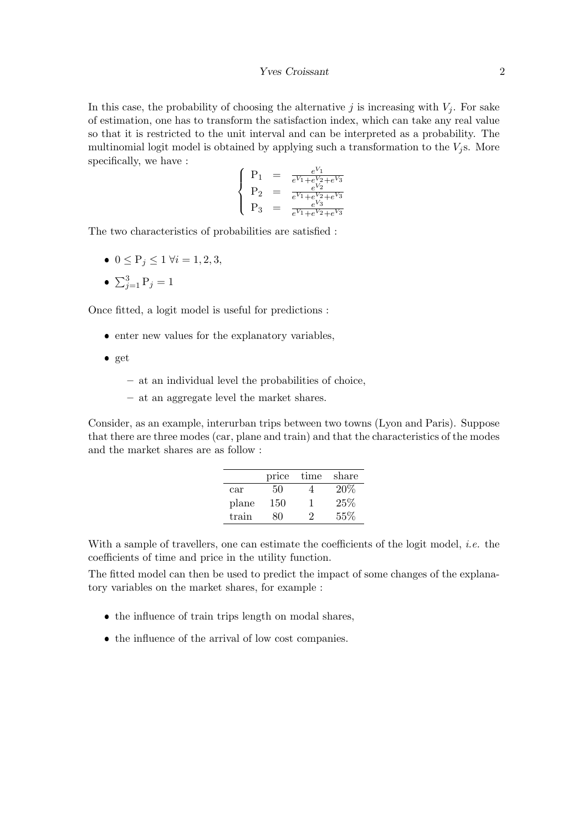In this case, the probability of choosing the alternative j is increasing with  $V_i$ . For sake of estimation, one has to transform the satisfaction index, which can take any real value so that it is restricted to the unit interval and can be interpreted as a probability. The multinomial logit model is obtained by applying such a transformation to the  $V_i$ s. More specifically, we have :

$$
\left\{\n\begin{array}{rcl}\nP_1 & = & \frac{e^{V_1}}{e^{V_1} + e^{V_2} + e^{V_3}} \\
P_2 & = & \frac{e^{V_2}}{e^{V_1} + e^{V_2} + e^{V_3}} \\
P_3 & = & \frac{e^{V_3}}{e^{V_1} + e^{V_2} + e^{V_3}}\n\end{array}\n\right.
$$

The two characteristics of probabilities are satisfied :

- $0 \le P_j \le 1 \ \forall i = 1, 2, 3,$
- $\sum_{j=1}^{3} P_j = 1$

Once fitted, a logit model is useful for predictions :

- enter new values for the explanatory variables,
- $\bullet$  get
	- at an individual level the probabilities of choice,
	- at an aggregate level the market shares.

Consider, as an example, interurban trips between two towns (Lyon and Paris). Suppose that there are three modes (car, plane and train) and that the characteristics of the modes and the market shares are as follow :

|       | price | time | share  |
|-------|-------|------|--------|
| car   | 50    |      | $20\%$ |
| plane | 150   |      | 25%    |
| train | x۱    |      | 55%    |

With a sample of travellers, one can estimate the coefficients of the logit model, *i.e.* the coefficients of time and price in the utility function.

The fitted model can then be used to predict the impact of some changes of the explanatory variables on the market shares, for example :

- the influence of train trips length on modal shares,
- the influence of the arrival of low cost companies.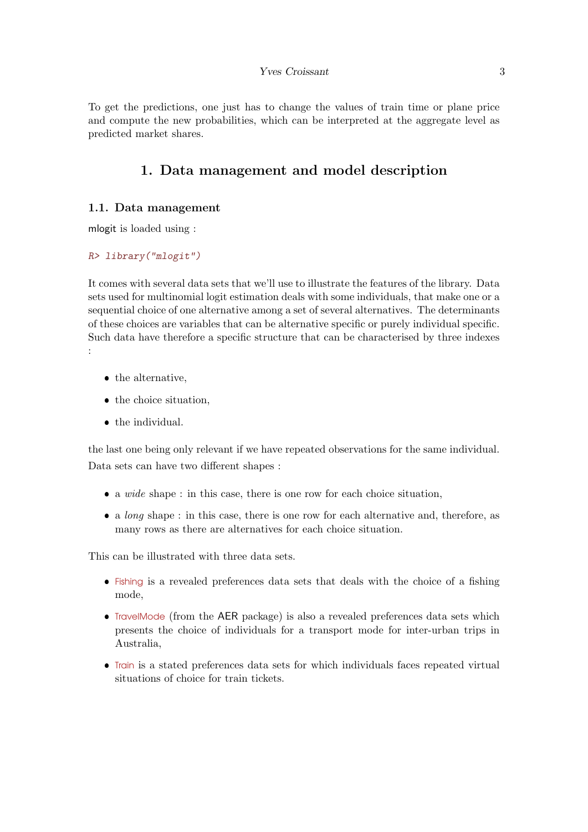#### Yves Croissant 3

To get the predictions, one just has to change the values of train time or plane price and compute the new probabilities, which can be interpreted at the aggregate level as predicted market shares.

# 1. Data management and model description

# 1.1. Data management

mlogit is loaded using :

#### R> library("mlogit")

It comes with several data sets that we'll use to illustrate the features of the library. Data sets used for multinomial logit estimation deals with some individuals, that make one or a sequential choice of one alternative among a set of several alternatives. The determinants of these choices are variables that can be alternative specific or purely individual specific. Such data have therefore a specific structure that can be characterised by three indexes :

- $\bullet$  the alternative,
- the choice situation,
- $\bullet$  the individual.

the last one being only relevant if we have repeated observations for the same individual. Data sets can have two different shapes :

- a wide shape : in this case, there is one row for each choice situation,
- a *long* shape : in this case, there is one row for each alternative and, therefore, as many rows as there are alternatives for each choice situation.

This can be illustrated with three data sets.

- Fishing is a revealed preferences data sets that deals with the choice of a fishing mode,
- TravelMode (from the AER package) is also a revealed preferences data sets which presents the choice of individuals for a transport mode for inter-urban trips in Australia,
- Train is a stated preferences data sets for which individuals faces repeated virtual situations of choice for train tickets.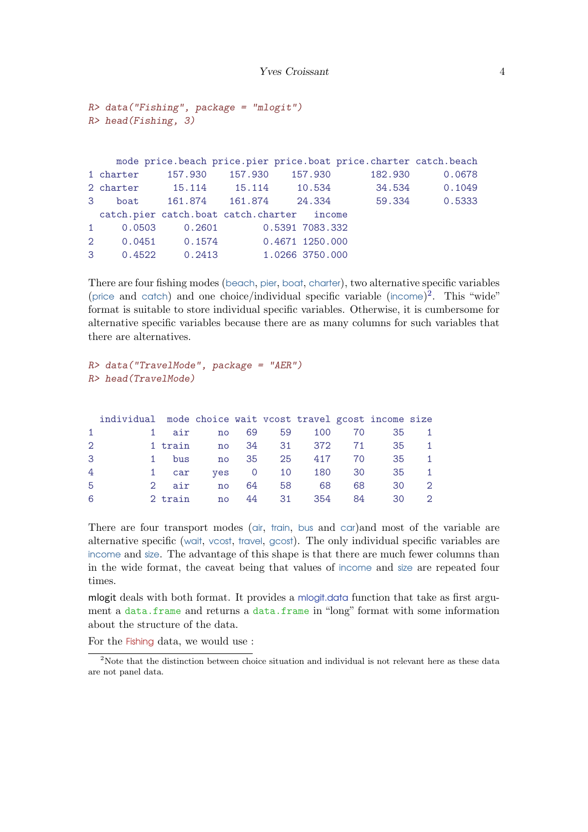```
R> data("Fishing", package = "mlogit")
R> head(Fishing, 3)
```

|   |                           |        |                                            | mode price.beach price.pier price.boat price.charter catch.beach |        |
|---|---------------------------|--------|--------------------------------------------|------------------------------------------------------------------|--------|
|   | 1 charter 157.930 157.930 |        | 157.930                                    | 182.930                                                          | 0.0678 |
|   |                           |        |                                            | 2 charter 15.114 15.114 10.534 34.534 0.1049                     |        |
|   |                           |        | 3 boat 161.874 161.874 24.334              | 59.334                                                           | 0.5333 |
|   |                           |        | catch.pier catch.boat catch.charter income |                                                                  |        |
| 1 | 0.0503                    | 0.2601 | 0.5391 7083.332                            |                                                                  |        |
|   |                           |        | 2 0.0451 0.1574 0.4671 1250.000            |                                                                  |        |
|   | 3 0.4522 0.2413           |        | 1.0266 3750.000                            |                                                                  |        |

There are four fishing modes (beach, pier, boat, charter), two alternative specific variables (price and catch) and one choice/individual specific variable (income) [2](#page-3-0) . This "wide" format is suitable to store individual specific variables. Otherwise, it is cumbersome for alternative specific variables because there are as many columns for such variables that there are alternatives.

```
R> data("TravelMode", package = "AER")
R> head(TravelMode)
```

|              | individual mode choice wait vcost travel gcost income size |         |       |      |                           |        |    |                |
|--------------|------------------------------------------------------------|---------|-------|------|---------------------------|--------|----|----------------|
| $\mathbf{1}$ |                                                            | 1 air   | no no | 69 — | 59                        | 100 70 | 35 | $\mathbf{1}$   |
| 2            |                                                            |         |       |      | 1 train 1 no 34 31 372 71 |        | 35 | $\overline{1}$ |
| 3            | $1 \quad$                                                  | bus     |       |      | no 35 25 417 70           |        | 35 | $\overline{1}$ |
| 4            |                                                            | 1 car   |       |      | yes 0 10 180 30           |        | 35 | $\overline{1}$ |
| -5           |                                                            | 2 air   | no    | 64 — | 68<br>58 — 1              | 68     | 30 | $\overline{2}$ |
| 6            |                                                            | 2 train | no    |      | 44 31 354                 | -84    | 30 | - 2            |

There are four transport modes (air, train, bus and car)and most of the variable are alternative specific (wait, vcost, travel, gcost). The only individual specific variables are income and size. The advantage of this shape is that there are much fewer columns than in the wide format, the caveat being that values of income and size are repeated four times.

mlogit deals with both format. It provides a mlogit.data function that take as first argument a data.frame and returns a data.frame in "long" format with some information about the structure of the data.

For the Fishing data, we would use :

<span id="page-3-0"></span><sup>&</sup>lt;sup>2</sup>Note that the distinction between choice situation and individual is not relevant here as these data are not panel data.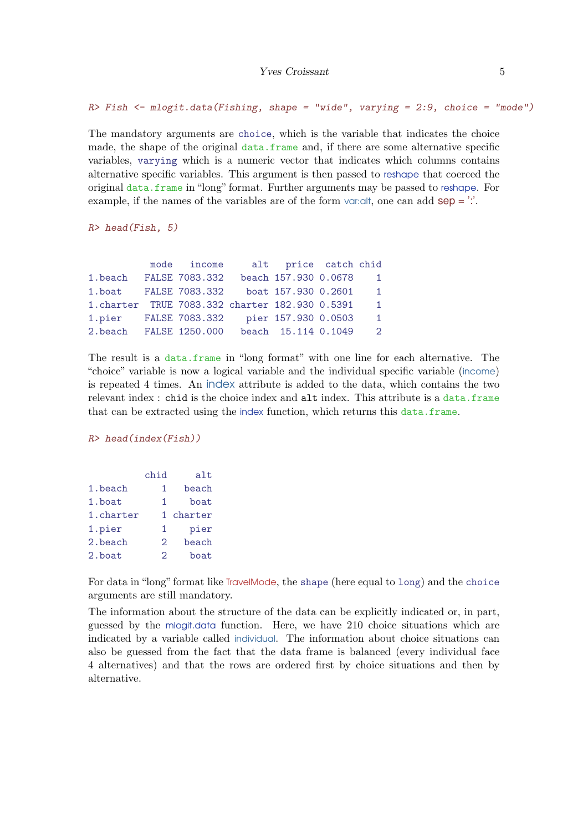$R$ > Fish  $\leq$  mlogit.data(Fishing, shape = "wide", varying = 2:9, choice = "mode")

The mandatory arguments are choice, which is the variable that indicates the choice made, the shape of the original data.frame and, if there are some alternative specific variables, varying which is a numeric vector that indicates which columns contains alternative specific variables. This argument is then passed to reshape that coerced the original data.frame in "long" format. Further arguments may be passed to reshape. For example, if the names of the variables are of the form varialt, one can add  $sep =$ ".

R> head(Fish, 5)

|                                                 | mode income | alt price catch chid |                |
|-------------------------------------------------|-------------|----------------------|----------------|
| 1.beach FALSE 7083.332                          |             | beach 157.930 0.0678 | $\overline{1}$ |
| 1.boat FALSE 7083.332 boat 157.930 0.2601       |             |                      | $\mathbf{1}$   |
| 1. charter TRUE 7083.332 charter 182.930 0.5391 |             |                      | $\overline{1}$ |
| 1.pier FALSE 7083.332 pier 157.930 0.0503       |             |                      | $\mathbf{1}$   |
| 2.beach FALSE 1250.000                          |             | beach 15.114 0.1049  | $\mathcal{D}$  |

The result is a data.frame in "long format" with one line for each alternative. The "choice" variable is now a logical variable and the individual specific variable (income) is repeated 4 times. An index attribute is added to the data, which contains the two relevant index : chid is the choice index and alt index. This attribute is a data.frame that can be extracted using the index function, which returns this data.frame.

R> head(index(Fish))

|           | chid          | alt     |
|-----------|---------------|---------|
| 1.beach   | 1             | beach   |
| 1.boat    | 1             | boat    |
| 1.charter | 1.            | charter |
| 1.pier    | 1             | pier    |
| 2.beach   | 2             | beach   |
| 2.boat    | $\mathcal{D}$ | boat    |

For data in "long" format like TravelMode, the shape (here equal to long) and the choice arguments are still mandatory.

The information about the structure of the data can be explicitly indicated or, in part, guessed by the mlogit.data function. Here, we have 210 choice situations which are indicated by a variable called individual. The information about choice situations can also be guessed from the fact that the data frame is balanced (every individual face 4 alternatives) and that the rows are ordered first by choice situations and then by alternative.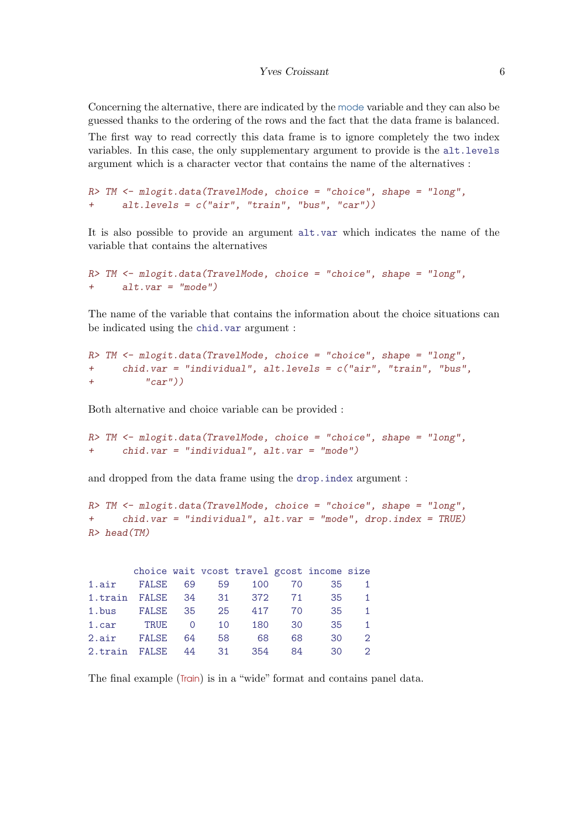Concerning the alternative, there are indicated by the mode variable and they can also be guessed thanks to the ordering of the rows and the fact that the data frame is balanced.

The first way to read correctly this data frame is to ignore completely the two index variables. In this case, the only supplementary argument to provide is the alt.levels argument which is a character vector that contains the name of the alternatives :

```
R> TM <- mlogit.data(TravelMode, choice = "choice", shape = "long",
+ alt.levels = c("air", "train", "bus", "car"))
```
It is also possible to provide an argument alt.var which indicates the name of the variable that contains the alternatives

```
R> TM \leq mlogit.data(TravelMode, choice = "choice", shape = "long",
+ alt.var = "mode")
```
The name of the variable that contains the information about the choice situations can be indicated using the chid.var argument :

```
R> TM <- mlogit.data(TravelMode, choice = "choice", shape = "long",
+ chid.var = "individual", alt.levels = c("air", "train", "bus",
+ "car"))
```
Both alternative and choice variable can be provided :

R> TM <- mlogit.data(TravelMode, choice = "choice", shape = "long", + chid.var = "individual", alt.var = "mode")

and dropped from the data frame using the drop.index argument :

```
R> TM <- mlogit.data(TravelMode, choice = "choice", shape = "long",
+ chid.var = "individual", alt.var = "mode", drop.index = TRUE)
R> head(TM)
```

|                         |          |                |    |       |     | choice wait vcost travel gcost income size |                |
|-------------------------|----------|----------------|----|-------|-----|--------------------------------------------|----------------|
| 1.air FALSE 69          |          |                | 59 | 100   | 70  | 35                                         |                |
| 1.train FALSE 34 31 372 |          |                |    |       | 71  | 35                                         | $\overline{1}$ |
| 1.bus                   | FALSE 35 |                | 25 | 417   | 70  | 35                                         | $\mathbf{1}$   |
| 1.car                   | TRUE     | $\overline{0}$ | 10 | 180   | 30  | 35.                                        | $\mathbf{1}$   |
| 2.air FALSE             |          | 64             | 58 | -68   | 68  | 30                                         | $\mathcal{D}$  |
| 2.train FALSE 44        |          |                | 31 | - 354 | 84. | 30                                         | $\mathcal{D}$  |

The final example (Train) is in a "wide" format and contains panel data.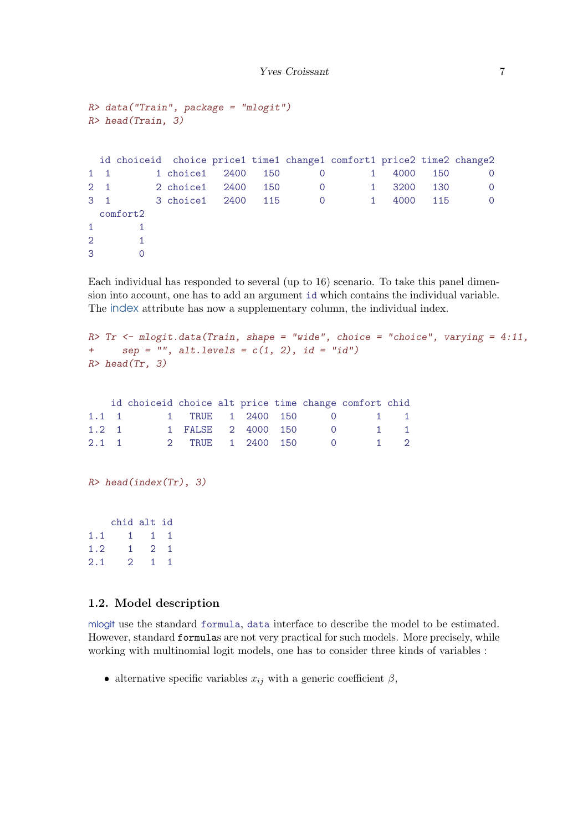```
R> data("Train", package = "mlogit")
R> head(Train, 3)
 id choiceid choice price1 time1 change1 comfort1 price2 time2 change2
1 1 1 choice1 2400 150 0 1 4000 150 0
2 1 2 choice1 2400 150 0 1 3200 130 0
3 1 3 choice1 2400 115 0 1 4000 115 0
 comfort2
1 1
2 1
3 0
```
Each individual has responded to several (up to 16) scenario. To take this panel dimension into account, one has to add an argument id which contains the individual variable. The index attribute has now a supplementary column, the individual index.

```
R> Tr <- mlogit.data(Train, shape = "wide", choice = "choice", varying = 4:11,
+ sep = ", alt.levels = c(1, 2), id = "id")R > head(Tr, 3)
```

|               | id choiceid choice alt price time change comfort chid |                    |  |  |          |             |
|---------------|-------------------------------------------------------|--------------------|--|--|----------|-------------|
|               | 1.1 1 1 TRUE 1 2400 150 0 1 1                         |                    |  |  |          |             |
| $1.2 \quad 1$ |                                                       | 1 FALSE 2 4000 150 |  |  | $\Omega$ | $1 \quad 1$ |
| $2.1 \quad 1$ |                                                       | 2 TRUE 1 2400 150  |  |  | $\Omega$ | $1 \quad 2$ |

```
R> head(index(Tr), 3)
```
chid alt id 1.1 1 1 1 1.2 1 2 1 2.1 2 1 1

# 1.2. Model description

mlogit use the standard formula, data interface to describe the model to be estimated. However, standard formulas are not very practical for such models. More precisely, while working with multinomial logit models, one has to consider three kinds of variables :

• alternative specific variables  $x_{ij}$  with a generic coefficient  $\beta$ ,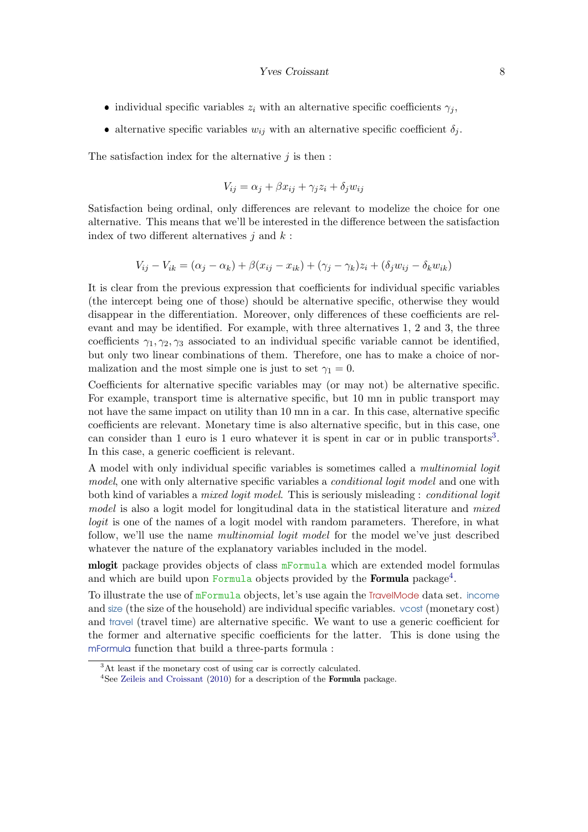- individual specific variables  $z_i$  with an alternative specific coefficients  $\gamma_j$ ,
- alternative specific variables  $w_{ij}$  with an alternative specific coefficient  $\delta_j$ .

The satisfaction index for the alternative  $j$  is then :

$$
V_{ij} = \alpha_j + \beta x_{ij} + \gamma_j z_i + \delta_j w_{ij}
$$

Satisfaction being ordinal, only differences are relevant to modelize the choice for one alternative. This means that we'll be interested in the difference between the satisfaction index of two different alternatives  $j$  and  $k$ :

$$
V_{ij} - V_{ik} = (\alpha_j - \alpha_k) + \beta(x_{ij} - x_{ik}) + (\gamma_j - \gamma_k)z_i + (\delta_j w_{ij} - \delta_k w_{ik})
$$

It is clear from the previous expression that coefficients for individual specific variables (the intercept being one of those) should be alternative specific, otherwise they would disappear in the differentiation. Moreover, only differences of these coefficients are relevant and may be identified. For example, with three alternatives 1, 2 and 3, the three coefficients  $\gamma_1, \gamma_2, \gamma_3$  associated to an individual specific variable cannot be identified, but only two linear combinations of them. Therefore, one has to make a choice of normalization and the most simple one is just to set  $\gamma_1 = 0$ .

Coefficients for alternative specific variables may (or may not) be alternative specific. For example, transport time is alternative specific, but 10 mn in public transport may not have the same impact on utility than 10 mn in a car. In this case, alternative specific coefficients are relevant. Monetary time is also alternative specific, but in this case, one can consider than 1 euro is 1 euro whatever it is spent in car or in public transports<sup>[3](#page-7-0)</sup>. In this case, a generic coefficient is relevant.

A model with only individual specific variables is sometimes called a multinomial logit model, one with only alternative specific variables a *conditional logit model* and one with both kind of variables a *mixed logit model*. This is seriously misleading : *conditional logit* model is also a logit model for longitudinal data in the statistical literature and mixed logit is one of the names of a logit model with random parameters. Therefore, in what follow, we'll use the name multinomial logit model for the model we've just described whatever the nature of the explanatory variables included in the model.

**mlogit** package provides objects of class  $m$ Formula which are extended model formulas and which are build upon Formula objects provided by the Formula package<sup>[4](#page-7-1)</sup>.

To illustrate the use of mFormula objects, let's use again the TravelMode data set. income and size (the size of the household) are individual specific variables. vcost (monetary cost) and travel (travel time) are alternative specific. We want to use a generic coefficient for the former and alternative specific coefficients for the latter. This is done using the mFormula function that build a three-parts formula :

<span id="page-7-0"></span><sup>&</sup>lt;sup>3</sup>At least if the monetary cost of using car is correctly calculated.

<span id="page-7-1"></span><sup>&</sup>lt;sup>4</sup>See [Zeileis and Croissant](#page-69-1) [\(2010\)](#page-69-1) for a description of the **Formula** package.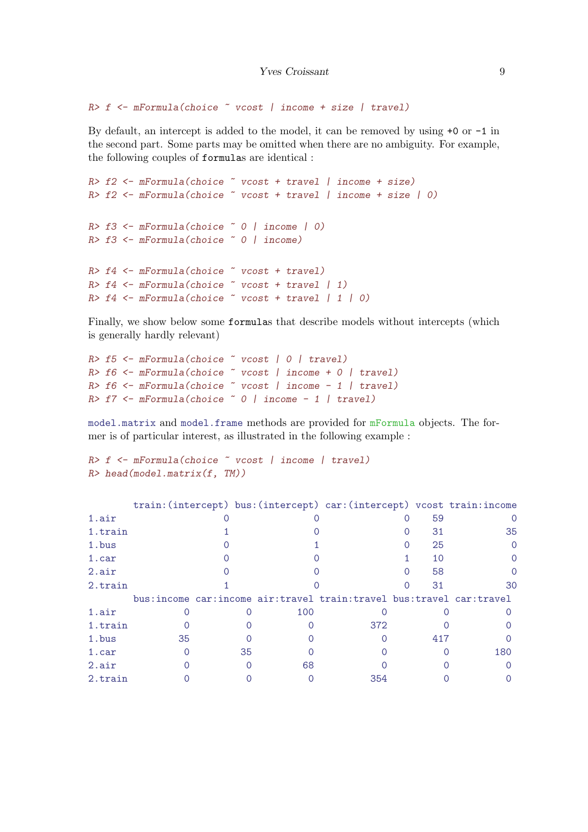```
R > f <- mFormula(choice \tilde{ } vcost | income + size | travel)
```
By default, an intercept is added to the model, it can be removed by using +0 or -1 in the second part. Some parts may be omitted when there are no ambiguity. For example, the following couples of formulas are identical :

```
R> f2 <- mFormula(choice \tilde{ } vcost + travel | income + size)
R > f2 <- mFormula(choice \tilde{ } vcost + travel | income + size | 0)
R > f3 <- mFormula(choice \degree 0 | income | 0)
R> f3 <- mFormula(choice ~ 0 | income)
R > f4 <- mFormula(choice \tilde{ } vcost + travel)
R > f4 <- mFormula(choice \tilde{ } vcost + travel | 1)
R > f4 <- mFormula(choice \tilde{ } vcost + travel | 1 | 0)
```
Finally, we show below some formulas that describe models without intercepts (which is generally hardly relevant)

```
R> f5 <- mFormula(choice ~ vcost | 0 | travel)
R> f6 <- mFormula(choice ~ vcost | income + 0 | travel)
R > f6 <- mFormula(choice \tilde{ } vcost | income - 1 | travel)
R> f7 \leftarrow mFormula(choice ~ 0 | income - 1 | travel)
```
model.matrix and model.frame methods are provided for mFormula objects. The former is of particular interest, as illustrated in the following example :

```
R> f <- mFormula(choice ~ vcost | income | travel)
R> head(model.matrix(f, TM))
```

|         |    |    |     | train: (intercept) bus: (intercept) car: (intercept) vcost train: income  |     |     |
|---------|----|----|-----|---------------------------------------------------------------------------|-----|-----|
| 1.air   |    |    |     |                                                                           | 59  |     |
| 1.train |    |    |     |                                                                           | 31  | 35  |
| 1.bus   |    |    |     |                                                                           | 25  |     |
| 1.car   |    |    |     |                                                                           | 10  |     |
| 2.air   |    |    |     |                                                                           | 58  |     |
| 2.train |    |    |     |                                                                           | 31  | 30  |
|         |    |    |     |                                                                           |     |     |
|         |    |    |     | bus: income car: income air: travel train: travel bus: travel car: travel |     |     |
| 1.air   |    |    | 100 |                                                                           |     |     |
| 1.train |    |    |     | 372                                                                       |     |     |
| 1.bus   | 35 |    |     |                                                                           | 417 |     |
| 1.car   |    | 35 |     |                                                                           |     | 180 |
| 2.air   |    |    | 68  |                                                                           |     |     |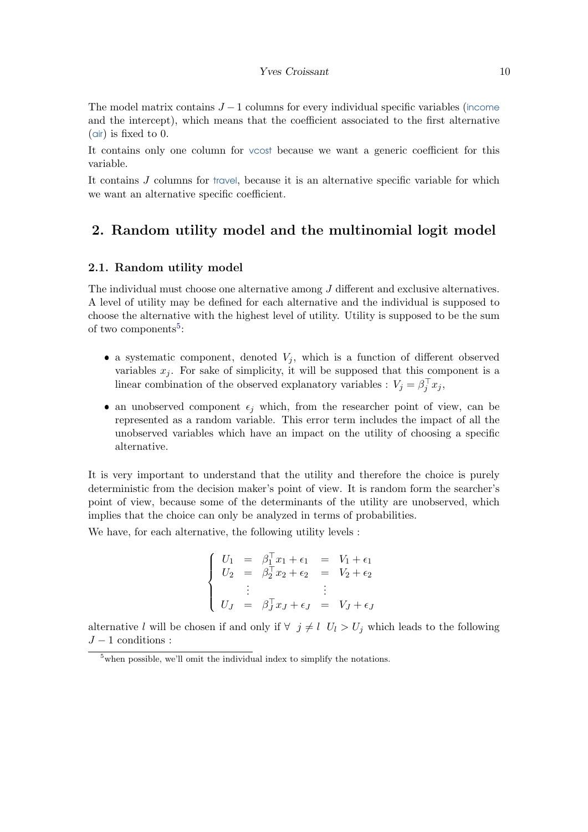#### Yves Croissant 10

The model matrix contains  $J-1$  columns for every individual specific variables (income and the intercept), which means that the coefficient associated to the first alternative (air) is fixed to 0.

It contains only one column for vcost because we want a generic coefficient for this variable.

It contains J columns for travel, because it is an alternative specific variable for which we want an alternative specific coefficient.

# 2. Random utility model and the multinomial logit model

## 2.1. Random utility model

The individual must choose one alternative among J different and exclusive alternatives. A level of utility may be defined for each alternative and the individual is supposed to choose the alternative with the highest level of utility. Utility is supposed to be the sum of two components<sup>[5](#page-9-0)</sup>:

- a systematic component, denoted  $V_j$ , which is a function of different observed variables  $x_j$ . For sake of simplicity, it will be supposed that this component is a linear combination of the observed explanatory variables :  $V_j = \beta_j^\top x_j$ ,
- an unobserved component  $\epsilon_j$  which, from the researcher point of view, can be represented as a random variable. This error term includes the impact of all the unobserved variables which have an impact on the utility of choosing a specific alternative.

It is very important to understand that the utility and therefore the choice is purely deterministic from the decision maker's point of view. It is random form the searcher's point of view, because some of the determinants of the utility are unobserved, which implies that the choice can only be analyzed in terms of probabilities.

We have, for each alternative, the following utility levels :

$$
\begin{cases}\nU_1 = \beta_1^{\top} x_1 + \epsilon_1 = V_1 + \epsilon_1 \\
U_2 = \beta_2^{\top} x_2 + \epsilon_2 = V_2 + \epsilon_2 \\
\vdots \\
U_J = \beta_J^{\top} x_J + \epsilon_J = V_J + \epsilon_J\n\end{cases}
$$

alternative l will be chosen if and only if  $\forall j \neq l$   $U_l > U_j$  which leads to the following  $J-1$  conditions :

<span id="page-9-0"></span><sup>5</sup>when possible, we'll omit the individual index to simplify the notations.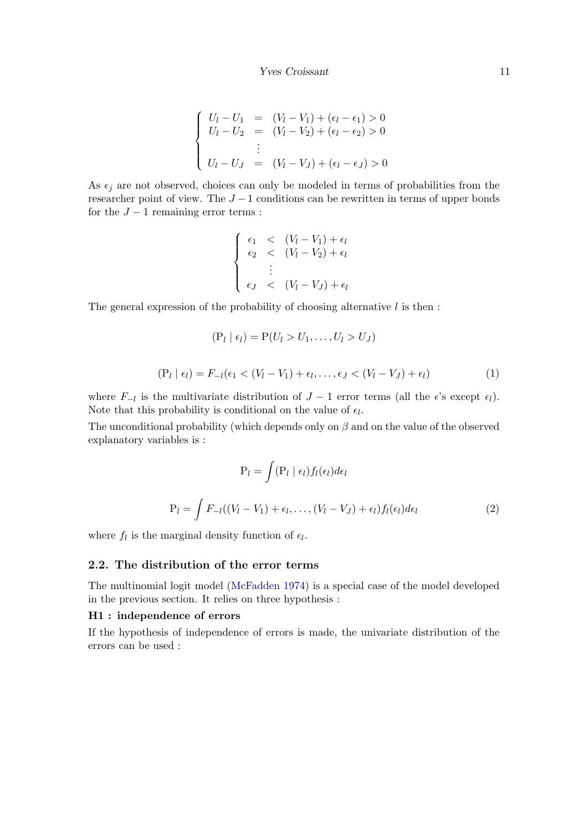$$
\begin{cases}\nU_l - U_1 &= (V_l - V_1) + (\epsilon_l - \epsilon_1) > 0 \\
U_l - U_2 &= (V_l - V_2) + (\epsilon_l - \epsilon_2) > 0 \\
& \vdots \\
U_l - U_J &= (V_l - V_J) + (\epsilon_l - \epsilon_J) > 0\n\end{cases}
$$

As  $\epsilon_j$  are not observed, choices can only be modeled in terms of probabilities from the researcher point of view. The  $J-1$  conditions can be rewritten in terms of upper bonds for the  $J - 1$  remaining error terms :

$$
\begin{cases}\n\epsilon_1 < (V_l - V_1) + \epsilon_l \\
\epsilon_2 < (V_l - V_2) + \epsilon_l \\
\vdots \\
\epsilon_J < (V_l - V_J) + \epsilon_l\n\end{cases}
$$

The general expression of the probability of choosing alternative  $l$  is then :

<span id="page-10-0"></span>
$$
(P_l | \epsilon_l) = P(U_l > U_1, \dots, U_l > U_J)
$$
  

$$
(P_l | \epsilon_l) = F_{-l}(\epsilon_1 < (V_l - V_1) + \epsilon_l, \dots, \epsilon_J < (V_l - V_J) + \epsilon_l)
$$
 (1)

where  $F_{-l}$  is the multivariate distribution of  $J-1$  error terms (all the  $\epsilon$ 's except  $\epsilon_l$ ). Note that this probability is conditional on the value of  $\epsilon_l$ .

The unconditional probability (which depends only on  $\beta$  and on the value of the observed explanatory variables is :

<span id="page-10-1"></span>
$$
P_l = \int (P_l | \epsilon_l) f_l(\epsilon_l) d\epsilon_l
$$
  

$$
P_l = \int F_{-l}((V_l - V_1) + \epsilon_l, \dots, (V_l - V_J) + \epsilon_l) f_l(\epsilon_l) d\epsilon_l
$$
 (2)

where  $f_l$  is the marginal density function of  $\epsilon_l$ .

## 2.2. The distribution of the error terms

The multinomial logit model [\(McFadden](#page-68-1) [1974\)](#page-68-1) is a special case of the model developed in the previous section. It relies on three hypothesis :

## H1 : independence of errors

If the hypothesis of independence of errors is made, the univariate distribution of the errors can be used :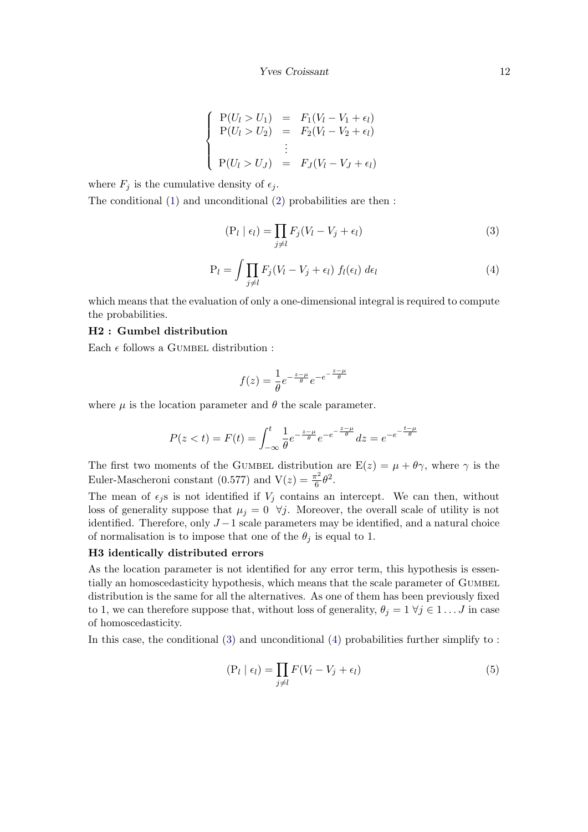$$
\begin{cases}\nP(U_l > U_1) &= F_1(V_l - V_1 + \epsilon_l) \\
P(U_l > U_2) &= F_2(V_l - V_2 + \epsilon_l) \\
\vdots \\
P(U_l > U_J) &= F_J(V_l - V_J + \epsilon_l)\n\end{cases}
$$

where  $F_j$  is the cumulative density of  $\epsilon_j$ .

The conditional [\(1\)](#page-10-0) and unconditional [\(2\)](#page-10-1) probabilities are then :

<span id="page-11-0"></span>
$$
(\mathcal{P}_l \mid \epsilon_l) = \prod_{j \neq l} F_j (V_l - V_j + \epsilon_l)
$$
\n(3)

<span id="page-11-1"></span>
$$
P_l = \int \prod_{j \neq l} F_j (V_l - V_j + \epsilon_l) f_l(\epsilon_l) d\epsilon_l \tag{4}
$$

which means that the evaluation of only a one-dimensional integral is required to compute the probabilities.

## H2 : Gumbel distribution

Each  $\epsilon$  follows a GUMBEL distribution :

$$
f(z) = \frac{1}{\theta} e^{-\frac{z-\mu}{\theta}} e^{-e^{-\frac{z-\mu}{\theta}}}
$$

where  $\mu$  is the location parameter and  $\theta$  the scale parameter.

$$
P(z < t) = F(t) = \int_{-\infty}^{t} \frac{1}{\theta} e^{-\frac{z-\mu}{\theta}} e^{-e^{-\frac{z-\mu}{\theta}}} dz = e^{-e^{-\frac{t-\mu}{\theta}}}
$$

The first two moments of the GUMBEL distribution are  $E(z) = \mu + \theta \gamma$ , where  $\gamma$  is the Euler-Mascheroni constant (0.577) and  $V(z) = \frac{\pi^2}{6}$  $\frac{\pi^2}{6}\theta^2$ .

The mean of  $\epsilon_j$ s is not identified if  $V_j$  contains an intercept. We can then, without loss of generality suppose that  $\mu_j = 0 \ \forall j$ . Moreover, the overall scale of utility is not identified. Therefore, only  $J-1$  scale parameters may be identified, and a natural choice of normalisation is to impose that one of the  $\theta_i$  is equal to 1.

#### H3 identically distributed errors

As the location parameter is not identified for any error term, this hypothesis is essentially an homoscedasticity hypothesis, which means that the scale parameter of GUMBEL distribution is the same for all the alternatives. As one of them has been previously fixed to 1, we can therefore suppose that, without loss of generality,  $\theta_j = 1 \ \forall j \in 1 \dots J$  in case of homoscedasticity.

In this case, the conditional [\(3\)](#page-11-0) and unconditional [\(4\)](#page-11-1) probabilities further simplify to :

$$
(\mathcal{P}_l \mid \epsilon_l) = \prod_{j \neq l} F(V_l - V_j + \epsilon_l)
$$
\n<sup>(5)</sup>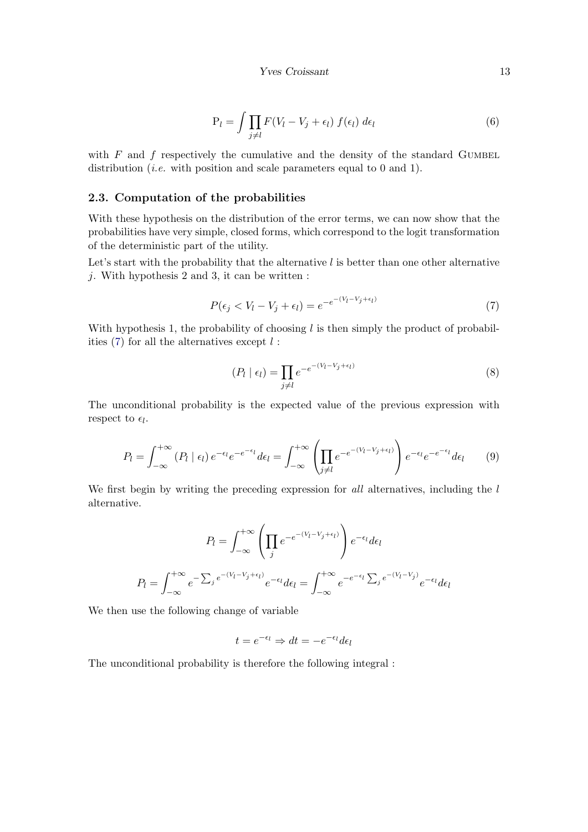$$
P_l = \int \prod_{j \neq l} F(V_l - V_j + \epsilon_l) f(\epsilon_l) d\epsilon_l
$$
\n(6)

with  $F$  and  $f$  respectively the cumulative and the density of the standard GUMBEL distribution *(i.e.* with position and scale parameters equal to 0 and 1).

# 2.3. Computation of the probabilities

With these hypothesis on the distribution of the error terms, we can now show that the probabilities have very simple, closed forms, which correspond to the logit transformation of the deterministic part of the utility.

Let's start with the probability that the alternative  $l$  is better than one other alternative  $j$ . With hypothesis 2 and 3, it can be written :

<span id="page-12-0"></span>
$$
P(\epsilon_j < V_l - V_j + \epsilon_l) = e^{-e^{-(V_l - V_j + \epsilon_l)}}\tag{7}
$$

With hypothesis 1, the probability of choosing  $l$  is then simply the product of probabilities  $(7)$  for all the alternatives except  $l$ :

$$
(P_l \mid \epsilon_l) = \prod_{j \neq l} e^{-e^{-(V_l - V_j + \epsilon_l)}}
$$
\n
$$
(8)
$$

The unconditional probability is the expected value of the previous expression with respect to  $\epsilon_l$ .

$$
P_l = \int_{-\infty}^{+\infty} (P_l \mid \epsilon_l) e^{-\epsilon_l} e^{-e^{-\epsilon_l}} d\epsilon_l = \int_{-\infty}^{+\infty} \left( \prod_{j \neq l} e^{-e^{-(V_l - V_j + \epsilon_l)}} \right) e^{-\epsilon_l} e^{-e^{-\epsilon_l}} d\epsilon_l \qquad (9)
$$

We first begin by writing the preceding expression for all alternatives, including the  $l$ alternative.

$$
P_l = \int_{-\infty}^{+\infty} \left( \prod_j e^{-e^{-(V_l - V_j + \epsilon_l)}} \right) e^{-\epsilon_l} d\epsilon_l
$$

$$
P_l = \int_{-\infty}^{+\infty} e^{-\sum_j e^{-(V_l - V_j + \epsilon_l)}} e^{-\epsilon_l} d\epsilon_l = \int_{-\infty}^{+\infty} e^{-e^{-\epsilon_l} \sum_j e^{-(V_l - V_j)}} e^{-\epsilon_l} d\epsilon_l
$$

We then use the following change of variable

$$
t = e^{-\epsilon_l} \Rightarrow dt = -e^{-\epsilon_l} d\epsilon_l
$$

The unconditional probability is therefore the following integral :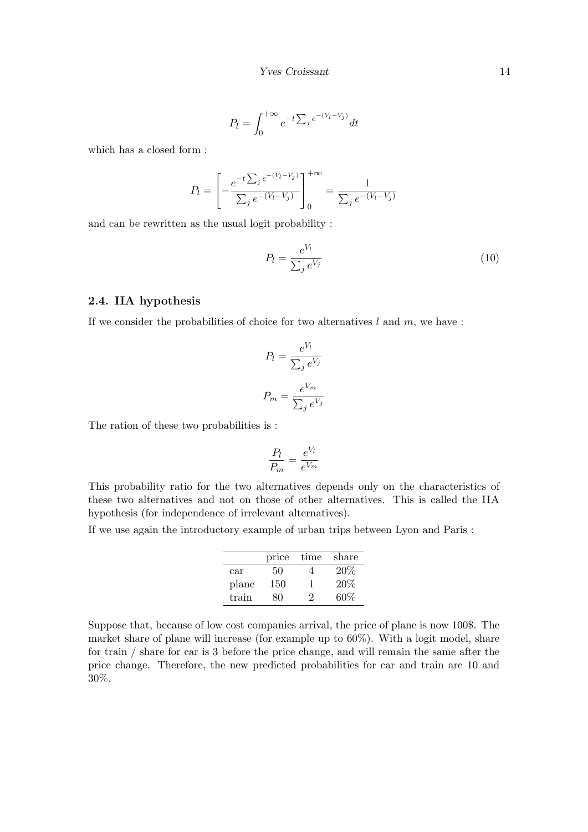$$
P_l = \int_0^{+\infty} e^{-t \sum_j e^{-(V_l - V_j)}} dt
$$

which has a closed form :

$$
P_l = \left[ -\frac{e^{-t \sum_j e^{-(V_l - V_j)}}}{\sum_j e^{-(V_l - V_j)}} \right]_0^{+\infty} = \frac{1}{\sum_j e^{-(V_l - V_j)}}
$$

and can be rewritten as the usual logit probability :

$$
P_l = \frac{e^{V_l}}{\sum_j e^{V_j}}\tag{10}
$$

# 2.4. IIA hypothesis

If we consider the probabilities of choice for two alternatives  $l$  and  $m$ , we have :

$$
P_l = \frac{e^{V_l}}{\sum_j e^{V_j}}
$$

$$
P_m = \frac{e^{V_m}}{\sum_j e^{V_j}}
$$

The ration of these two probabilities is :

$$
\frac{P_l}{P_m} = \frac{e^{V_l}}{e^{V_m}}
$$

This probability ratio for the two alternatives depends only on the characteristics of these two alternatives and not on those of other alternatives. This is called the IIA hypothesis (for independence of irrelevant alternatives).

If we use again the introductory example of urban trips between Lyon and Paris :

|       | price | time | share |
|-------|-------|------|-------|
| car   | 50    |      | 20%   |
| plane | 150   |      | 20%   |
| train | ×۱۱   |      | 60%   |

Suppose that, because of low cost companies arrival, the price of plane is now 100\$. The market share of plane will increase (for example up to 60%). With a logit model, share for train / share for car is 3 before the price change, and will remain the same after the price change. Therefore, the new predicted probabilities for car and train are 10 and 30%.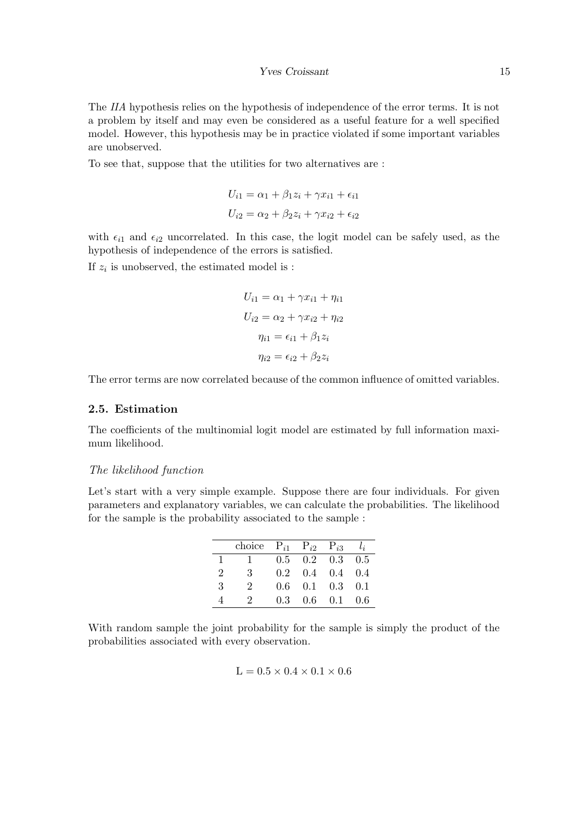The IIA hypothesis relies on the hypothesis of independence of the error terms. It is not a problem by itself and may even be considered as a useful feature for a well specified model. However, this hypothesis may be in practice violated if some important variables are unobserved.

To see that, suppose that the utilities for two alternatives are :

$$
U_{i1} = \alpha_1 + \beta_1 z_i + \gamma x_{i1} + \epsilon_{i1}
$$

$$
U_{i2} = \alpha_2 + \beta_2 z_i + \gamma x_{i2} + \epsilon_{i2}
$$

with  $\epsilon_{i1}$  and  $\epsilon_{i2}$  uncorrelated. In this case, the logit model can be safely used, as the hypothesis of independence of the errors is satisfied.

If  $z_i$  is unobserved, the estimated model is :

$$
U_{i1} = \alpha_1 + \gamma x_{i1} + \eta_{i1}
$$

$$
U_{i2} = \alpha_2 + \gamma x_{i2} + \eta_{i2}
$$

$$
\eta_{i1} = \epsilon_{i1} + \beta_1 z_i
$$

$$
\eta_{i2} = \epsilon_{i2} + \beta_2 z_i
$$

The error terms are now correlated because of the common influence of omitted variables.

# 2.5. Estimation

The coefficients of the multinomial logit model are estimated by full information maximum likelihood.

## The likelihood function

Let's start with a very simple example. Suppose there are four individuals. For given parameters and explanatory variables, we can calculate the probabilities. The likelihood for the sample is the probability associated to the sample :

|    | choice $P_{i1}$ $P_{i2}$ $P_{i3}$ $l_i$ |     |     |                                     |       |
|----|-----------------------------------------|-----|-----|-------------------------------------|-------|
| 1. |                                         |     |     | $0.5 \quad 0.2 \quad 0.3 \quad 0.5$ |       |
| 2  | 3                                       |     |     | $0.2 \quad 0.4 \quad 0.4 \quad 0.4$ |       |
| 3  | 2                                       | 0.6 |     | $0.1 \quad 0.3 \quad 0.1$           |       |
|    | 9.                                      | 0.3 | 0.6 | 0.1                                 | - 0.6 |

With random sample the joint probability for the sample is simply the product of the probabilities associated with every observation.

$$
L=0.5\times0.4\times0.1\times0.6
$$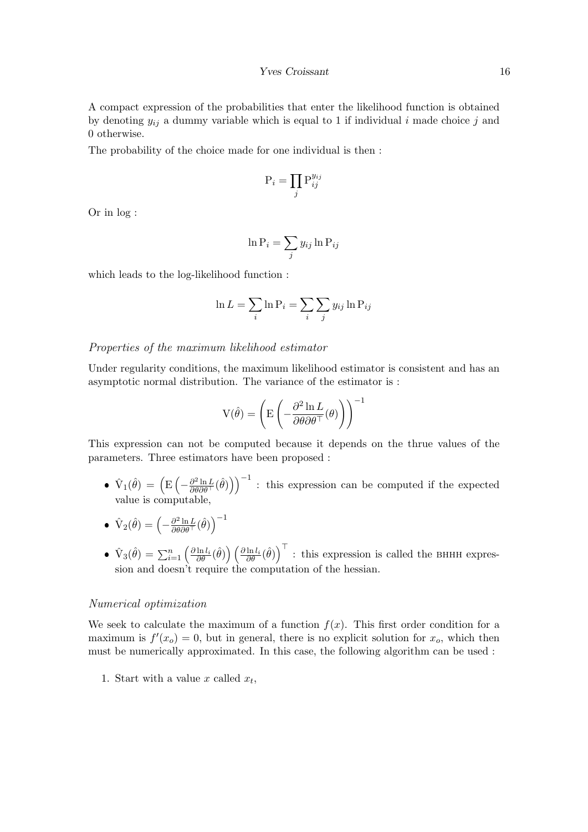A compact expression of the probabilities that enter the likelihood function is obtained by denoting  $y_{ij}$  a dummy variable which is equal to 1 if individual i made choice j and 0 otherwise.

The probability of the choice made for one individual is then :

$$
\mathbf{P}_i = \prod_j \mathbf{P}_{ij}^{y_{ij}}
$$

Or in log :

$$
\ln \mathrm{P}_i = \sum_j y_{ij} \ln \mathrm{P}_{ij}
$$

which leads to the log-likelihood function :

$$
\ln L = \sum_{i} \ln \mathbf{P}_{i} = \sum_{i} \sum_{j} y_{ij} \ln \mathbf{P}_{ij}
$$

#### Properties of the maximum likelihood estimator

Under regularity conditions, the maximum likelihood estimator is consistent and has an asymptotic normal distribution. The variance of the estimator is :

$$
V(\hat{\theta}) = \left( E \left( -\frac{\partial^2 \ln L}{\partial \theta \partial \theta^\top}(\theta) \right) \right)^{-1}
$$

This expression can not be computed because it depends on the thrue values of the parameters. Three estimators have been proposed :

- $\hat{V}_1(\hat{\theta}) = (\mathbb{E} \left( -\frac{\partial^2 \ln L}{\partial \theta \partial \theta^{\top}} (\hat{\theta}) \right)^{-1}$ : this expression can be computed if the expected value is computable,
- $\bullet \ \hat{\mathrm V}_2(\hat \theta) = \left(-\frac{\partial^2 \ln L}{\partial \theta \partial \theta^\top}(\hat \theta)\right)^{-1}$
- $\hat{V}_3(\hat{\theta}) = \sum_{i=1}^n \left(\frac{\partial \ln l_i}{\partial \theta}(\hat{\theta})\right) \left(\frac{\partial \ln l_i}{\partial \theta}(\hat{\theta})\right)^{\top}$ : this expression is called the BHHH expression and doesn't require the computation of the hessian.

#### Numerical optimization

We seek to calculate the maximum of a function  $f(x)$ . This first order condition for a maximum is  $f'(x_0) = 0$ , but in general, there is no explicit solution for  $x_0$ , which then must be numerically approximated. In this case, the following algorithm can be used :

1. Start with a value x called  $x_t$ ,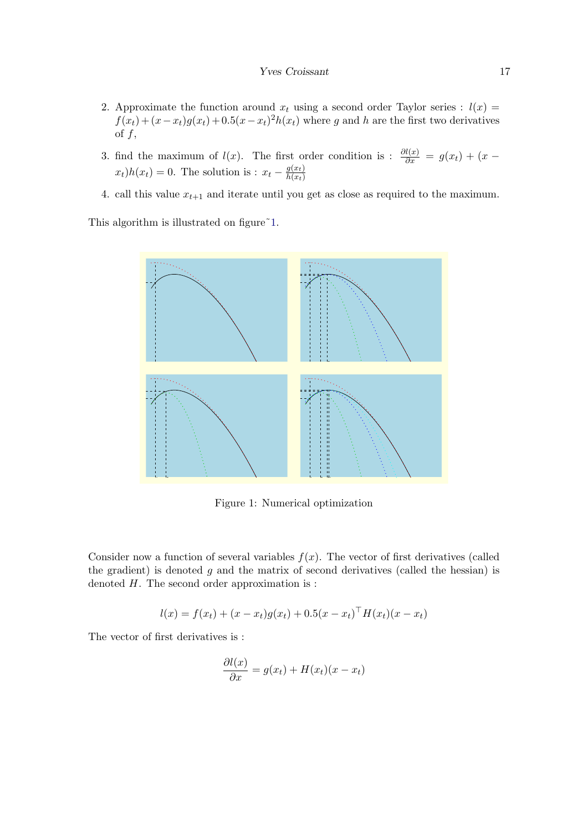- 2. Approximate the function around  $x_t$  using a second order Taylor series :  $l(x)$  =  $f(x_t) + (x - x_t)g(x_t) + 0.5(x - x_t)^2 h(x_t)$  where g and h are the first two derivatives of  $f$ ,
- 3. find the maximum of  $l(x)$ . The first order condition is :  $\frac{\partial l(x)}{\partial x} = g(x_t) + (x (x_t)h(x_t) = 0$ . The solution is :  $x_t - \frac{g(x_t)}{h(x_t)}$  $h(x_t)$
- 4. call this value  $x_{t+1}$  and iterate until you get as close as required to the maximum.

This algorithm is illustrated on figure  $1$ .



<span id="page-16-0"></span>Figure 1: Numerical optimization

Consider now a function of several variables  $f(x)$ . The vector of first derivatives (called the gradient) is denoted  $g$  and the matrix of second derivatives (called the hessian) is denoted  $H$ . The second order approximation is :

$$
l(x) = f(x_t) + (x - x_t)g(x_t) + 0.5(x - x_t)^{\top}H(x_t)(x - x_t)
$$

The vector of first derivatives is :

$$
\frac{\partial l(x)}{\partial x} = g(x_t) + H(x_t)(x - x_t)
$$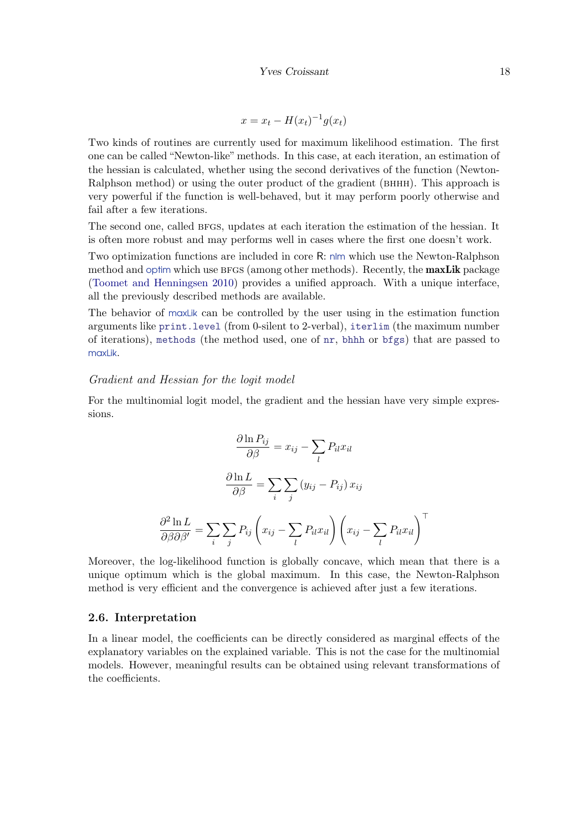$$
x = x_t - H(x_t)^{-1}g(x_t)
$$

Two kinds of routines are currently used for maximum likelihood estimation. The first one can be called "Newton-like" methods. In this case, at each iteration, an estimation of the hessian is calculated, whether using the second derivatives of the function (Newton-Ralphson method) or using the outer product of the gradient (BHHH). This approach is very powerful if the function is well-behaved, but it may perform poorly otherwise and fail after a few iterations.

The second one, called BFGS, updates at each iteration the estimation of the hessian. It is often more robust and may performs well in cases where the first one doesn't work.

Two optimization functions are included in core R: nlm which use the Newton-Ralphson method and optim which use BFGS (among other methods). Recently, the **maxLik** package [\(Toomet and Henningsen](#page-68-2) [2010\)](#page-68-2) provides a unified approach. With a unique interface, all the previously described methods are available.

The behavior of maxLik can be controlled by the user using in the estimation function arguments like print.level (from 0-silent to 2-verbal), iterlim (the maximum number of iterations), methods (the method used, one of nr, bhhh or bfgs) that are passed to maxl ik.

#### Gradient and Hessian for the logit model

For the multinomial logit model, the gradient and the hessian have very simple expressions.

$$
\frac{\partial \ln P_{ij}}{\partial \beta} = x_{ij} - \sum_{l} P_{il} x_{il}
$$

$$
\frac{\partial \ln L}{\partial \beta} = \sum_{i} \sum_{j} (y_{ij} - P_{ij}) x_{ij}
$$

$$
\frac{\partial^2 \ln L}{\partial \beta \partial \beta'} = \sum_{i} \sum_{j} P_{ij} \left( x_{ij} - \sum_{l} P_{il} x_{il} \right) \left( x_{ij} - \sum_{l} P_{il} x_{il} \right)^{\top}
$$

Moreover, the log-likelihood function is globally concave, which mean that there is a unique optimum which is the global maximum. In this case, the Newton-Ralphson method is very efficient and the convergence is achieved after just a few iterations.

#### 2.6. Interpretation

In a linear model, the coefficients can be directly considered as marginal effects of the explanatory variables on the explained variable. This is not the case for the multinomial models. However, meaningful results can be obtained using relevant transformations of the coefficients.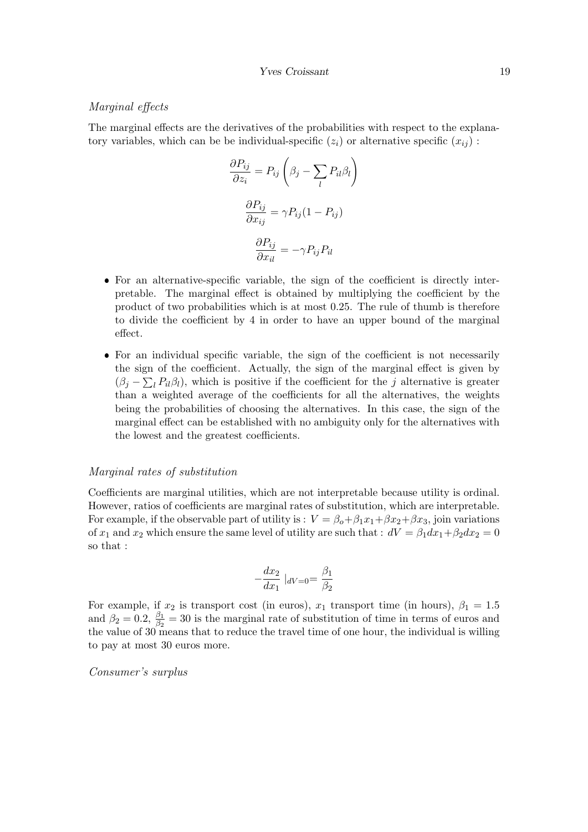#### Marginal effects

The marginal effects are the derivatives of the probabilities with respect to the explanatory variables, which can be be individual-specific  $(z_i)$  or alternative specific  $(x_{ij})$ :

$$
\frac{\partial P_{ij}}{\partial z_i} = P_{ij} \left( \beta_j - \sum_l P_{il} \beta_l \right)
$$

$$
\frac{\partial P_{ij}}{\partial x_{ij}} = \gamma P_{ij} (1 - P_{ij})
$$

$$
\frac{\partial P_{ij}}{\partial x_{il}} = -\gamma P_{ij} P_{il}
$$

- For an alternative-specific variable, the sign of the coefficient is directly interpretable. The marginal effect is obtained by multiplying the coefficient by the product of two probabilities which is at most 0.25. The rule of thumb is therefore to divide the coefficient by 4 in order to have an upper bound of the marginal effect.
- For an individual specific variable, the sign of the coefficient is not necessarily the sign of the coefficient. Actually, the sign of the marginal effect is given by  $(\beta_j - \sum_l P_{il}\beta_l)$ , which is positive if the coefficient for the j alternative is greater than a weighted average of the coefficients for all the alternatives, the weights being the probabilities of choosing the alternatives. In this case, the sign of the marginal effect can be established with no ambiguity only for the alternatives with the lowest and the greatest coefficients.

#### Marginal rates of substitution

Coefficients are marginal utilities, which are not interpretable because utility is ordinal. However, ratios of coefficients are marginal rates of substitution, which are interpretable. For example, if the observable part of utility is :  $V = \beta_o + \beta_1 x_1 + \beta x_2 + \beta x_3$ , join variations of  $x_1$  and  $x_2$  which ensure the same level of utility are such that :  $dV = \beta_1 dx_1 + \beta_2 dx_2 = 0$ so that :

$$
-\frac{dx_2}{dx_1} |_{dV=0} = \frac{\beta_1}{\beta_2}
$$

For example, if  $x_2$  is transport cost (in euros),  $x_1$  transport time (in hours),  $\beta_1 = 1.5$ and  $\beta_2 = 0.2$ ,  $\frac{\beta_1}{\beta_2} = 30$  is the marginal rate of substitution of time in terms of euros and the value of 30 means that to reduce the travel time of one hour, the individual is willing to pay at most 30 euros more.

Consumer's surplus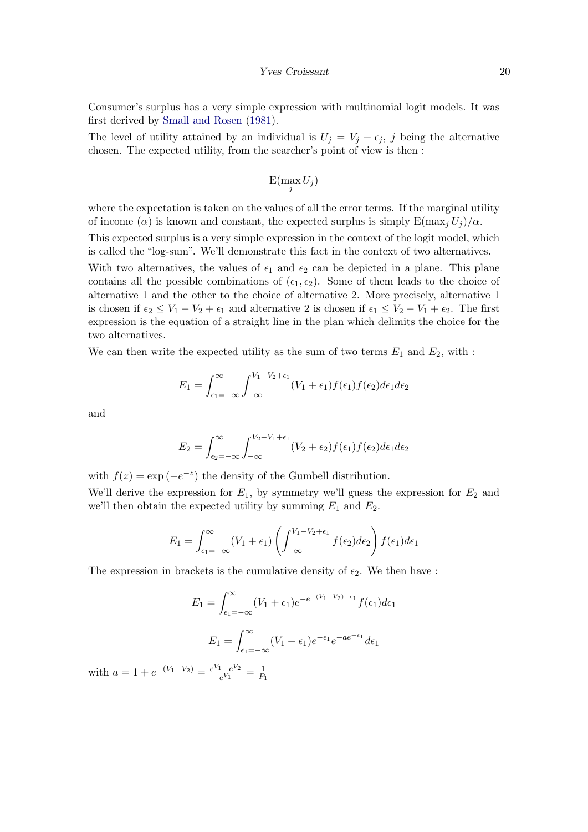#### Yves Croissant 20

Consumer's surplus has a very simple expression with multinomial logit models. It was first derived by [Small and Rosen](#page-68-3) [\(1981\)](#page-68-3).

The level of utility attained by an individual is  $U_j = V_j + \epsilon_j$ , j being the alternative chosen. The expected utility, from the searcher's point of view is then :

$$
\mathrm{E}(\max_j U_j)
$$

where the expectation is taken on the values of all the error terms. If the marginal utility of income ( $\alpha$ ) is known and constant, the expected surplus is simply  $E(\max_i U_i)/\alpha$ .

This expected surplus is a very simple expression in the context of the logit model, which is called the "log-sum". We'll demonstrate this fact in the context of two alternatives.

With two alternatives, the values of  $\epsilon_1$  and  $\epsilon_2$  can be depicted in a plane. This plane contains all the possible combinations of  $(\epsilon_1, \epsilon_2)$ . Some of them leads to the choice of alternative 1 and the other to the choice of alternative 2. More precisely, alternative 1 is chosen if  $\epsilon_2 \leq V_1 - V_2 + \epsilon_1$  and alternative 2 is chosen if  $\epsilon_1 \leq V_2 - V_1 + \epsilon_2$ . The first expression is the equation of a straight line in the plan which delimits the choice for the two alternatives.

We can then write the expected utility as the sum of two terms  $E_1$  and  $E_2$ , with :

$$
E_1 = \int_{\epsilon_1 = -\infty}^{\infty} \int_{-\infty}^{V_1 - V_2 + \epsilon_1} (V_1 + \epsilon_1) f(\epsilon_1) f(\epsilon_2) d\epsilon_1 d\epsilon_2
$$

and

$$
E_2 = \int_{\epsilon_2 = -\infty}^{\infty} \int_{-\infty}^{V_2 - V_1 + \epsilon_1} (V_2 + \epsilon_2) f(\epsilon_1) f(\epsilon_2) d\epsilon_1 d\epsilon_2
$$

with  $f(z) = \exp(-e^{-z})$  the density of the Gumbell distribution. We'll derive the expression for  $E_1$ , by symmetry we'll guess the expression for  $E_2$  and we'll then obtain the expected utility by summing  $E_1$  and  $E_2$ .

$$
E_1 = \int_{\epsilon_1 = -\infty}^{\infty} (V_1 + \epsilon_1) \left( \int_{-\infty}^{V_1 - V_2 + \epsilon_1} f(\epsilon_2) d\epsilon_2 \right) f(\epsilon_1) d\epsilon_1
$$

The expression in brackets is the cumulative density of  $\epsilon_2$ . We then have :

$$
E_1 = \int_{\epsilon_1 = -\infty}^{\infty} (V_1 + \epsilon_1) e^{-e^{-(V_1 - V_2) - \epsilon_1}} f(\epsilon_1) d\epsilon_1
$$

$$
E_1 = \int_{\epsilon_1 = -\infty}^{\infty} (V_1 + \epsilon_1) e^{-\epsilon_1} e^{-ae^{-\epsilon_1}} d\epsilon_1
$$

with  $a = 1 + e^{-(V_1 - V_2)} = \frac{e^{V_1} + e^{V_2}}{e^{V_1}}$  $\frac{1+e^{V_2}}{e^{V_1}}=\frac{1}{P_1}$  $P_1$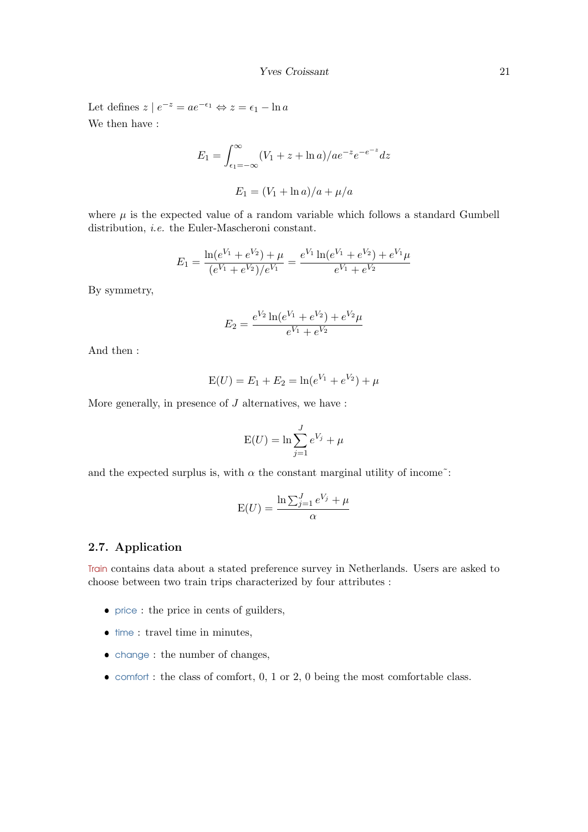Let defines  $z \mid e^{-z} = ae^{-\epsilon_1} \Leftrightarrow z = \epsilon_1 - \ln a$ We then have :

$$
E_1 = \int_{\epsilon_1 = -\infty}^{\infty} (V_1 + z + \ln a) / a e^{-z} e^{-e^{-z}} dz
$$

$$
E_1 = (V_1 + \ln a) / a + \mu / a
$$

where  $\mu$  is the expected value of a random variable which follows a standard Gumbell distribution, *i.e.* the Euler-Mascheroni constant.

$$
E_1 = \frac{\ln(e^{V_1} + e^{V_2}) + \mu}{(e^{V_1} + e^{V_2})/e^{V_1}} = \frac{e^{V_1} \ln(e^{V_1} + e^{V_2}) + e^{V_1} \mu}{e^{V_1} + e^{V_2}}
$$

By symmetry,

$$
E_2 = \frac{e^{V_2} \ln(e^{V_1} + e^{V_2}) + e^{V_2} \mu}{e^{V_1} + e^{V_2}}
$$

And then :

$$
E(U) = E_1 + E_2 = \ln(e^{V_1} + e^{V_2}) + \mu
$$

More generally, in presence of  $J$  alternatives, we have :

$$
E(U) = \ln \sum_{j=1}^{J} e^{V_j} + \mu
$$

and the expected surplus is, with  $\alpha$  the constant marginal utility of income<sup> $\tilde{\ }$ </sup>:

$$
E(U) = \frac{\ln \sum_{j=1}^{J} e^{V_j} + \mu}{\alpha}
$$

# 2.7. Application

Train contains data about a stated preference survey in Netherlands. Users are asked to choose between two train trips characterized by four attributes :

- price : the price in cents of guilders,
- $\bullet$  time : travel time in minutes,
- change : the number of changes,
- $\bullet$  comfort : the class of comfort, 0, 1 or 2, 0 being the most comfortable class.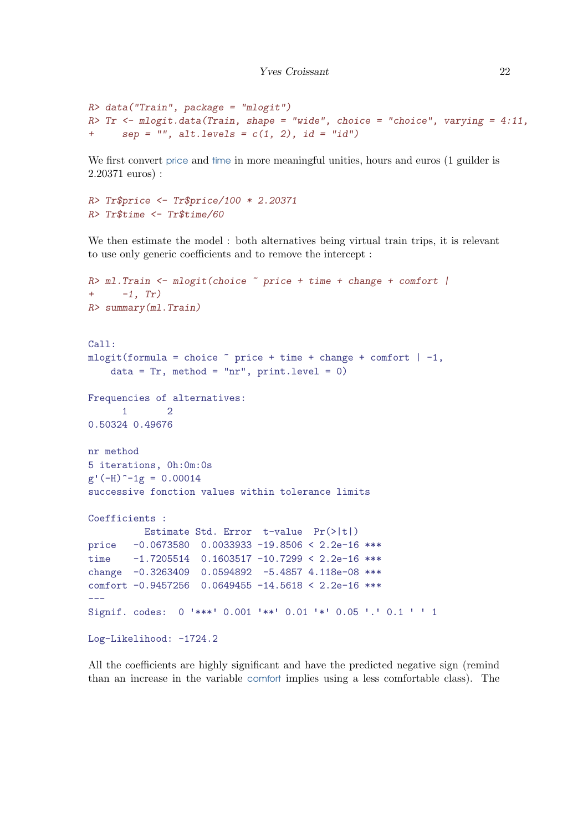```
R> data("Train", package = "mlogit")
R> Tr \leq mlogit.data(Train, shape = "wide", choice = "choice", varying = 4:11,
+ sep = '''', alt.levels = c(1, 2), id = ''id')
```
We first convert price and time in more meaningful unities, hours and euros (1 guilder is 2.20371 euros) :

```
R> Tr$price <- Tr$price/100 * 2.20371
R> Tr$time <- Tr$time/60
```
We then estimate the model : both alternatives being virtual train trips, it is relevant to use only generic coefficients and to remove the intercept :

```
R> ml.Train <- mlogit(choice ~ price + time + change + comfort |
+ -1, Tr)R> summary(ml.Train)
Call:
mlogit(formula = choice \tilde{ } price + time + change + comfort | -1,
   data = Tr, method = "nr", print.level = 0)
Frequencies of alternatives:
     1 2
0.50324 0.49676
nr method
5 iterations, 0h:0m:0s
g'(-H)^{-1}g = 0.00014successive fonction values within tolerance limits
Coefficients :
         Estimate Std. Error t-value Pr(>|t|)
price -0.0673580 0.0033933 -19.8506 < 2.2e-16 ***
time -1.7205514 0.1603517 -10.7299 < 2.2e-16 ***
change -0.3263409 0.0594892 -5.4857 4.118e-08 ***
comfort -0.9457256 0.0649455 -14.5618 < 2.2e-16 ***
---
Signif. codes: 0 '***' 0.001 '**' 0.01 '*' 0.05 '.' 0.1 ' ' 1
Log-Likelihood: -1724.2
```
All the coefficients are highly significant and have the predicted negative sign (remind than an increase in the variable comfort implies using a less comfortable class). The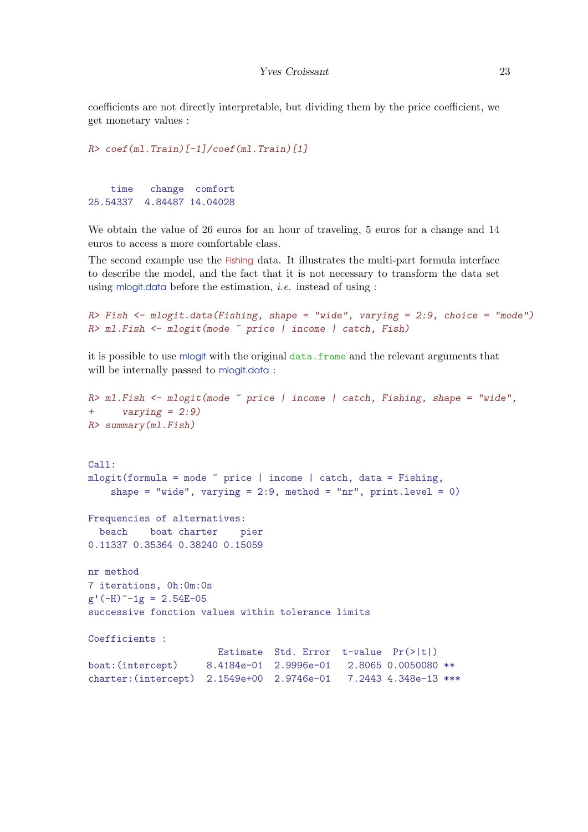coefficients are not directly interpretable, but dividing them by the price coefficient, we get monetary values :

```
R> coef(ml.Train)[-1]/coef(ml.Train)[1]
   time change comfort
25.54337 4.84487 14.04028
```
We obtain the value of 26 euros for an hour of traveling, 5 euros for a change and 14 euros to access a more comfortable class.

The second example use the Fishing data. It illustrates the multi-part formula interface to describe the model, and the fact that it is not necessary to transform the data set using mlogit.data before the estimation, *i.e.* instead of using :

```
R> Fish \leq mlogit.data(Fishing, shape = "wide", varying = 2:9, choice = "mode")
R> ml.Fish <- mlogit(mode ~ price | income | catch, Fish)
```
it is possible to use mlogit with the original data.frame and the relevant arguments that will be internally passed to mlogit.data:

```
R> ml. Fish \leq mlogit(mode \degree price | income | catch, Fishing, shape = "wide",
+ varying = 2:9)
R> summary(ml.Fish)
Call:
mlogit(formula = mode \text{" price } | income | catch, data = Fishing,shape = "wide", varying = 2:9, method = "nr", print.level = 0)
Frequencies of alternatives:
 beach boat charter pier
0.11337 0.35364 0.38240 0.15059
nr method
7 iterations, 0h:0m:0s
g'(-H)^{-1}g = 2.54E-05successive fonction values within tolerance limits
Coefficients :
                      Estimate Std. Error t-value Pr(>|t|)
boat:(intercept) 8.4184e-01 2.9996e-01 2.8065 0.0050080 **
charter:(intercept) 2.1549e+00 2.9746e-01 7.2443 4.348e-13 ***
```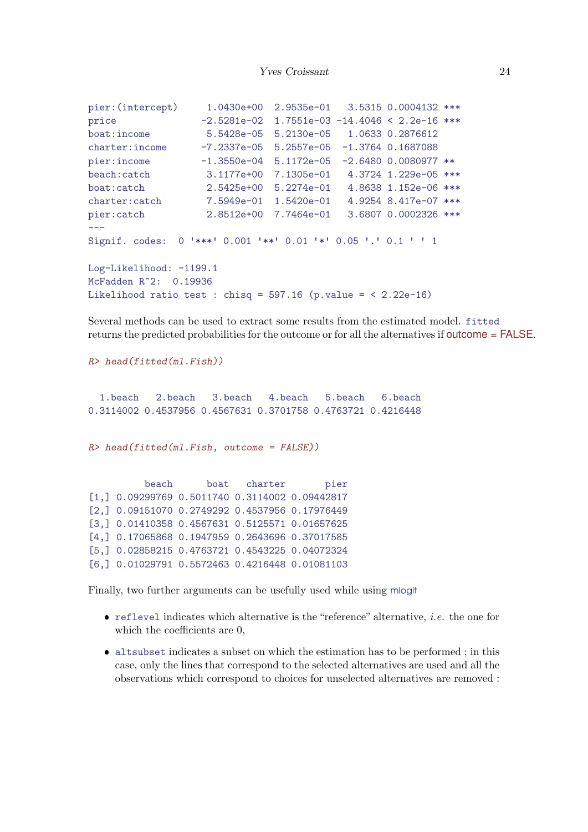```
pier:(intercept) 1.0430e+00 2.9535e-01 3.5315 0.0004132 ***
price -2.5281e-02 1.7551e-03 -14.4046 < 2.2e-16 ***
boat:income 5.5428e-05 5.2130e-05 1.0633 0.2876612
charter:income -7.2337e-05 5.2557e-05 -1.3764 0.1687088
pier:income -1.3550e-04 5.1172e-05 -2.6480 0.0080977 **
beach:catch 3.1177e+00 7.1305e-01 4.3724 1.229e-05 ***
boat:catch 2.5425e+00 5.2274e-01 4.8638 1.152e-06 ***
charter:catch 7.5949e-01 1.5420e-01 4.9254 8.417e-07 ***
pier:catch 2.8512e+00 7.7464e-01 3.6807 0.0002326 ***
---
Signif. codes: 0 '***' 0.001 '**' 0.01 '*' 0.05 '.' 0.1 ' ' 1
Log-Likelihood: -1199.1
McFadden R^2: 0.19936
Likelihood ratio test : chisq = 597.16 (p.value = \leq 2.22e-16)
```
Several methods can be used to extract some results from the estimated model. fitted returns the predicted probabilities for the outcome or for all the alternatives if outcome = FALSE.

```
R> head(fitted(ml.Fish))
  1.beach 2.beach 3.beach 4.beach 5.beach 6.beach
0.3114002 0.4537956 0.4567631 0.3701758 0.4763721 0.4216448
R> head(fitted(ml.Fish, outcome = FALSE))
         beach boat charter pier
[1,] 0.09299769 0.5011740 0.3114002 0.09442817
[2,] 0.09151070 0.2749292 0.4537956 0.17976449
[3,] 0.01410358 0.4567631 0.5125571 0.01657625
[4,] 0.17065868 0.1947959 0.2643696 0.37017585
[5,] 0.02858215 0.4763721 0.4543225 0.04072324
[6,] 0.01029791 0.5572463 0.4216448 0.01081103
```
Finally, two further arguments can be usefully used while using mlogit

- $\bullet$  reflevel indicates which alternative is the "reference" alternative, *i.e.* the one for which the coefficients are 0,
- altsubset indicates a subset on which the estimation has to be performed ; in this case, only the lines that correspond to the selected alternatives are used and all the observations which correspond to choices for unselected alternatives are removed :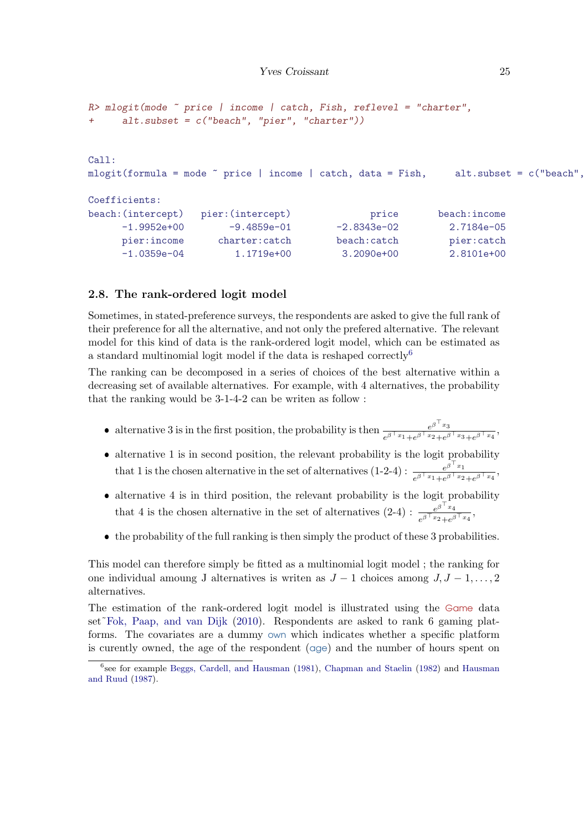```
R > mlogit(mode \tilde{ } price | income | catch, Fish, reflevel = "charter",
+ alt.subset = c("beach", "pier", "charter"))
Call:
mlogit(formula = mode \text{ 'price } | income | catch, data = Fish, alt.subset = c("beach",Coefficients:
beach:(intercept) pier:(intercept) price beach:income
     -1.9952e+00 -9.4859e-01 -2.8343e-02 2.7184e-05pier:income charter:catch beach:catch pier:catch
     -1.0359e-04 1.1719e+00 3.2090e+00 2.8101e+00
```
## 2.8. The rank-ordered logit model

Sometimes, in stated-preference surveys, the respondents are asked to give the full rank of their preference for all the alternative, and not only the prefered alternative. The relevant model for this kind of data is the rank-ordered logit model, which can be estimated as a standard multinomial logit model if the data is reshaped correctly[6](#page-24-0)

The ranking can be decomposed in a series of choices of the best alternative within a decreasing set of available alternatives. For example, with 4 alternatives, the probability that the ranking would be 3-1-4-2 can be writen as follow :

- alternative 3 is in the first position, the probability is then  $e^{\beta \int_{x_1}^{x_2} e^{\beta \int_{x_2}^{x_3}} dx}$  $e^{\beta \top x_1} + e^{\beta \top x_2} + e^{\beta \top x_3} + e^{\beta \top x_4}$
- alternative 1 is in second position, the relevant probability is the logit probability that 1 is the chosen alternative in the set of alternatives (1-2-4) :  $e^{\beta \int_{x_1}^{x_2} e^{\beta \int_{x_2}^{x_1}} dx}$  $e^{\beta \top x_1}e^{\beta \top x_1}e^{\beta \top x_2}e^{\beta \top x_4}$
- alternative 4 is in third position, the relevant probability is the logit probability that 4 is the chosen alternative in the set of alternatives  $(2-4)$  :  $\frac{e^{\beta \int x_4}}{e^{\beta \int x_4}}$  $\frac{e^{\beta-x_4}}{e^{\beta^\top x_2}+e^{\beta^\top x_4}},$
- the probability of the full ranking is then simply the product of these 3 probabilities.

This model can therefore simply be fitted as a multinomial logit model ; the ranking for one individual amoung J alternatives is writen as  $J-1$  choices among  $J, J-1, \ldots, 2$ alternatives.

The estimation of the rank-ordered logit model is illustrated using the Game data set[˜Fok, Paap, and van Dijk](#page-68-4) [\(2010\)](#page-68-4). Respondents are asked to rank 6 gaming platforms. The covariates are a dummy own which indicates whether a specific platform is curently owned, the age of the respondent (age) and the number of hours spent on

<span id="page-24-0"></span><sup>6</sup> see for example [Beggs, Cardell, and Hausman](#page-67-0) [\(1981\)](#page-67-0), [Chapman and Staelin](#page-67-1) [\(1982\)](#page-67-1) and [Hausman](#page-68-5) [and Ruud](#page-68-5) [\(1987\)](#page-68-5).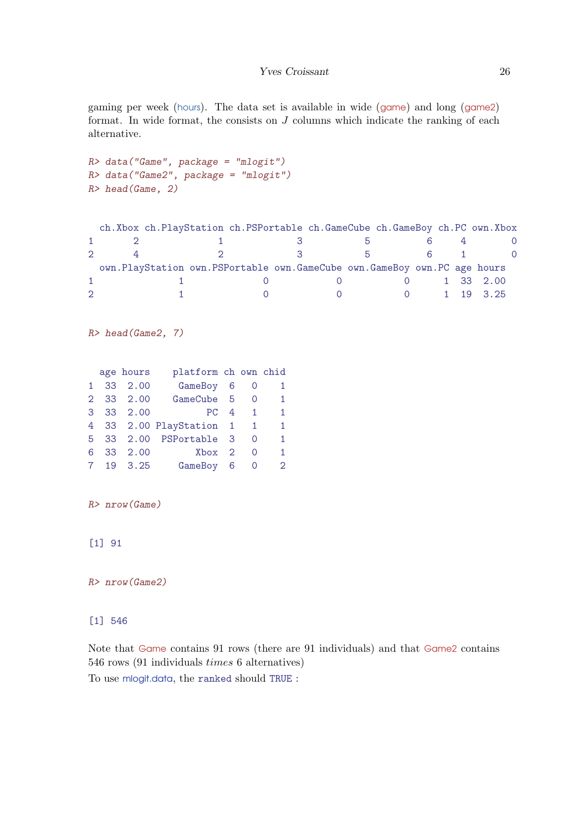gaming per week (hours). The data set is available in wide (game) and long (game2) format. In wide format, the consists on J columns which indicate the ranking of each alternative.

```
R> data("Game", package = "mlogit")
R> data("Game2", package = "mlogit")
R> head(Game, 2)
```

|               | ch. Xbox ch. PlayStation ch. PSPortable ch. GameCube ch. GameBoy ch. PC own. Xbox |         |              |                        |       |           |  |
|---------------|-----------------------------------------------------------------------------------|---------|--------------|------------------------|-------|-----------|--|
|               |                                                                                   |         | $\mathbf{b}$ |                        |       |           |  |
| $\mathcal{D}$ |                                                                                   | - 3 - 1 | h            |                        | $6 -$ |           |  |
|               | own. PlayStation own. PSPortable own. GameCube own. GameBoy own. PC age hours     |         |              |                        |       |           |  |
|               |                                                                                   |         |              | $\Omega$               |       | 1 33 2.00 |  |
|               |                                                                                   |         |              | $0 \t 1 \t 19 \t 3.25$ |       |           |  |

R> head(Game2, 7)

|      | age hours | platform ch own chid    |                          |              |
|------|-----------|-------------------------|--------------------------|--------------|
|      | 1 33 2.00 | GameBoy 6               | $\overline{\phantom{0}}$ | 1            |
|      | 2 33 2.00 | GameCube 5              | O                        | $\mathbf{1}$ |
|      | 3 33 2.00 | PC 4                    | $\sim$ 1                 | 1.           |
|      |           | 4 33 2.00 PlayStation 1 |                          | $\mathbf{1}$ |
|      |           | 5 33 2.00 PSPortable 3  | O                        | 1.           |
|      | 6 33 2.00 | Xbox 2                  | O                        | 1.           |
| 7 19 | 3.25      | GameBoy 6               | O                        | 2            |

R> nrow(Game)

[1] 91

R> nrow(Game2)

# [1] 546

Note that Game contains 91 rows (there are 91 individuals) and that Game2 contains 546 rows (91 individuals times 6 alternatives)

To use mlogit.data, the ranked should TRUE :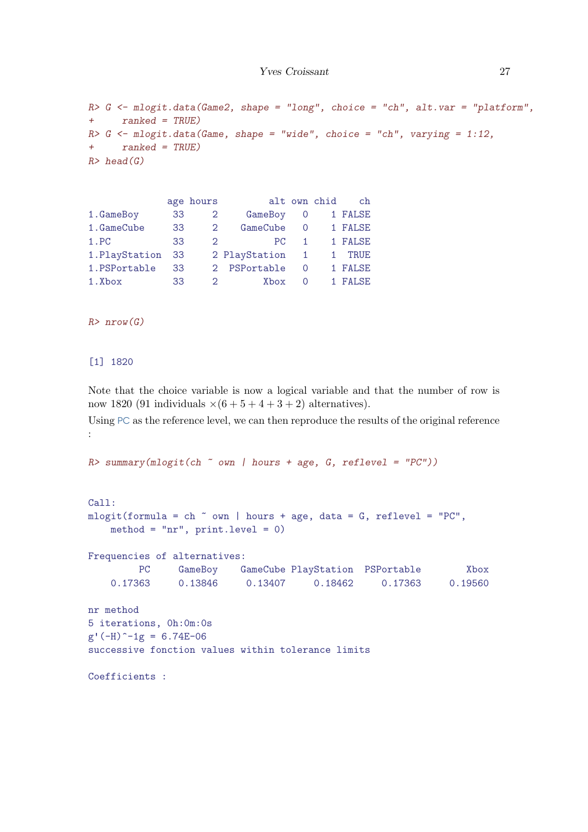```
R> G \leq m\log it \cdot data(Game2, shape = "long", choice = "ch", alt.var = "platform",+ ranked = TRUE)
R > G <- mlogit.data(Game, shape = "wide", choice = "ch", varying = 1:12,
+ ranked = TRUE)
R> head(G)
```

|                   |                |                 |                                                             | ch           |
|-------------------|----------------|-----------------|-------------------------------------------------------------|--------------|
| 33                | $\overline{2}$ | GameBoy         | 0                                                           | 1 FALSE      |
|                   | $\overline{2}$ | GameCube        | $\Omega$                                                    | 1 FALSE      |
| 33                |                | PC.             | 1.                                                          | 1 FALSE      |
| 1. PlayStation 33 |                |                 | 1                                                           | TRUE         |
| 33                |                |                 | $\Omega$                                                    | 1 FALSE      |
| 33                |                | Xbox            | $\Omega$                                                    | 1 FALSE      |
|                   |                | age hours<br>33 | $2^{\circ}$<br>2 PlayStation<br>2 PSPortable<br>$2^{\circ}$ | alt own chid |

 $R> nrow(G)$ 

[1] 1820

Note that the choice variable is now a logical variable and that the number of row is now 1820 (91 individuals  $\times (6 + 5 + 4 + 3 + 2)$  alternatives).

Using PC as the reference level, we can then reproduce the results of the original reference :

 $R$  summary(mlogit(ch  $\degree$  own | hours + age, G, reflevel = "PC"))

```
Call:
mlogit(formula = ch \sim own | hours + age, data = G, reflevel = "PC",
   method = "nr", print.level = 0)
Frequencies of alternatives:
        PC GameBoy GameCube PlayStation PSPortable Xbox
   0.17363 0.13846 0.13407 0.18462 0.17363 0.19560
nr method
5 iterations, 0h:0m:0s
g'(-H)^{-1}g = 6.74E-06successive fonction values within tolerance limits
Coefficients :
```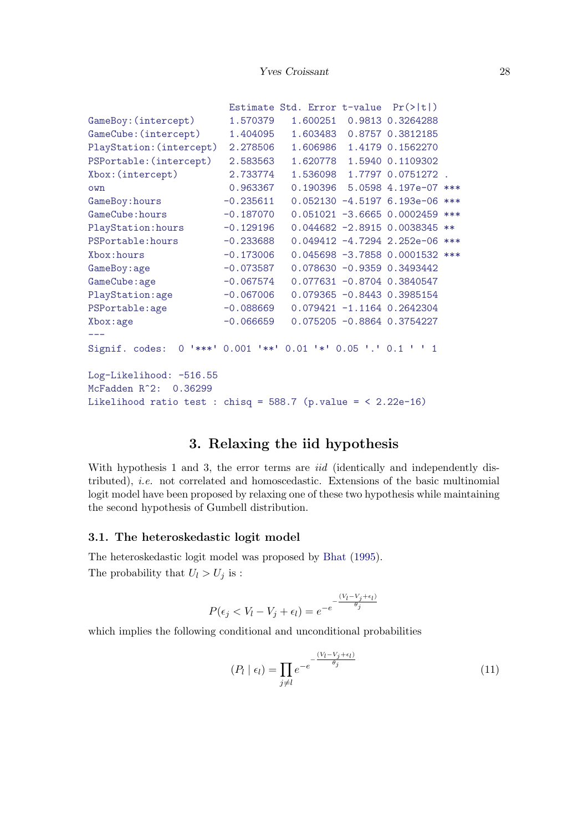|                                                                   |             | Estimate Std. Error $t$ -value $Pr(>\vert t \vert)$ |                                  |       |
|-------------------------------------------------------------------|-------------|-----------------------------------------------------|----------------------------------|-------|
| GameBoy: (intercept)                                              | 1.570379    | 1.600251                                            | 0.9813 0.3264288                 |       |
| GameCube: (intercept)                                             | 1.404095    | 1.603483                                            | 0.8757 0.3812185                 |       |
| PlayStation: (intercept)                                          | 2.278506    | 1.606986                                            | 1.4179 0.1562270                 |       |
| PSPortable: (intercept)                                           | 2.583563    | 1.620778                                            | 1.5940 0.1109302                 |       |
| Xbox: (intercept)                                                 | 2.733774    | 1.536098                                            | 1.7797 0.0751272.                |       |
| own                                                               | 0.963367    |                                                     | 0.190396 5.0598 4.197e-07 ***    |       |
| GameBoy:hours                                                     | $-0.235611$ |                                                     | $0.052130 -4.5197 6.193e-06$ *** |       |
| GameCube: hours                                                   | $-0.187070$ |                                                     | $0.051021 - 3.6665 0.0002459$    | $***$ |
| PlayStation: hours                                                | $-0.129196$ |                                                     | $0.044682 - 2.8915 0.0038345$    | $***$ |
| PSPortable: hours                                                 | $-0.233688$ |                                                     | 0.049412 -4.7294 2.252e-06 ***   |       |
| Xbox: hours                                                       | $-0.173006$ |                                                     | 0.045698 -3.7858 0.0001532 ***   |       |
| GameBoy:age                                                       | $-0.073587$ |                                                     | $0.078630 -0.9359 0.3493442$     |       |
| GameCube: age                                                     | $-0.067574$ |                                                     | $0.077631 - 0.8704 0.3840547$    |       |
| PlayStation:age                                                   | $-0.067006$ |                                                     | $0.079365 - 0.8443 0.3985154$    |       |
| PSPortable:age                                                    | $-0.088669$ |                                                     | $0.079421 - 1.1164 0.2642304$    |       |
| Xbox: age                                                         | $-0.066659$ |                                                     | $0.075205 - 0.8864 0.3754227$    |       |
|                                                                   |             |                                                     |                                  |       |
| Signif. codes:                                                    |             | 0 '***' 0.001 '**' 0.01 '*' 0.05 '.' 0.1 ' ' 1      |                                  |       |
| Log-Likelihood: -516.55                                           |             |                                                     |                                  |       |
| McFadden R <sup>2</sup> 2: 0.36299                                |             |                                                     |                                  |       |
| Likelihood ratio test : chisq = $588.7$ (p.value = < $2.22e-16$ ) |             |                                                     |                                  |       |

# 3. Relaxing the iid hypothesis

With hypothesis 1 and 3, the error terms are *iid* (identically and independently distributed), i.e. not correlated and homoscedastic. Extensions of the basic multinomial logit model have been proposed by relaxing one of these two hypothesis while maintaining the second hypothesis of Gumbell distribution.

## 3.1. The heteroskedastic logit model

The heteroskedastic logit model was proposed by [Bhat](#page-67-2) [\(1995\)](#page-67-2). The probability that  $U_l > U_j$  is :

$$
P(\epsilon_j < V_l - V_j + \epsilon_l) = e^{-e^{-\frac{(V_l - V_j + \epsilon_l)}{\theta_j}}}
$$

which implies the following conditional and unconditional probabilities

$$
(P_l \mid \epsilon_l) = \prod_{j \neq l} e^{-e^{-\frac{(V_l - V_j + \epsilon_l)}{\theta_j}}}
$$
\n
$$
(11)
$$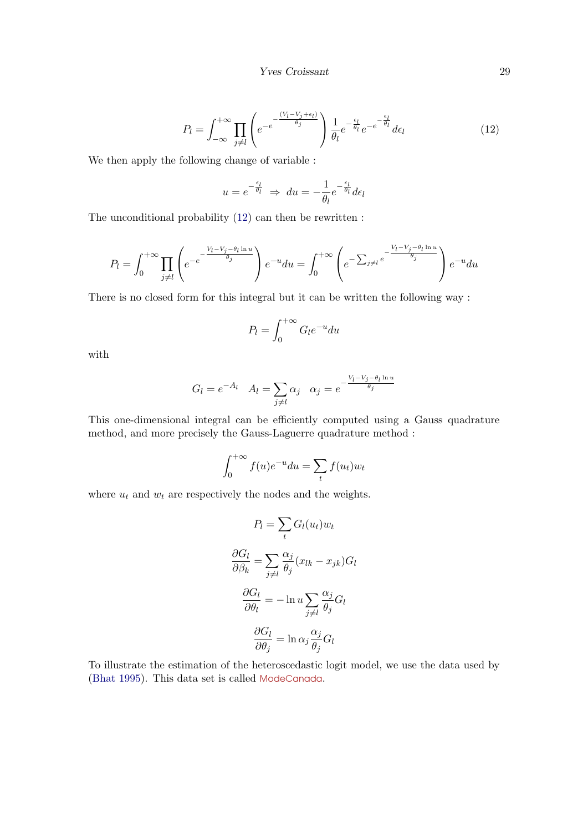<span id="page-28-0"></span>
$$
P_l = \int_{-\infty}^{+\infty} \prod_{j \neq l} \left( e^{-e^{-\frac{(V_l - V_j + \epsilon_l)}{\theta_j}} \right) \frac{1}{\theta_l} e^{-\frac{\epsilon_l}{\theta_l}} e^{-e^{-\frac{\epsilon_l}{\theta_l}}} d\epsilon_l \tag{12}
$$

We then apply the following change of variable :

$$
u = e^{-\frac{\epsilon_l}{\theta_l}} \Rightarrow du = -\frac{1}{\theta_l} e^{-\frac{\epsilon_l}{\theta_l}} d\epsilon_l
$$

The unconditional probability [\(12\)](#page-28-0) can then be rewritten :

$$
P_l = \int_0^{+\infty} \prod_{j \neq l} \left( e^{-e^{-\frac{V_l - V_j - \theta_l \ln u}{\theta_j}} \right) e^{-u} du = \int_0^{+\infty} \left( e^{-\sum_{j \neq l} e^{-\frac{V_l - V_j - \theta_l \ln u}{\theta_j}} \right) e^{-u} du
$$

There is no closed form for this integral but it can be written the following way :

$$
P_l = \int_0^{+\infty} G_l e^{-u} du
$$

with

$$
G_l = e^{-A_l} \quad A_l = \sum_{j \neq l} \alpha_j \quad \alpha_j = e^{-\frac{V_l - V_j - \theta_l \ln u}{\theta_j}}
$$

This one-dimensional integral can be efficiently computed using a Gauss quadrature method, and more precisely the Gauss-Laguerre quadrature method :

$$
\int_0^{+\infty} f(u)e^{-u}du = \sum_t f(u_t)w_t
$$

where  $u_t$  and  $w_t$  are respectively the nodes and the weights.

$$
P_l = \sum_t G_l(u_t) w_t
$$

$$
\frac{\partial G_l}{\partial \beta_k} = \sum_{j \neq l} \frac{\alpha_j}{\theta_j} (x_{lk} - x_{jk}) G_l
$$

$$
\frac{\partial G_l}{\partial \theta_l} = -\ln u \sum_{j \neq l} \frac{\alpha_j}{\theta_j} G_l
$$

$$
\frac{\partial G_l}{\partial \theta_j} = \ln \alpha_j \frac{\alpha_j}{\theta_j} G_l
$$

To illustrate the estimation of the heteroscedastic logit model, we use the data used by [\(Bhat](#page-67-2) [1995\)](#page-67-2). This data set is called ModeCanada.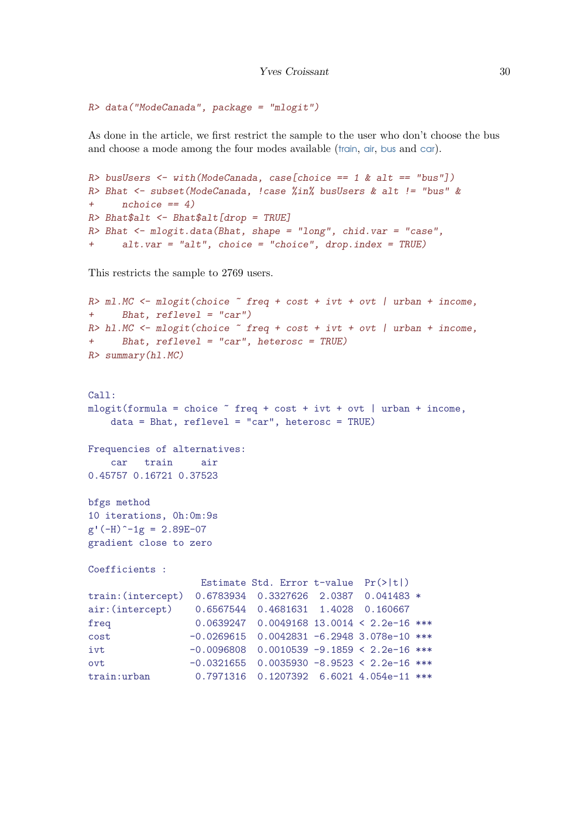```
R> data("ModeCanada", package = "mlogit")
```
As done in the article, we first restrict the sample to the user who don't choose the bus and choose a mode among the four modes available (train, air, bus and car).

```
R> busUsers <- with(ModeCanada, case[choice == 1 & alt == "bus"])
R> Bhat \leq subset (ModeCanada, !case %in% busUsers & alt != "bus" &
+ nchoice == 4)R> Bhat$alt <- Bhat$alt[drop = TRUE]R> Bhat <- mlogit.data(Bhat, shape = "long", chid.var = "case",
+ alt.var = "alt", choice = "choice", drop.index = TRUE)
```
This restricts the sample to 2769 users.

```
R > m1.MC <- mlogit(choice \text{ } "freq + cost + ivt + out | urban + income,+ Bhat, reflevel = "car")
R> hl.MC <- mlogit(choice ~ freq + cost + ivt + ovt | urban + income,
+ Bhat, reflevel = "car", heterosc = TRUE)
R> summary(hl.MC)
Call:
mlogit(formula = choice \tilde{ } freq + cost + ivt + ovt | urban + income,
   data = Bhat, reflevel = "car", heterosc = TRUE)
Frequencies of alternatives:
   car train air
0.45757 0.16721 0.37523
bfgs method
10 iterations, 0h:0m:9s
g'(-H)^{-1}g = 2.89E-07gradient close to zero
Coefficients :
                  Estimate Std. Error t-value Pr(>|t|)
train:(intercept) 0.6783934 0.3327626 2.0387 0.041483 *
air:(intercept) 0.6567544 0.4681631 1.4028 0.160667
freq 0.0639247 0.0049168 13.0014 < 2.2e-16 ***
cost -0.0269615 0.0042831 -6.2948 3.078e-10 ***
ivt -0.0096808 0.0010539 -9.1859 < 2.2e-16 ***
ovt  -0.0321655  0.0035930 -8.9523 < 2.2e-16 ***
train:urban 0.7971316 0.1207392 6.6021 4.054e-11 ***
```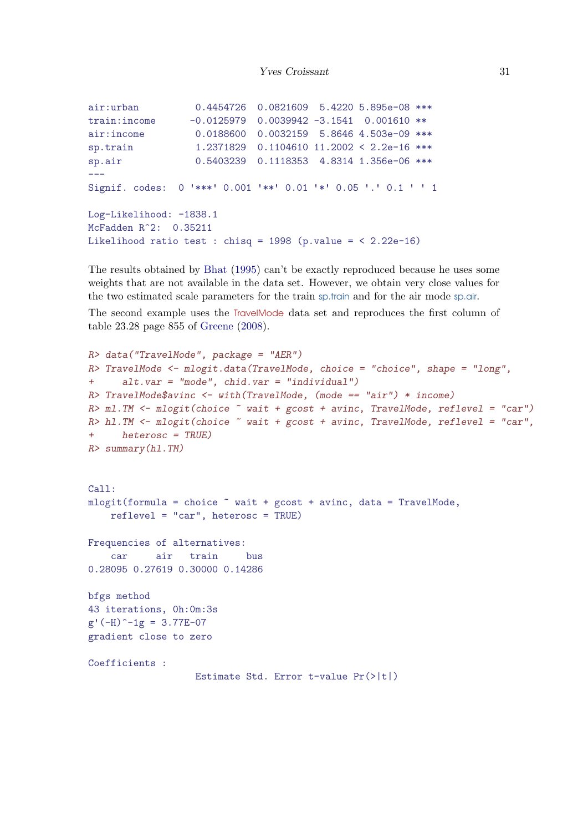```
air:urban 0.4454726 0.0821609 5.4220 5.895e-08 ***
train:income -0.0125979 0.0039942 -3.1541 0.001610 **
air:income  0.0188600  0.0032159  5.8646  4.503e-09 ***
sp.train 1.2371829 0.1104610 11.2002 < 2.2e-16 ***
sp.air 0.5403239 0.1118353 4.8314 1.356e-06 ***
---
Signif. codes: 0 '***' 0.001 '**' 0.01 '*' 0.05 '.' 0.1 ' ' 1
Log-Likelihood: -1838.1
McFadden R^2: 0.35211
Likelihood ratio test : chisq = 1998 (p.value = \leq 2.22e-16)
```
The results obtained by [Bhat](#page-67-2) [\(1995\)](#page-67-2) can't be exactly reproduced because he uses some weights that are not available in the data set. However, we obtain very close values for the two estimated scale parameters for the train sp.train and for the air mode sp.air.

The second example uses the TravelMode data set and reproduces the first column of table 23.28 page 855 of [Greene](#page-68-6) [\(2008\)](#page-68-6).

```
R> data("TravelMode", package = "AER")
R> TravelMode <- mlogit.data(TravelMode, choice = "choice", shape = "long",
+ alt.var = "mode", chid.var = "individual")
R> TravelMode$avinc <- with(TravelMode, (mode == "air") * income)
R> ml.TM \leq mlogit(choice \sim wait + gcost + avinc, TravelMode, reflevel = "car")
R> h1. TM \le m \logit (choice \sim wait + gcost + avinc, TravelMode, reflevel = "car",
+ heterosc = TRUE)
R> summary(hl.TM)
Call:
mlogit(formula = choice ~ value + gcost + avinc, data = TravelMode,reflevel = "car", heterosc = TRUE)
Frequencies of alternatives:
    car air train bus
0.28095 0.27619 0.30000 0.14286
bfgs method
43 iterations, 0h:0m:3s
g'(-H)^{-1}g = 3.77E-07gradient close to zero
Coefficients :
                   Estimate Std. Error t-value Pr(>|t|)
```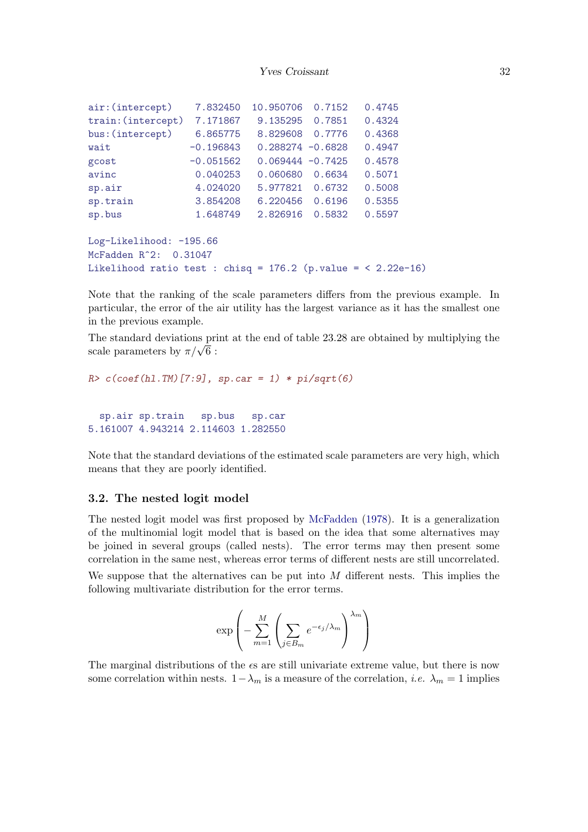| air: (intercept)                                                  | 7.832450    | 10.950706           | 0.7152 | 0.4745 |  |  |  |
|-------------------------------------------------------------------|-------------|---------------------|--------|--------|--|--|--|
| train: (intercept)                                                | 7.171867    | 9.135295            | 0.7851 | 0.4324 |  |  |  |
| bus: (intercept)                                                  | 6.865775    | 8.829608            | 0.7776 | 0.4368 |  |  |  |
| wait                                                              | $-0.196843$ | $0.288274 - 0.6828$ |        | 0.4947 |  |  |  |
| gcost                                                             | $-0.051562$ | $0.069444 - 0.7425$ |        | 0.4578 |  |  |  |
| avinc                                                             | 0.040253    | 0.060680            | 0.6634 | 0.5071 |  |  |  |
| sp.air                                                            | 4.024020    | 5.977821            | 0.6732 | 0.5008 |  |  |  |
| sp.train                                                          | 3.854208    | 6.220456            | 0.6196 | 0.5355 |  |  |  |
| sp.bus                                                            | 1.648749    | 2.826916            | 0.5832 | 0.5597 |  |  |  |
| $Log-Likelihood: -195.66$                                         |             |                     |        |        |  |  |  |
| McFadden R <sup>-2</sup> : 0.31047                                |             |                     |        |        |  |  |  |
| Likelihood ratio test : chisq = $176.2$ (p.value = < $2.22e-16$ ) |             |                     |        |        |  |  |  |

Note that the ranking of the scale parameters differs from the previous example. In particular, the error of the air utility has the largest variance as it has the smallest one in the previous example.

The standard deviations print at the end of table 23.28 are obtained by multiplying the The standard deviations prior-<br>scale parameters by  $\pi/\sqrt{6}$ :

```
R > c(coef(hl.TM)[7:9], sp.car = 1) * pi/sqrt(6)
  sp.air sp.train sp.bus sp.car
```
Note that the standard deviations of the estimated scale parameters are very high, which means that they are poorly identified.

#### 3.2. The nested logit model

5.161007 4.943214 2.114603 1.282550

The nested logit model was first proposed by [McFadden](#page-68-7) [\(1978\)](#page-68-7). It is a generalization of the multinomial logit model that is based on the idea that some alternatives may be joined in several groups (called nests). The error terms may then present some correlation in the same nest, whereas error terms of different nests are still uncorrelated. We suppose that the alternatives can be put into  $M$  different nests. This implies the following multivariate distribution for the error terms.

$$
\exp\left(-\sum_{m=1}^M\left(\sum_{j\in B_m}e^{-\epsilon_j/\lambda_m}\right)^{\lambda_m}\right)
$$

The marginal distributions of the  $\epsilon s$  are still univariate extreme value, but there is now some correlation within nests.  $1-\lambda_m$  is a measure of the correlation, *i.e.*  $\lambda_m = 1$  implies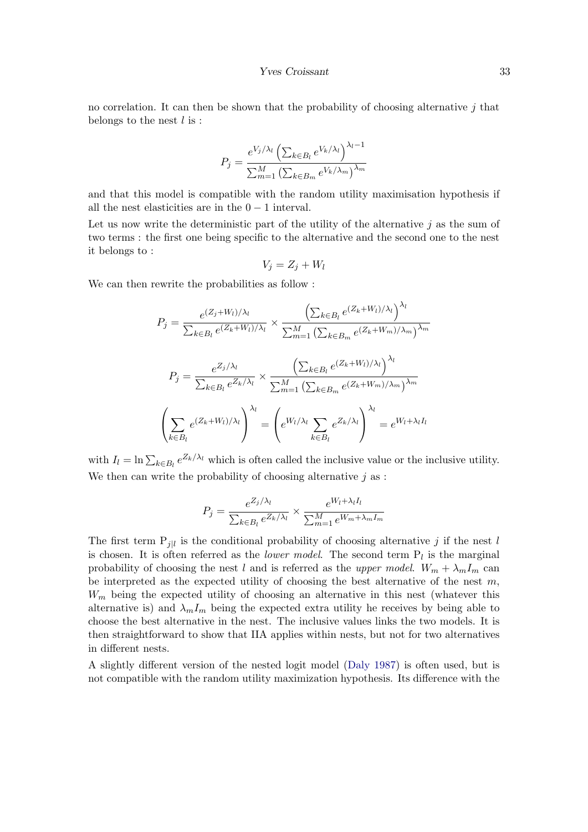no correlation. It can then be shown that the probability of choosing alternative  $j$  that belongs to the nest  $l$  is :

$$
P_j = \frac{e^{V_j/\lambda_l} \left(\sum_{k \in B_l} e^{V_k/\lambda_l}\right)^{\lambda_l - 1}}{\sum_{m=1}^M \left(\sum_{k \in B_m} e^{V_k/\lambda_m}\right)^{\lambda_m}}
$$

and that this model is compatible with the random utility maximisation hypothesis if all the nest elasticities are in the  $0 - 1$  interval.

Let us now write the deterministic part of the utility of the alternative  $i$  as the sum of two terms : the first one being specific to the alternative and the second one to the nest it belongs to :

$$
V_j = Z_j + W_l
$$

We can then rewrite the probabilities as follow :

$$
P_j = \frac{e^{(Z_j + W_l)/\lambda_l}}{\sum_{k \in B_l} e^{(Z_k + W_l)/\lambda_l}} \times \frac{\left(\sum_{k \in B_l} e^{(Z_k + W_l)/\lambda_l}\right)^{\lambda_l}}{\sum_{m=1}^M \left(\sum_{k \in B_m} e^{(Z_k + W_m)/\lambda_m}\right)^{\lambda_m}}
$$

$$
P_j = \frac{e^{Z_j/\lambda_l}}{\sum_{k \in B_l} e^{Z_k/\lambda_l}} \times \frac{\left(\sum_{k \in B_l} e^{(Z_k + W_l)/\lambda_l}\right)^{\lambda_l}}{\sum_{m=1}^M \left(\sum_{k \in B_m} e^{(Z_k + W_m)/\lambda_m}\right)^{\lambda_l}}
$$

$$
\left(\sum_{k \in B_l} e^{(Z_k + W_l)/\lambda_l}\right)^{\lambda_l} = \left(e^{W_l/\lambda_l} \sum_{k \in B_l} e^{Z_k/\lambda_l}\right)^{\lambda_l} = e^{W_l + \lambda_l I_l}
$$

with  $I_l = \ln \sum_{k \in B_l} e^{Z_k/\lambda_l}$  which is often called the inclusive value or the inclusive utility. We then can write the probability of choosing alternative  $j$  as :

$$
P_j = \frac{e^{Z_j/\lambda_l}}{\sum_{k \in B_l} e^{Z_k/\lambda_l}} \times \frac{e^{W_l + \lambda_l I_l}}{\sum_{m=1}^M e^{W_m + \lambda_m I_m}}
$$

The first term  $P_{j|l}$  is the conditional probability of choosing alternative j if the nest l is chosen. It is often referred as the *lower model*. The second term  $P_l$  is the marginal probability of choosing the nest l and is referred as the upper model.  $W_m + \lambda_m I_m$  can be interpreted as the expected utility of choosing the best alternative of the nest  $m$ ,  $W_m$  being the expected utility of choosing an alternative in this nest (whatever this alternative is) and  $\lambda_m I_m$  being the expected extra utility he receives by being able to choose the best alternative in the nest. The inclusive values links the two models. It is then straightforward to show that IIA applies within nests, but not for two alternatives in different nests.

A slightly different version of the nested logit model [\(Daly](#page-68-8) [1987\)](#page-68-8) is often used, but is not compatible with the random utility maximization hypothesis. Its difference with the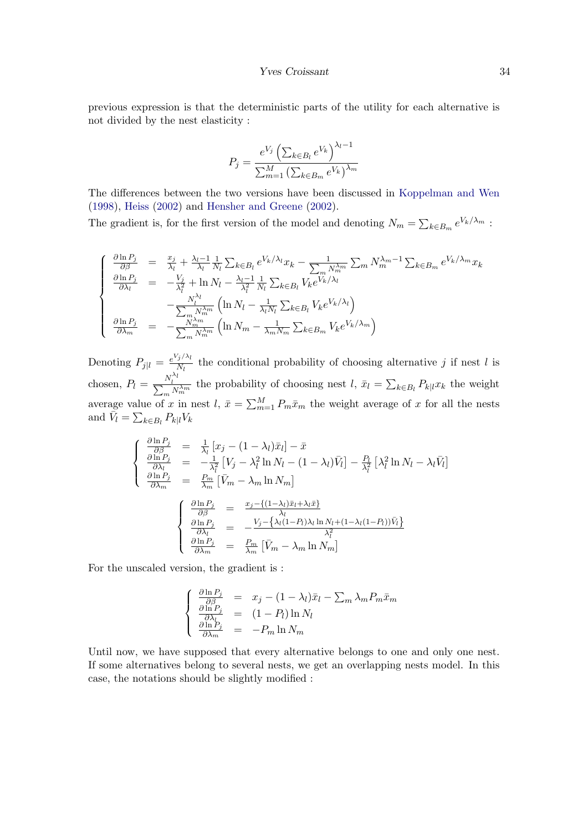previous expression is that the deterministic parts of the utility for each alternative is not divided by the nest elasticity :

$$
P_{j} = \frac{e^{V_{j}} \left(\sum_{k \in B_{l}} e^{V_{k}}\right)^{\lambda_{l}-1}}{\sum_{m=1}^{M} \left(\sum_{k \in B_{m}} e^{V_{k}}\right)^{\lambda_{m}}}
$$

The differences between the two versions have been discussed in [Koppelman and Wen](#page-68-9) [\(1998\)](#page-68-9), [Heiss](#page-68-10) [\(2002\)](#page-68-10) and [Hensher and Greene](#page-68-11) [\(2002\)](#page-68-11).

The gradient is, for the first version of the model and denoting  $N_m = \sum_{k \in B_m} e^{V_k/\lambda_m}$ :

$$
\begin{cases}\n\frac{\partial \ln P_j}{\partial \beta} = \frac{x_j}{\lambda_l} + \frac{\lambda_l - 1}{\lambda_l} \frac{1}{N_l} \sum_{k \in B_l} e^{V_k/\lambda_l} x_k - \frac{1}{\sum_m N_m^{\lambda_m}} \sum_m N_m^{\lambda_m - 1} \sum_{k \in B_m} e^{V_k/\lambda_m} x_k \\
\frac{\partial \ln P_j}{\partial \lambda_l} = -\frac{V_j}{\lambda_l^2} + \ln N_l - \frac{\lambda_l - 1}{\lambda_l^2} \frac{1}{N_l} \sum_{k \in B_l} V_k e^{V_k/\lambda_l} \\
-\frac{N_l^{\lambda_l}}{\sum_m N_m^{\lambda_m}} \left( \ln N_l - \frac{1}{\lambda_l N_l} \sum_{k \in B_l} V_k e^{V_k/\lambda_l} \right) \\
\frac{\partial \ln P_j}{\partial \lambda_m} = -\frac{N_m^{\lambda_m}}{\sum_m N_m^{\lambda_m}} \left( \ln N_m - \frac{1}{\lambda_m N_m} \sum_{k \in B_m} V_k e^{V_k/\lambda_m} \right)\n\end{cases}
$$

Denoting  $P_{j|l} = \frac{e^{V_j/\lambda_l}}{N_l}$  $\frac{j}{N_l}$  the conditional probability of choosing alternative j if nest l is chosen,  $P_l = \frac{N_l^{\lambda_l}}{\sum_m N_m^{\lambda_m}}$  the probability of choosing nest  $l, \bar{x}_l = \sum_{k \in B_l} P_{k|l} x_k$  the weight average value of x in nest  $l, \bar{x} = \sum_{m=1}^{M} P_m \bar{x}_m$  the weight average of x for all the nests and  $\bar{V}_l = \sum_{k \in B_l} P_{k|l} V_k$ 

$$
\begin{cases}\n\frac{\partial \ln P_j}{\partial \beta} = \frac{1}{\lambda_l} [x_j - (1 - \lambda_l)\bar{x}_l] - \bar{x} \\
\frac{\partial \ln P_j}{\partial \lambda_l} = -\frac{1}{\lambda_l^2} [V_j - \lambda_l^2 \ln N_l - (1 - \lambda_l)\bar{V}_l] - \frac{P_l}{\lambda_l^2} [\lambda_l^2 \ln N_l - \lambda_l \bar{V}_l] \\
\frac{\partial \ln P_j}{\partial \lambda_m} = \frac{P_m}{\lambda_m} [\bar{V}_m - \lambda_m \ln N_m] \\
\frac{\partial \ln P_j}{\partial \beta} = \frac{x_j - \{(1 - \lambda_l)\bar{x}_l + \lambda_l \bar{x}\}}{\lambda_l} \\
\frac{\partial \ln P_j}{\partial \lambda_l} = -\frac{V_j - \{\lambda_l(1 - P_l)\lambda_l \ln N_l + (1 - \lambda_l(1 - P_l))\bar{V}_l\}}{\lambda_l^2} \\
\frac{\partial \ln P_j}{\partial \lambda_m} = \frac{P_m}{\lambda_m} [\bar{V}_m - \lambda_m \ln N_m]\n\end{cases}
$$

For the unscaled version, the gradient is :

$$
\begin{cases}\n\frac{\partial \ln P_j}{\partial \beta} = x_j - (1 - \lambda_l)\bar{x}_l - \sum_m \lambda_m P_m \bar{x}_m \\
\frac{\partial \ln P_j}{\partial \lambda_l} = (1 - P_l) \ln N_l \\
\frac{\partial \ln P_j}{\partial \lambda_m} = -P_m \ln N_m\n\end{cases}
$$

Until now, we have supposed that every alternative belongs to one and only one nest. If some alternatives belong to several nests, we get an overlapping nests model. In this case, the notations should be slightly modified :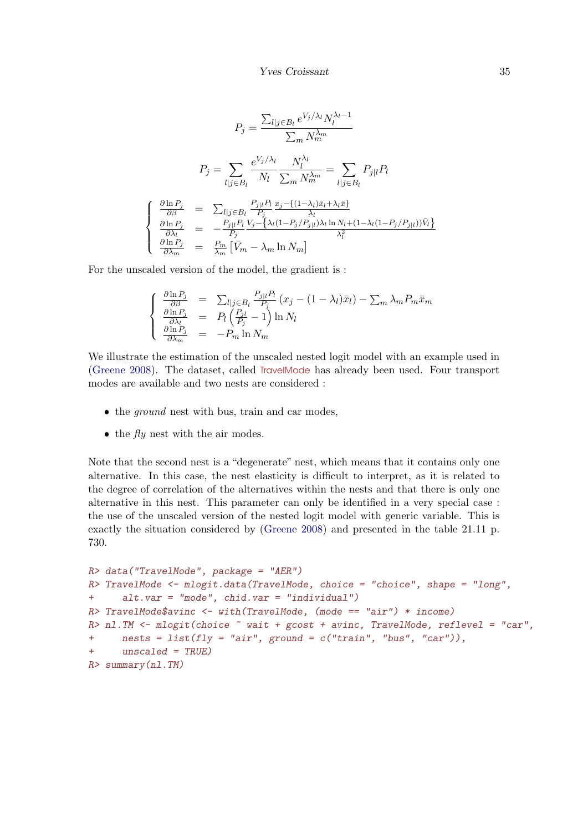$$
P_j = \frac{\sum_{l|j \in B_l} e^{V_j/\lambda_l} N_l^{\lambda_l - 1}}{\sum_m N_m^{\lambda_m}}
$$
  
\n
$$
P_j = \sum_{l|j \in B_l} \frac{e^{V_j/\lambda_l}}{N_l} \frac{N_l^{\lambda_l}}{\sum_m N_m^{\lambda_m}} = \sum_{l|j \in B_l} P_{j|l} P_l
$$
  
\n
$$
\begin{cases}\n\frac{\partial \ln P_j}{\partial \beta} = \sum_{l|j \in B_l} \frac{P_{j|l} P_l}{P_j} \frac{x_j - \{(1 - \lambda_l)\bar{x}_l + \lambda_l \bar{x}\}}{\lambda_l} \\
\frac{\partial \ln P_j}{\partial \lambda_l} = -\frac{P_{j|l} P_l}{P_j} \frac{V_j - \{\lambda_l (1 - P_j/P_{j|l}) \lambda_l \ln N_l + (1 - \lambda_l (1 - P_j/P_{j|l})) \bar{V}_l\}}{\lambda_l^2} \\
\frac{\partial \ln P_j}{\partial \lambda_m} = \frac{P_m}{\lambda_m} \left[ \bar{V}_m - \lambda_m \ln N_m \right]\n\end{cases}
$$

For the unscaled version of the model, the gradient is :

$$
\begin{cases}\n\frac{\partial \ln P_j}{\partial \beta} = \sum_{l|j \in B_l} \frac{P_{j|l} P_l}{P_j} (x_j - (1 - \lambda_l)\bar{x}_l) - \sum_m \lambda_m P_m \bar{x}_m \\
\frac{\partial \ln P_j}{\partial \lambda_l} = P_l \left( \frac{P_{jl}}{P_j} - 1 \right) \ln N_l \\
\frac{\partial \ln P_j}{\partial \lambda_m} = -P_m \ln N_m\n\end{cases}
$$

We illustrate the estimation of the unscaled nested logit model with an example used in [\(Greene](#page-68-6) [2008\)](#page-68-6). The dataset, called TravelMode has already been used. Four transport modes are available and two nests are considered :

- $\bullet$  the *ground* nest with bus, train and car modes,
- $\bullet$  the  $\mathit{fly}$  nest with the air modes.

Note that the second nest is a "degenerate" nest, which means that it contains only one alternative. In this case, the nest elasticity is difficult to interpret, as it is related to the degree of correlation of the alternatives within the nests and that there is only one alternative in this nest. This parameter can only be identified in a very special case : the use of the unscaled version of the nested logit model with generic variable. This is exactly the situation considered by [\(Greene](#page-68-6) [2008\)](#page-68-6) and presented in the table 21.11 p. 730.

```
R> data("TravelMode", package = "AER")
R> TravelMode \leq mlogit.data(TravelMode, choice = "choice", shape = "long",
+ alt.var = "mode", chid.var = "individual")
R> TravelMode$avinc <- with(TravelMode, (mode == "air") * income)
R> nl.TM <- mlogit(choice \tilde{ } wait + gcost + avinc, TravelMode, reflevel = "car",
+ nests = list(fly = "air", ground = c("train", "bus", "car")),
+ unscaled = TRUE)
R> summary(nl.TM)
```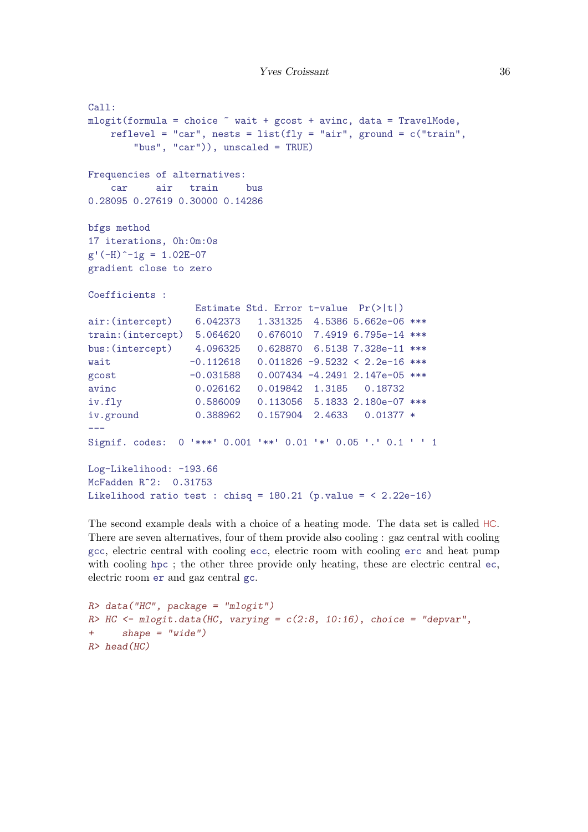```
Call:
mlogit(formula = choice \text{wa}it + gcost + avinc, data = TravelMode,reflevel = "car", nests = list(fly = "air", ground = c("train","bus", "car")), unscaled = TRUE)
Frequencies of alternatives:
   car air train bus
0.28095 0.27619 0.30000 0.14286
bfgs method
17 iterations, 0h:0m:0s
g'(-H)^{-1}g = 1.02E-07gradient close to zero
Coefficients :
                 Estimate Std. Error t-value Pr(>|t|)
air:(intercept) 6.042373 1.331325 4.5386 5.662e-06 ***
train:(intercept) 5.064620 0.676010 7.4919 6.795e-14 ***
bus:(intercept) 4.096325 0.628870 6.5138 7.328e-11 ***
wait -0.112618 0.011826 -9.5232 < 2.2e-16 ***
gcost -0.031588 0.007434 -4.2491 2.147e-05 ***
avinc 0.026162 0.019842 1.3185 0.18732
iv.fly 0.586009 0.113056 5.1833 2.180e-07 ***
iv.ground 0.388962 0.157904 2.4633 0.01377 *
---Signif. codes: 0 '***' 0.001 '**' 0.01 '*' 0.05 '.' 0.1 ' ' 1
Log-Likelihood: -193.66
McFadden R^2: 0.31753
Likelihood ratio test : chisq = 180.21 (p.value = < 2.22e-16)
```
The second example deals with a choice of a heating mode. The data set is called HC. There are seven alternatives, four of them provide also cooling : gaz central with cooling gcc, electric central with cooling ecc, electric room with cooling erc and heat pump with cooling hpc; the other three provide only heating, these are electric central ec, electric room er and gaz central gc.

```
R> data("HC", package = "mlogit")
R> HC <- mlogit.data(HC, varying = c(2:8, 10:16), choice = "depvar",
+ shape = "wide")
R> head(HC)
```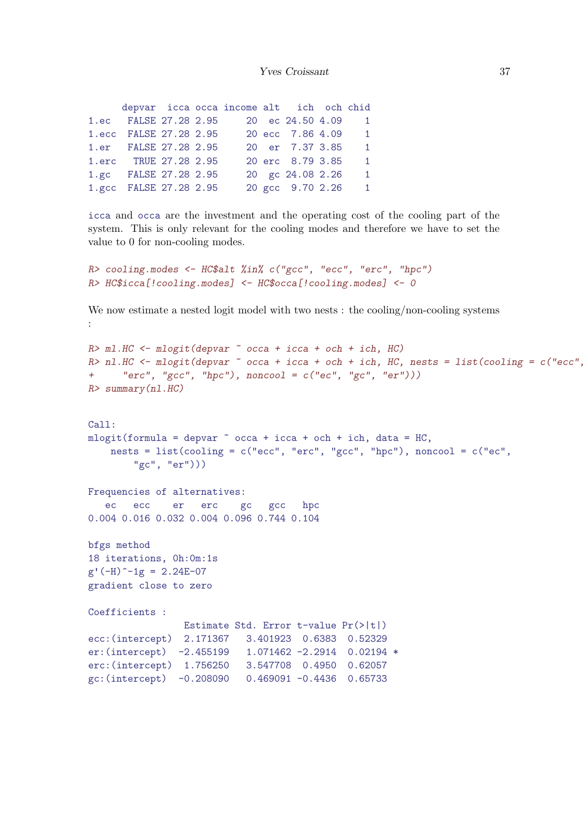|                        |  | depvar icca occa income alt ich och chid |                    |                      |
|------------------------|--|------------------------------------------|--------------------|----------------------|
| 1.ec FALSE 27.28 2.95  |  |                                          | 20 ec 24.50 4.09 1 |                      |
| 1.ecc FALSE 27.28 2.95 |  |                                          | 20 ecc 7.86 4.09 1 |                      |
| 1.er FALSE 27.28 2.95  |  |                                          | 20 er 7.37 3.85    | $\blacktriangleleft$ |
| 1.erc TRUE 27.28 2.95  |  |                                          | 20 erc 8.79 3.85   | $\mathbf{1}$         |
| 1.gc FALSE 27.28 2.95  |  |                                          | 20 gc 24.08 2.26   | $\mathbf{1}$         |
| 1.gcc FALSE 27.28 2.95 |  |                                          | 20 gcc 9.70 2.26 1 |                      |

icca and occa are the investment and the operating cost of the cooling part of the system. This is only relevant for the cooling modes and therefore we have to set the value to 0 for non-cooling modes.

```
R> cooling.modes <- HC$alt %in% c("gcc", "ecc", "erc", "hpc")
R> HC$icca[!cooling.modes] <- HC$occa[!cooling.modes] <- 0
```
We now estimate a nested logit model with two nests : the cooling/non-cooling systems :

```
R> ml.HC <- mlogit(depvar ~ occa + icca + och + ich, HC)
R> nl.HC <- mlogit(depvar \tilde{ } occa + icca + och + ich, HC, nests = list(cooling = c("ecc",
+ "erc", "gcc", "hpc"), noncool = c("ec", "gc", "er"))R> summary(nl.HC)
Call:
mlogit(formula = depvar ~ ~occa + icca + och + ich, data = HC,nests = list(cooling = c("ecc", "erc", "gcc", "hpc"), noncool = <math>c("ec","gc", "er")))
Frequencies of alternatives:
  ec ecc er erc gc gcc hpc
0.004 0.016 0.032 0.004 0.096 0.744 0.104
bfgs method
18 iterations, 0h:0m:1s
g'(-H)^{-1}g = 2.24E-07gradient close to zero
Coefficients :
                Estimate Std. Error t-value Pr(>|t|)
ecc:(intercept) 2.171367 3.401923 0.6383 0.52329
er:(intercept) -2.455199 1.071462 -2.2914 0.02194 *
erc:(intercept) 1.756250 3.547708 0.4950 0.62057
gc:(intercept) -0.208090 0.469091 -0.4436 0.65733
```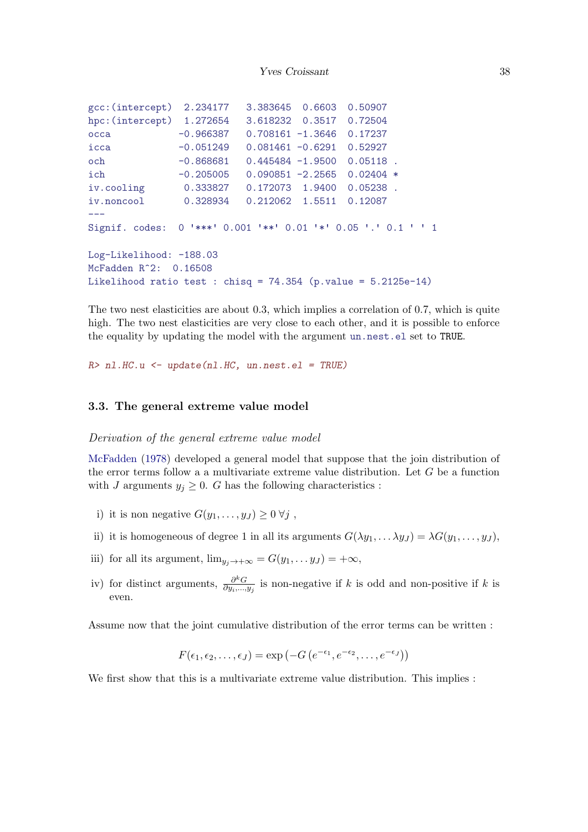```
gcc:(intercept) 2.234177 3.383645 0.6603 0.50907
hpc:(intercept) 1.272654 3.618232 0.3517 0.72504
occa -0.966387 0.708161 -1.3646 0.17237
icca -0.051249 0.081461 -0.6291 0.52927
och -0.868681 0.445484 -1.9500 0.05118 .
ich -0.205005 0.090851 -2.2565 0.02404 *
iv.cooling 0.333827 0.172073 1.9400 0.05238 .
iv.noncool 0.328934 0.212062 1.5511 0.12087
---
Signif. codes: 0 '***' 0.001 '**' 0.01 '*' 0.05 '.' 0.1 ' ' 1
Log-Likelihood: -188.03
McFadden R^2: 0.16508
Likelihood ratio test : chisq = 74.354 (p.value = 5.2125e-14)
```
The two nest elasticities are about 0.3, which implies a correlation of 0.7, which is quite high. The two nest elasticities are very close to each other, and it is possible to enforce the equality by updating the model with the argument un.nest.el set to TRUE.

 $R>$  nl.HC.u  $\leq$  update(nl.HC, un.nest.el = TRUE)

#### <span id="page-37-1"></span>3.3. The general extreme value model

<span id="page-37-2"></span>Derivation of the general extreme value model

[McFadden](#page-68-0) [\(1978\)](#page-68-0) developed a general model that suppose that the join distribution of the error terms follow a a multivariate extreme value distribution. Let  $G$  be a function with J arguments  $y_j \geq 0$ . G has the following characteristics :

- i) it is non negative  $G(y_1, \ldots, y_J) \geq 0 \ \forall j$ ,
- ii) it is homogeneous of degree 1 in all its arguments  $G(\lambda y_1, \dots \lambda y_J) = \lambda G(y_1, \dots, y_J)$ ,
- iii) for all its argument,  $\lim_{y_i \to +\infty} = G(y_1, \dots y_J) = +\infty$ ,
- iv) for distinct arguments,  $\frac{\partial^k G}{\partial w}$  $\frac{\partial^{k}G}{\partial y_{i},...,y_{j}}$  is non-negative if k is odd and non-positive if k is even.

Assume now that the joint cumulative distribution of the error terms can be written :

$$
F(\epsilon_1, \epsilon_2, \dots, \epsilon_J) = \exp(-G(e^{-\epsilon_1}, e^{-\epsilon_2}, \dots, e^{-\epsilon_J}))
$$

We first show that this is a multivariate extreme value distribution. This implies :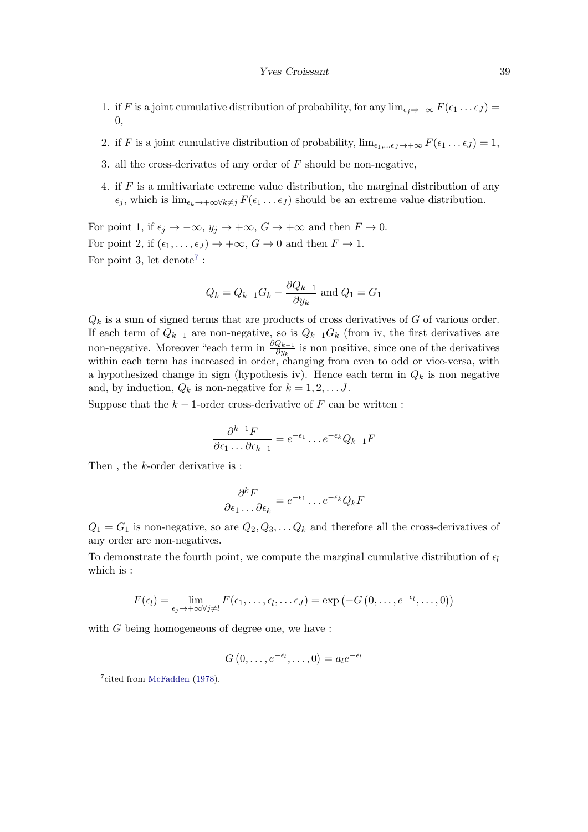- 1. if F is a joint cumulative distribution of probability, for any  $\lim_{\epsilon_i \Rightarrow -\infty} F(\epsilon_1 \dots \epsilon_J)$  = 0,
- 2. if F is a joint cumulative distribution of probability,  $\lim_{\epsilon_1,\dots,\epsilon_J\to+\infty} F(\epsilon_1 \dots \epsilon_J) = 1$ ,
- 3. all the cross-derivates of any order of  $F$  should be non-negative,
- 4. if  $F$  is a multivariate extreme value distribution, the marginal distribution of any  $\epsilon_j$ , which is  $\lim_{\epsilon_k\to+\infty}\forall k\neq j$   $F(\epsilon_1 \dots \epsilon_J)$  should be an extreme value distribution.

For point 1, if  $\epsilon_j \to -\infty$ ,  $y_j \to +\infty$ ,  $G \to +\infty$  and then  $F \to 0$ . For point 2, if  $(\epsilon_1, \ldots, \epsilon_J) \rightarrow +\infty$ ,  $G \rightarrow 0$  and then  $F \rightarrow 1$ . For point 3, let denote<sup>[7](#page-38-0)</sup>:

$$
Q_k = Q_{k-1}G_k - \frac{\partial Q_{k-1}}{\partial y_k}
$$
 and  $Q_1 = G_1$ 

 $Q_k$  is a sum of signed terms that are products of cross derivatives of G of various order. If each term of  $Q_{k-1}$  are non-negative, so is  $Q_{k-1}G_k$  (from iv, the first derivatives are non-negative. Moreover "each term in  $\frac{\partial Q_{k-1}}{\partial y_k}$  is non positive, since one of the derivatives within each term has increased in order, changing from even to odd or vice-versa, with a hypothesized change in sign (hypothesis iv). Hence each term in  $Q_k$  is non negative and, by induction,  $Q_k$  is non-negative for  $k = 1, 2, \ldots J$ .

Suppose that the  $k-1$ -order cross-derivative of F can be written :

$$
\frac{\partial^{k-1} F}{\partial \epsilon_1 \dots \partial \epsilon_{k-1}} = e^{-\epsilon_1} \dots e^{-\epsilon_k} Q_{k-1} F
$$

Then , the k-order derivative is :

$$
\frac{\partial^k F}{\partial \epsilon_1 \dots \partial \epsilon_k} = e^{-\epsilon_1} \dots e^{-\epsilon_k} Q_k F
$$

 $Q_1 = G_1$  is non-negative, so are  $Q_2, Q_3, \ldots Q_k$  and therefore all the cross-derivatives of any order are non-negatives.

To demonstrate the fourth point, we compute the marginal cumulative distribution of  $\epsilon_l$ which is :

$$
F(\epsilon_l) = \lim_{\epsilon_j \to +\infty} F(\epsilon_1, \ldots, \epsilon_l, \ldots \epsilon_J) = \exp(-G(0, \ldots, e^{-\epsilon_l}, \ldots, 0))
$$

with  $G$  being homogeneous of degree one, we have :

$$
G(0,\ldots,e^{-\epsilon_l},\ldots,0)=a_l e^{-\epsilon_l}
$$

<span id="page-38-0"></span><sup>&</sup>lt;sup>7</sup>cited from [McFadden](#page-68-0) [\(1978\)](#page-68-0).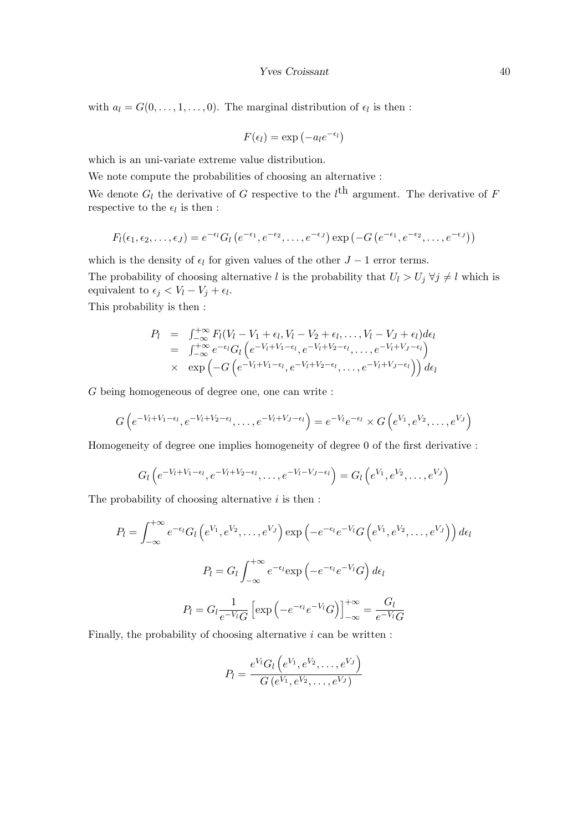with  $a_l = G(0, \ldots, 1, \ldots, 0)$ . The marginal distribution of  $\epsilon_l$  is then :

$$
F(\epsilon_l) = \exp(-a_l e^{-\epsilon_l})
$$

which is an uni-variate extreme value distribution.

We note compute the probabilities of choosing an alternative :

We denote  $G_l$  the derivative of G respective to the  $l^{\text{th}}$  argument. The derivative of F respective to the  $\epsilon_l$  is then :

$$
F_l(\epsilon_1,\epsilon_2,\ldots,\epsilon_J)=e^{-\epsilon_l}G_l\left(e^{-\epsilon_1},e^{-\epsilon_2},\ldots,e^{-\epsilon_J}\right)\exp\left(-G\left(e^{-\epsilon_1},e^{-\epsilon_2},\ldots,e^{-\epsilon_J}\right)\right)
$$

which is the density of  $\epsilon_l$  for given values of the other  $J - 1$  error terms. The probability of choosing alternative l is the probability that  $U_l > U_j \,\forall j \neq l$  which is equivalent to  $\epsilon_j < V_l - V_j + \epsilon_l$ . This probability is then :

$$
P_l = \int_{-\infty}^{+\infty} F_l(V_l - V_1 + \epsilon_l, V_l - V_2 + \epsilon_l, \dots, V_l - V_J + \epsilon_l) d\epsilon_l
$$
  
\n
$$
= \int_{-\infty}^{+\infty} e^{-\epsilon_l} G_l \left( e^{-V_l + V_1 - \epsilon_l}, e^{-V_l + V_2 - \epsilon_l}, \dots, e^{-V_l + V_J - \epsilon_l} \right)
$$
  
\n
$$
\times \exp \left( -G \left( e^{-V_l + V_1 - \epsilon_l}, e^{-V_l + V_2 - \epsilon_l}, \dots, e^{-V_l + V_J - \epsilon_l} \right) \right) d\epsilon_l
$$

G being homogeneous of degree one, one can write :

$$
G\left(e^{-V_l+V_1-\epsilon_l},e^{-V_l+V_2-\epsilon_l},\ldots,e^{-V_l+V_J-\epsilon_l}\right)=e^{-V_l}e^{-\epsilon_l}\times G\left(e^{V_1},e^{V_2},\ldots,e^{V_J}\right)
$$

Homogeneity of degree one implies homogeneity of degree 0 of the first derivative :

$$
G_l\left(e^{-V_l+V_1-\epsilon_l},e^{-V_l+V_2-\epsilon_l},\ldots,e^{-V_l-V_J-\epsilon_l}\right)=G_l\left(e^{V_1},e^{V_2},\ldots,e^{V_J}\right)
$$

The probability of choosing alternative  $i$  is then :

$$
P_l = \int_{-\infty}^{+\infty} e^{-\epsilon_l} G_l \left( e^{V_1}, e^{V_2}, \dots, e^{V_J} \right) \exp \left( -e^{-\epsilon_l} e^{-V_l} G \left( e^{V_1}, e^{V_2}, \dots, e^{V_J} \right) \right) d\epsilon_l
$$

$$
P_l = G_l \int_{-\infty}^{+\infty} e^{-\epsilon_l} \exp \left( -e^{-\epsilon_l} e^{-V_l} G \right) d\epsilon_l
$$

$$
P_l = G_l \frac{1}{e^{-V_l} G} \left[ \exp \left( -e^{-\epsilon_l} e^{-V_l} G \right) \right]_{-\infty}^{+\infty} = \frac{G_l}{e^{-V_l} G}
$$

Finally, the probability of choosing alternative  $i$  can be written :

$$
P_l = \frac{e^{V_l} G_l \left(e^{V_1}, e^{V_2}, \dots, e^{V_J}\right)}{G \left(e^{V_1}, e^{V_2}, \dots, e^{V_J}\right)}
$$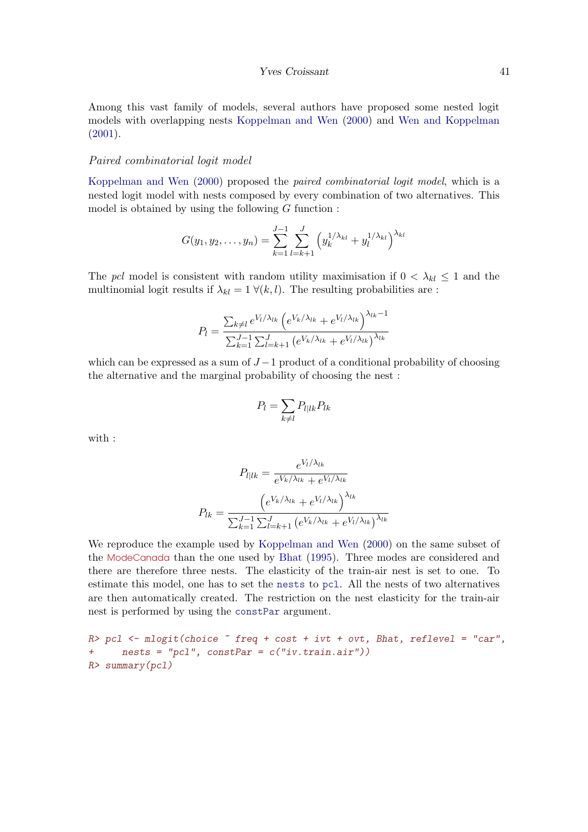<span id="page-40-0"></span>Among this vast family of models, several authors have proposed some nested logit models with overlapping nests [Koppelman and Wen](#page-68-1) [\(2000\)](#page-68-1) and [Wen and Koppelman](#page-69-0) [\(2001\)](#page-69-0).

#### <span id="page-40-1"></span>Paired combinatorial logit model

[Koppelman and Wen](#page-68-1) [\(2000\)](#page-68-1) proposed the paired combinatorial logit model, which is a nested logit model with nests composed by every combination of two alternatives. This model is obtained by using the following  $G$  function :

$$
G(y_1, y_2, \dots, y_n) = \sum_{k=1}^{J-1} \sum_{l=k+1}^{J} \left( y_k^{1/\lambda_{kl}} + y_l^{1/\lambda_{kl}} \right)^{\lambda_{kl}}
$$

The pcl model is consistent with random utility maximisation if  $0 < \lambda_{kl} \leq 1$  and the multinomial logit results if  $\lambda_{kl} = 1 \ \forall (k, l)$ . The resulting probabilities are :

$$
P_{l} = \frac{\sum_{k \neq l} e^{V_{l}/\lambda_{lk}} \left( e^{V_{k}/\lambda_{lk}} + e^{V_{l}/\lambda_{lk}} \right)^{\lambda_{lk} - 1}}{\sum_{k=1}^{J-1} \sum_{l=k+1}^{J} \left( e^{V_{k}/\lambda_{lk}} + e^{V_{l}/\lambda_{lk}} \right)^{\lambda_{lk}}}
$$

which can be expressed as a sum of  $J-1$  product of a conditional probability of choosing the alternative and the marginal probability of choosing the nest :

$$
P_l = \sum_{k \neq l} P_{l|lk} P_{lk}
$$

with :

$$
P_{l|lk} = \frac{e^{V_l/\lambda_{lk}}}{e^{V_k/\lambda_{lk}} + e^{V_l/\lambda_{lk}}}
$$

$$
P_{lk} = \frac{\left(e^{V_k/\lambda_{lk}} + e^{V_l/\lambda_{lk}}\right)^{\lambda_{lk}}}{\sum_{k=1}^{J-1} \sum_{l=k+1}^{J} \left(e^{V_k/\lambda_{lk}} + e^{V_l/\lambda_{lk}}\right)^{\lambda_{lk}}}
$$

We reproduce the example used by [Koppelman and Wen](#page-68-1) [\(2000\)](#page-68-1) on the same subset of the ModeCanada than the one used by [Bhat](#page-67-0) [\(1995\)](#page-67-0). Three modes are considered and there are therefore three nests. The elasticity of the train-air nest is set to one. To estimate this model, one has to set the nests to pcl. All the nests of two alternatives are then automatically created. The restriction on the nest elasticity for the train-air nest is performed by using the constPar argument.

 $R$ > pcl <- mlogit(choice  $\tilde{ }$  freq + cost + ivt + ovt, Bhat, reflevel = "car", + nests = "pcl", constPar = c("iv.train.air")) R> summary(pcl)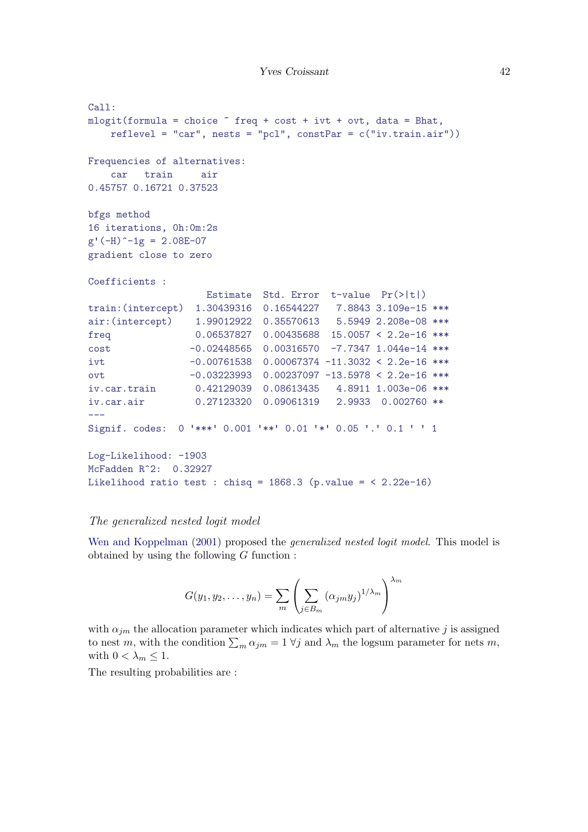```
Call:
mlogit(formula = choice freq + cost + ivt + ovt, data = Bhat,reflevel = "car", nests = "pc1", constPar = c("iv.train-air"))Frequencies of alternatives:
   car train air
0.45757 0.16721 0.37523
bfgs method
16 iterations, 0h:0m:2s
g'(-H)^{-1}g = 2.08E-07gradient close to zero
Coefficients :
                   Estimate Std. Error t-value Pr(>|t|)
train:(intercept) 1.30439316 0.16544227 7.8843 3.109e-15 ***
air:(intercept)  1.99012922  0.35570613  5.5949  2.208e-08 ***
freq 0.06537827 0.00435688 15.0057 < 2.2e-16 ***
cost -0.02448565 0.00316570 -7.7347 1.044e-14 ***
ivt -0.00761538 0.00067374 -11.3032 < 2.2e-16 ***
ovt -0.03223993 0.00237097 -13.5978 < 2.2e-16 ***
iv.car.train 0.42129039 0.08613435 4.8911 1.003e-06 ***
iv.car.air 0.27123320 0.09061319 2.9933 0.002760 **
---Signif. codes: 0 '***' 0.001 '**' 0.01 '*' 0.05 '.' 0.1 ' ' 1
Log-Likelihood: -1903
McFadden R^2: 0.32927
Likelihood ratio test : chisq = 1868.3 (p.value = < 2.22e-16)
```
#### <span id="page-41-0"></span>The generalized nested logit model

[Wen and Koppelman](#page-69-0) [\(2001\)](#page-69-0) proposed the *generalized nested logit model*. This model is obtained by using the following  $G$  function :

$$
G(y_1, y_2, \dots, y_n) = \sum_m \left( \sum_{j \in B_m} (\alpha_{jm} y_j)^{1/\lambda_m} \right)^{\lambda_m}
$$

with  $\alpha_{jm}$  the allocation parameter which indicates which part of alternative j is assigned to nest m, with the condition  $\sum_m \alpha_{jm} = 1 \ \forall j$  and  $\lambda_m$  the logsum parameter for nets m, with  $0 < \lambda_m \leq 1$ .

The resulting probabilities are :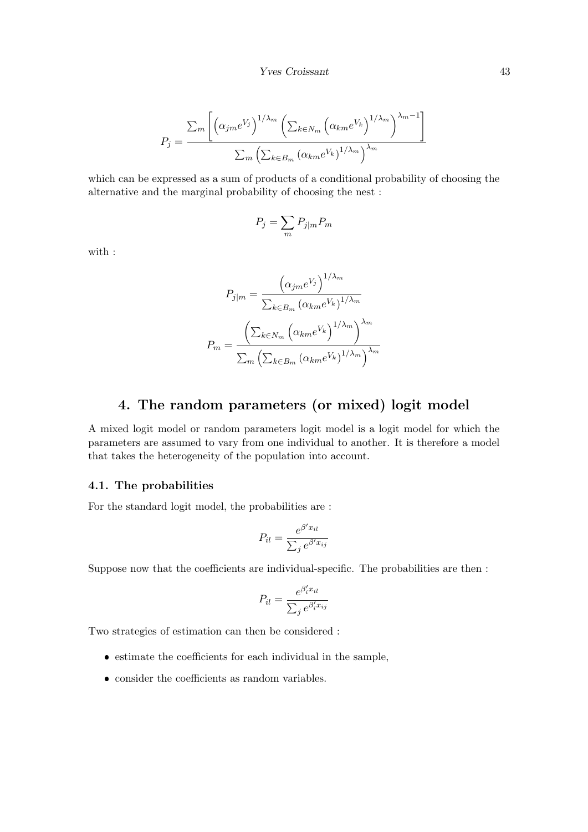$$
P_j = \frac{\sum_m \left[ \left( \alpha_{j m} e^{V_j} \right)^{1/\lambda_m} \left( \sum_{k \in N_m} \left( \alpha_{k m} e^{V_k} \right)^{1/\lambda_m} \right)^{\lambda_m - 1} \right]}{\sum_m \left( \sum_{k \in B_m} \left( \alpha_{k m} e^{V_k} \right)^{1/\lambda_m} \right)^{\lambda_m}}
$$

which can be expressed as a sum of products of a conditional probability of choosing the alternative and the marginal probability of choosing the nest :

$$
P_j = \sum_m P_{j|m} P_m
$$

with :

$$
P_{j|m} = \frac{\left(\alpha_{jm}e^{V_j}\right)^{1/\lambda_m}}{\sum_{k \in B_m} \left(\alpha_{km}e^{V_k}\right)^{1/\lambda_m}}
$$

$$
P_m = \frac{\left(\sum_{k \in N_m} \left(\alpha_{km}e^{V_k}\right)^{1/\lambda_m}\right)^{\lambda_m}}{\sum_m \left(\sum_{k \in B_m} \left(\alpha_{km}e^{V_k}\right)^{1/\lambda_m}\right)^{\lambda_m}}
$$

## 4. The random parameters (or mixed) logit model

<span id="page-42-0"></span>A mixed logit model or random parameters logit model is a logit model for which the parameters are assumed to vary from one individual to another. It is therefore a model that takes the heterogeneity of the population into account.

### <span id="page-42-1"></span>4.1. The probabilities

For the standard logit model, the probabilities are :

$$
P_{il} = \frac{e^{\beta' x_{il}}}{\sum_{j} e^{\beta' x_{ij}}}
$$

Suppose now that the coefficients are individual-specific. The probabilities are then :

$$
P_{il} = \frac{e^{\beta'_i x_{il}}}{\sum_j e^{\beta'_i x_{ij}}}
$$

Two strategies of estimation can then be considered :

- estimate the coefficients for each individual in the sample,
- consider the coefficients as random variables.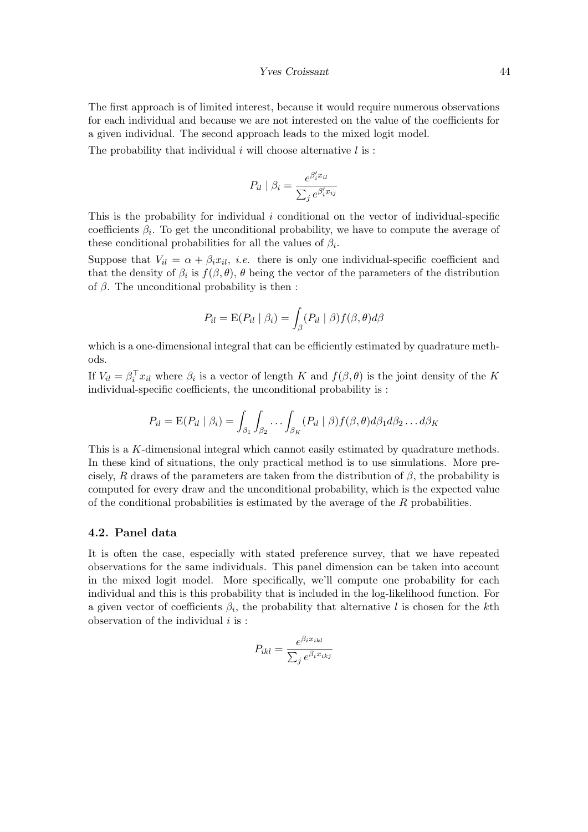#### Yves Croissant 44

The first approach is of limited interest, because it would require numerous observations for each individual and because we are not interested on the value of the coefficients for a given individual. The second approach leads to the mixed logit model.

The probability that individual  $i$  will choose alternative  $l$  is:

$$
P_{il} | \beta_i = \frac{e^{\beta'_i x_{il}}}{\sum_j e^{\beta'_i x_{ij}}}
$$

This is the probability for individual i conditional on the vector of individual-specific coefficients  $\beta_i$ . To get the unconditional probability, we have to compute the average of these conditional probabilities for all the values of  $\beta_i$ .

Suppose that  $V_{il} = \alpha + \beta_i x_{il}$ , *i.e.* there is only one individual-specific coefficient and that the density of  $\beta_i$  is  $f(\beta, \theta)$ ,  $\theta$  being the vector of the parameters of the distribution of  $\beta$ . The unconditional probability is then :

$$
P_{il} = \mathrm{E}(P_{il} | \beta_i) = \int_{\beta} (P_{il} | \beta) f(\beta, \theta) d\beta
$$

which is a one-dimensional integral that can be efficiently estimated by quadrature methods.

If  $V_{il} = \beta_i^T x_{il}$  where  $\beta_i$  is a vector of length K and  $f(\beta, \theta)$  is the joint density of the K individual-specific coefficients, the unconditional probability is :

$$
P_{il} = \mathrm{E}(P_{il} | \beta_i) = \int_{\beta_1} \int_{\beta_2} \ldots \int_{\beta_K} (P_{il} | \beta) f(\beta, \theta) d\beta_1 d\beta_2 \ldots d\beta_K
$$

This is a K-dimensional integral which cannot easily estimated by quadrature methods. In these kind of situations, the only practical method is to use simulations. More precisely, R draws of the parameters are taken from the distribution of  $\beta$ , the probability is computed for every draw and the unconditional probability, which is the expected value of the conditional probabilities is estimated by the average of the R probabilities.

#### <span id="page-43-0"></span>4.2. Panel data

It is often the case, especially with stated preference survey, that we have repeated observations for the same individuals. This panel dimension can be taken into account in the mixed logit model. More specifically, we'll compute one probability for each individual and this is this probability that is included in the log-likelihood function. For a given vector of coefficients  $\beta_i$ , the probability that alternative l is chosen for the kth observation of the individual  $i$  is :

$$
P_{ikl} = \frac{e^{\beta_i x_{ikl}}}{\sum_j e^{\beta_i x_{ikj}}}
$$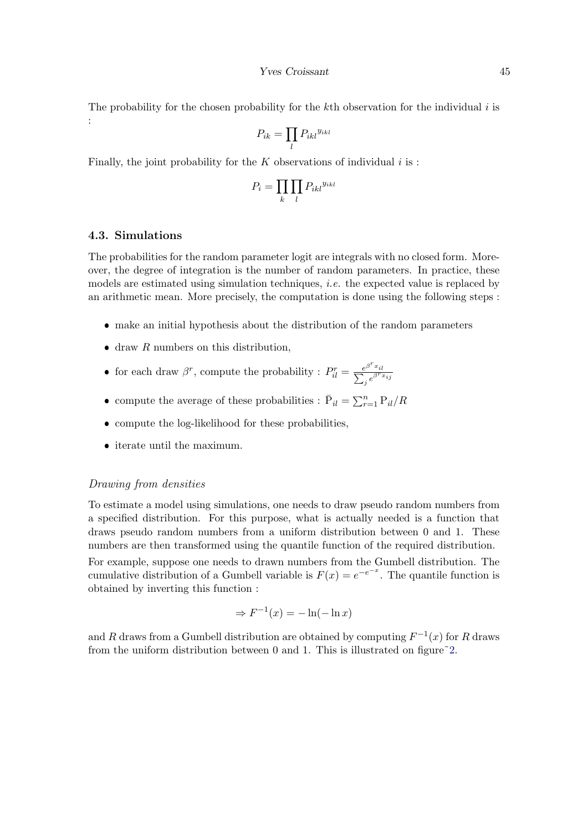The probability for the chosen probability for the kth observation for the individual  $i$  is :

$$
P_{ik} = \prod_l P_{ikl}^{y_{ikl}}
$$

Finally, the joint probability for the  $K$  observations of individual  $i$  is :

$$
P_i = \prod_k \prod_l P_{ikl}^{y_{ikl}}
$$

## <span id="page-44-0"></span>4.3. Simulations

The probabilities for the random parameter logit are integrals with no closed form. Moreover, the degree of integration is the number of random parameters. In practice, these models are estimated using simulation techniques, *i.e.* the expected value is replaced by an arithmetic mean. More precisely, the computation is done using the following steps :

- make an initial hypothesis about the distribution of the random parameters
- $\bullet$  draw R numbers on this distribution,
- for each draw  $\beta^r$ , compute the probability :  $P_{il}^r = \frac{e^{\beta^r x_{il}}}{\sum_j e^{\beta^r x_{ij}}}$
- compute the average of these probabilities :  $\bar{P}_{il} = \sum_{r=1}^{n} P_{il}/R$
- compute the log-likelihood for these probabilities,
- $\bullet\,$  iterate until the maximum.

#### <span id="page-44-1"></span>Drawing from densities

To estimate a model using simulations, one needs to draw pseudo random numbers from a specified distribution. For this purpose, what is actually needed is a function that draws pseudo random numbers from a uniform distribution between 0 and 1. These numbers are then transformed using the quantile function of the required distribution.

For example, suppose one needs to drawn numbers from the Gumbell distribution. The cumulative distribution of a Gumbell variable is  $F(x) = e^{-e^{-x}}$ . The quantile function is obtained by inverting this function :

$$
\Rightarrow F^{-1}(x) = -\ln(-\ln x)
$$

and R draws from a Gumbell distribution are obtained by computing  $F^{-1}(x)$  for R draws from the uniform distribution between 0 and 1. This is illustrated on figure<sup> $\degree$ 2.</sup>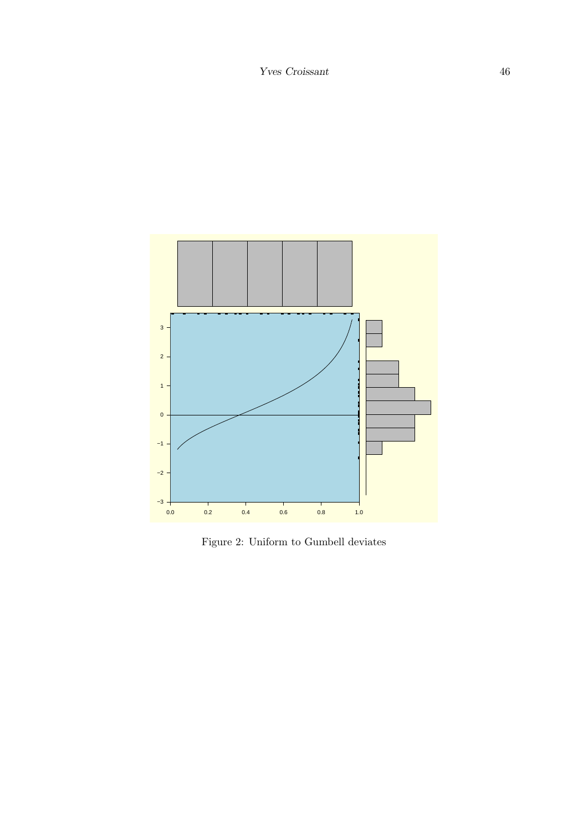

<span id="page-45-0"></span>Figure 2: Uniform to Gumbell deviates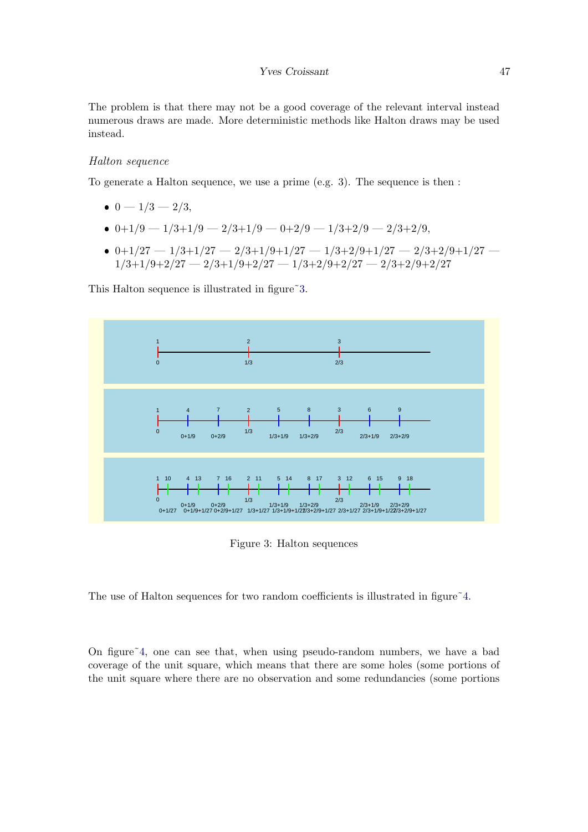The problem is that there may not be a good coverage of the relevant interval instead numerous draws are made. More deterministic methods like Halton draws may be used instead.

#### Halton sequence

To generate a Halton sequence, we use a prime (e.g. 3). The sequence is then :

- $0 1/3 2/3$ ,
- $0+1/9-1/3+1/9-2/3+1/9-0+2/9-1/3+2/9-2/3+2/9,$
- $0+1/27-1/3+1/27-2/3+1/9+1/27-1/3+2/9+1/27-2/3+2/9+1/27 1/3+1/9+2/27 - 2/3+1/9+2/27 - 1/3+2/9+2/27 - 2/3+2/9+2/27$

This Halton sequence is illustrated in figure 3.



<span id="page-46-0"></span>Figure 3: Halton sequences

The use of Halton sequences for two random coefficients is illustrated in figure  $4$ .

On figure[˜4,](#page-47-0) one can see that, when using pseudo-random numbers, we have a bad coverage of the unit square, which means that there are some holes (some portions of the unit square where there are no observation and some redundancies (some portions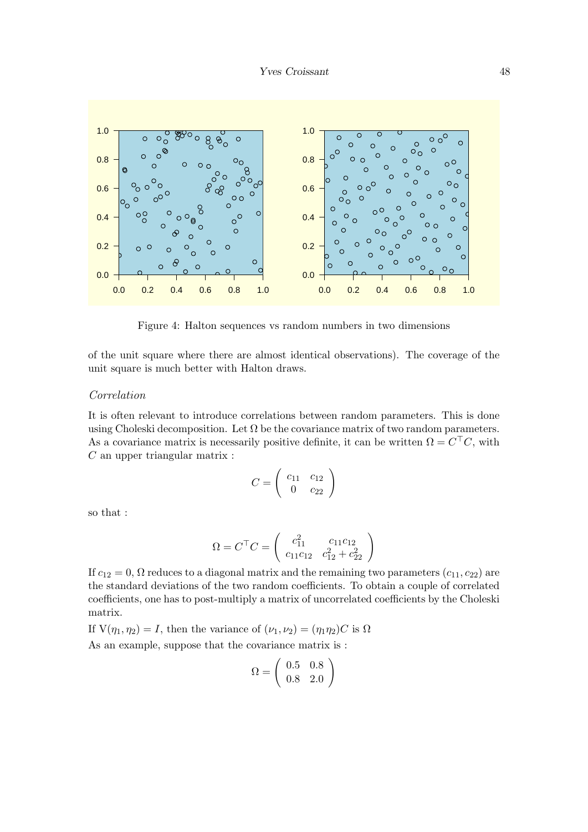

<span id="page-47-0"></span>Figure 4: Halton sequences vs random numbers in two dimensions

of the unit square where there are almost identical observations). The coverage of the unit square is much better with Halton draws.

## Correlation

It is often relevant to introduce correlations between random parameters. This is done using Choleski decomposition. Let  $\Omega$  be the covariance matrix of two random parameters. As a covariance matrix is necessarily positive definite, it can be written  $\Omega = C^{\top}C$ , with  $C$  an upper triangular matrix :

$$
C = \left(\begin{array}{cc} c_{11} & c_{12} \\ 0 & c_{22} \end{array}\right)
$$

so that :

$$
\Omega = C^{\top} C = \begin{pmatrix} c_{11}^{2} & c_{11}c_{12} \\ c_{11}c_{12} & c_{12}^{2} + c_{22}^{2} \end{pmatrix}
$$

If  $c_{12} = 0$ ,  $\Omega$  reduces to a diagonal matrix and the remaining two parameters  $(c_{11}, c_{22})$  are the standard deviations of the two random coefficients. To obtain a couple of correlated coefficients, one has to post-multiply a matrix of uncorrelated coefficients by the Choleski matrix.

If  $V(\eta_1, \eta_2) = I$ , then the variance of  $(\nu_1, \nu_2) = (\eta_1 \eta_2)C$  is  $\Omega$ 

As an example, suppose that the covariance matrix is :

$$
\Omega = \left(\begin{array}{cc} 0.5 & 0.8\\ 0.8 & 2.0 \end{array}\right)
$$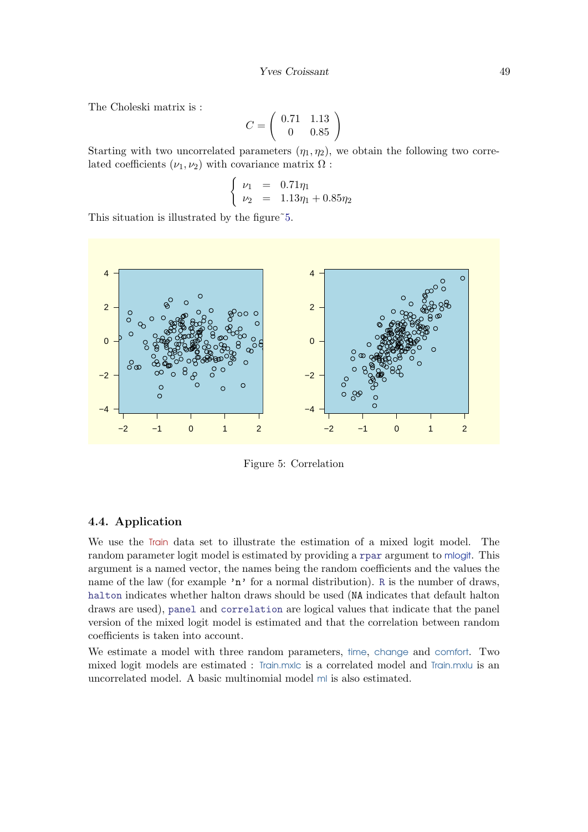<span id="page-48-1"></span>The Choleski matrix is :

$$
C = \left(\begin{array}{cc} 0.71 & 1.13 \\ 0 & 0.85 \end{array}\right)
$$

Starting with two uncorrelated parameters  $(\eta_1, \eta_2)$ , we obtain the following two correlated coefficients  $(\nu_1, \nu_2)$  with covariance matrix  $\Omega$ :

$$
\begin{cases}\n \nu_1 = 0.71\eta_1 \\
 \nu_2 = 1.13\eta_1 + 0.85\eta_2\n\end{cases}
$$

This situation is illustrated by the figure  $\tilde{5}$ .



<span id="page-48-0"></span>Figure 5: Correlation

#### 4.4. Application

We use the Train data set to illustrate the estimation of a mixed logit model. The random parameter logit model is estimated by providing a rpar argument to mlogit. This argument is a named vector, the names being the random coefficients and the values the name of the law (for example 'n' for a normal distribution). R is the number of draws, halton indicates whether halton draws should be used (NA indicates that default halton draws are used), panel and correlation are logical values that indicate that the panel version of the mixed logit model is estimated and that the correlation between random coefficients is taken into account.

We estimate a model with three random parameters, time, change and comfort. Two mixed logit models are estimated : Train.mxlc is a correlated model and Train.mxlu is an uncorrelated model. A basic multinomial model ml is also estimated.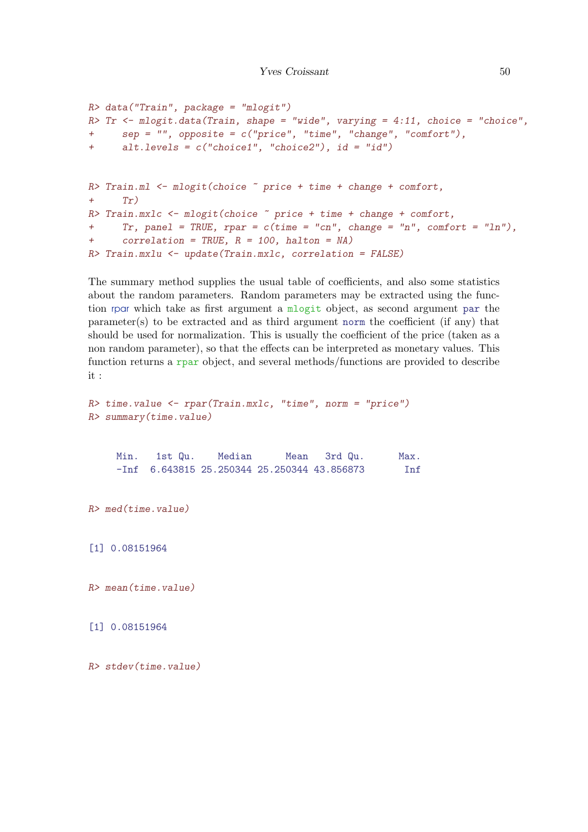```
R> data("Train", package = "mlogit")
R> Tr <- mlogit.data(Train, shape = "wide", varying = 4:11, choice = "choice",
+ sep = "", opposite = c("price", "time", "change", "comfort"),
+ alt.levels = c("choice1", "choice2"), id = "id")
R> Train.ml <- mlogit(choice ~ price + time + change + comfort,
+ Tr)R> Train.mxlc <- mlogit(choice \tilde{ } price + time + change + comfort,
+ Tr, panel = TRUE, rpar = c(time = "cn", change = "n", comfort = "ln"),
+ correlation = TRUE, R = 100, halton = NA)
R> Train.mxlu <- update(Train.mxlc, correlation = FALSE)
```
The summary method supplies the usual table of coefficients, and also some statistics about the random parameters. Random parameters may be extracted using the function rpar which take as first argument a mlogit object, as second argument par the parameter(s) to be extracted and as third argument norm the coefficient (if any) that should be used for normalization. This is usually the coefficient of the price (taken as a non random parameter), so that the effects can be interpreted as monetary values. This function returns a rpar object, and several methods/functions are provided to describe it :

```
R> time.value <- rpar(Train.mxlc, "time", norm = "price")
R> summary(time.value)
    Min. 1st Qu. Median Mean 3rd Qu. Max.
    -Inf 6.643815 25.250344 25.250344 43.856873 Inf
R> med(time.value)
[1] 0.08151964
R> mean(time.value)
[1] 0.08151964
R> stdev(time.value)
```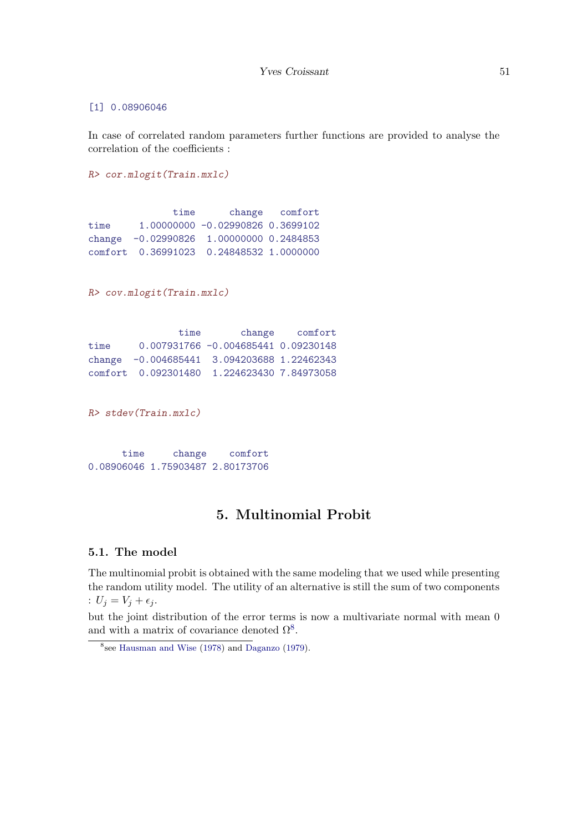## [1] 0.08906046

In case of correlated random parameters further functions are provided to analyse the correlation of the coefficients :

```
R> cor.mlogit(Train.mxlc)
              time change comfort
time 1.00000000 -0.02990826 0.3699102
change -0.02990826 1.00000000 0.2484853
comfort 0.36991023 0.24848532 1.0000000
R> cov.mlogit(Train.mxlc)
              time change comfort
time 0.007931766 -0.004685441 0.09230148
change -0.004685441 3.094203688 1.22462343
comfort 0.092301480 1.224623430 7.84973058
R> stdev(Train.mxlc)
     time change comfort
0.08906046 1.75903487 2.80173706
```
## 5. Multinomial Probit

## 5.1. The model

The multinomial probit is obtained with the same modeling that we used while presenting the random utility model. The utility of an alternative is still the sum of two components :  $U_j = V_j + \epsilon_j$ .

but the joint distribution of the error terms is now a multivariate normal with mean 0 and with a matrix of covariance denoted  $\Omega^8$  $\Omega^8$ .

<span id="page-50-0"></span><sup>8</sup> see [Hausman and Wise](#page-68-2) [\(1978\)](#page-68-2) and [Daganzo](#page-67-1) [\(1979\)](#page-67-1).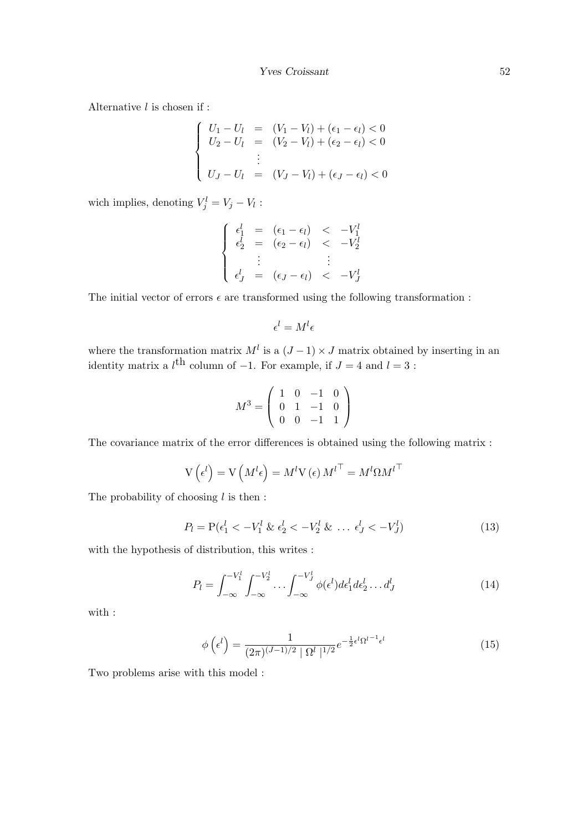Alternative  $l$  is chosen if :

$$
\begin{cases}\nU_1 - U_l = (V_1 - V_l) + (\epsilon_1 - \epsilon_l) < 0 \\
U_2 - U_l = (V_2 - V_l) + (\epsilon_2 - \epsilon_l) < 0 \\
\vdots \\
U_J - U_l = (V_J - V_l) + (\epsilon_J - \epsilon_l) < 0\n\end{cases}
$$

wich implies, denoting  $V_j^l = V_j - V_l$ :

$$
\begin{cases}\n\epsilon_1^l = (\epsilon_1 - \epsilon_l) < -V_1^l \\
\epsilon_2^l = (\epsilon_2 - \epsilon_l) < -V_2^l \\
\vdots & \vdots \\
\epsilon_J^l = (\epsilon_J - \epsilon_l) < -V_J^l\n\end{cases}
$$

The initial vector of errors  $\epsilon$  are transformed using the following transformation :

$$
\epsilon^l = M^l \epsilon
$$

where the transformation matrix  $M^l$  is a  $(J-1) \times J$  matrix obtained by inserting in an identity matrix a  $l^{\text{th}}$  column of -1. For example, if  $J = 4$  and  $l = 3$ :

$$
M^3 = \left(\begin{array}{rrr} 1 & 0 & -1 & 0 \\ 0 & 1 & -1 & 0 \\ 0 & 0 & -1 & 1 \end{array}\right)
$$

The covariance matrix of the error differences is obtained using the following matrix :

$$
V\left(\epsilon^{l}\right) = V\left(M^{l}\epsilon\right) = M^{l}V\left(\epsilon\right)M^{l}^{\top} = M^{l}\Omega M^{l}^{\top}
$$

The probability of choosing  $l$  is then :

$$
P_l = \mathcal{P}(\epsilon_1^l < -V_1^l \& \epsilon_2^l < -V_2^l \& \dots \epsilon_J^l < -V_J^l) \tag{13}
$$

with the hypothesis of distribution, this writes :

$$
P_l = \int_{-\infty}^{-V_1^l} \int_{-\infty}^{-V_2^l} \dots \int_{-\infty}^{-V_J^l} \phi(\epsilon^l) d\epsilon_1^l d\epsilon_2^l \dots d_J^l
$$
 (14)

with :

$$
\phi\left(\epsilon^l\right) = \frac{1}{(2\pi)^{(J-1)/2} \mid \Omega^l \mid^{1/2}} e^{-\frac{1}{2}\epsilon^l \Omega^{l-1} \epsilon^l}
$$
\n(15)

Two problems arise with this model :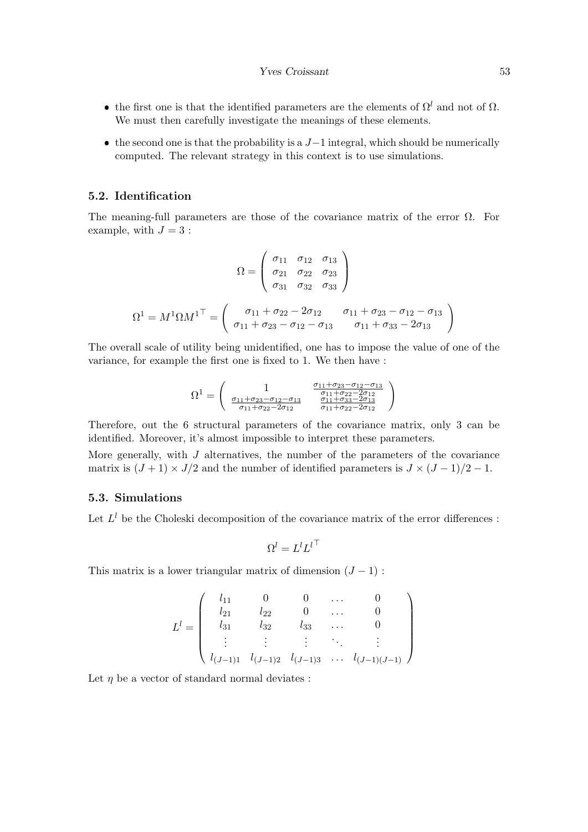#### Yves Croissant 53

- the first one is that the identified parameters are the elements of  $\Omega^l$  and not of  $\Omega$ . We must then carefully investigate the meanings of these elements.
- the second one is that the probability is a  $J-1$  integral, which should be numerically computed. The relevant strategy in this context is to use simulations.

#### 5.2. Identification

The meaning-full parameters are those of the covariance matrix of the error  $\Omega$ . For example, with  $J = 3$ :

$$
\Omega = \begin{pmatrix}\n\sigma_{11} & \sigma_{12} & \sigma_{13} \\
\sigma_{21} & \sigma_{22} & \sigma_{23} \\
\sigma_{31} & \sigma_{32} & \sigma_{33}\n\end{pmatrix}
$$
\n
$$
\Omega^1 = M^1 \Omega M^{1\top} = \begin{pmatrix}\n\sigma_{11} + \sigma_{22} - 2\sigma_{12} & \sigma_{11} + \sigma_{23} - \sigma_{12} - \sigma_{13} \\
\sigma_{11} + \sigma_{23} - \sigma_{12} - \sigma_{13} & \sigma_{11} + \sigma_{33} - 2\sigma_{13}\n\end{pmatrix}
$$

The overall scale of utility being unidentified, one has to impose the value of one of the variance, for example the first one is fixed to 1. We then have :

$$
\Omega^{1} = \begin{pmatrix} 1 & \frac{\sigma_{11} + \sigma_{23} - \sigma_{12} - \sigma_{13}}{\sigma_{11} + \sigma_{22} - 2\sigma_{12}} \\ \frac{\sigma_{11} + \sigma_{23} - \sigma_{12} - \sigma_{13}}{\sigma_{11} + \sigma_{22} - 2\sigma_{12}} & \frac{\sigma_{11} + \sigma_{33} - 2\sigma_{13}}{\sigma_{11} + \sigma_{22} - 2\sigma_{12}} \end{pmatrix}
$$

Therefore, out the 6 structural parameters of the covariance matrix, only 3 can be identified. Moreover, it's almost impossible to interpret these parameters.

More generally, with  $J$  alternatives, the number of the parameters of the covariance matrix is  $(J + 1) \times J/2$  and the number of identified parameters is  $J \times (J - 1)/2 - 1$ .

## 5.3. Simulations

Let  $L^l$  be the Choleski decomposition of the covariance matrix of the error differences :

$$
\Omega^l = L^l L^{l\top}
$$

This matrix is a lower triangular matrix of dimension  $(J - 1)$ :

$$
L^{l} = \begin{pmatrix} l_{11} & 0 & 0 & \dots & 0 \\ l_{21} & l_{22} & 0 & \dots & 0 \\ l_{31} & l_{32} & l_{33} & \dots & 0 \\ \vdots & \vdots & \vdots & \ddots & \vdots \\ l_{(J-1)1} & l_{(J-1)2} & l_{(J-1)3} & \dots & l_{(J-1)(J-1)} \end{pmatrix}
$$

Let  $\eta$  be a vector of standard normal deviates :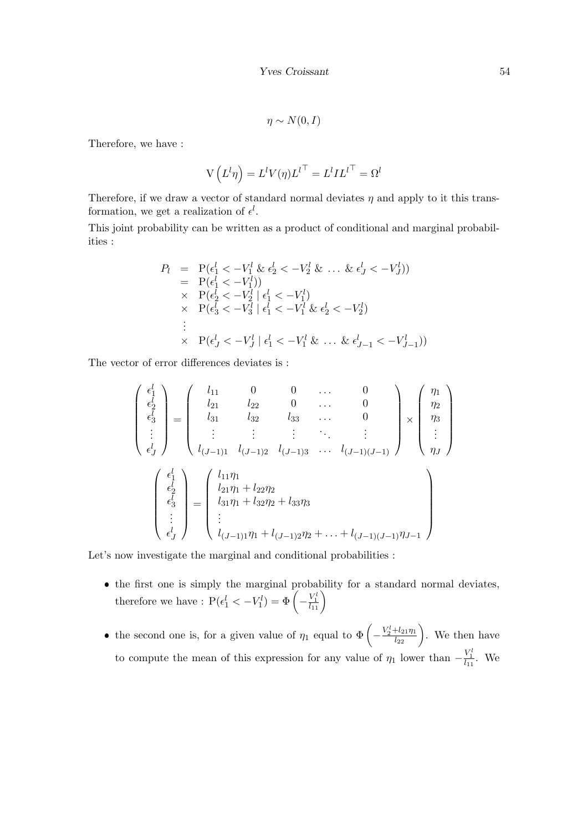$$
\eta \sim N(0, I)
$$

Therefore, we have :

$$
V(L^{l}\eta) = L^{l}V(\eta)L^{l} = L^{l}IL^{l} = \Omega^{l}
$$

Therefore, if we draw a vector of standard normal deviates  $\eta$  and apply to it this transformation, we get a realization of  $\epsilon^l$ .

This joint probability can be written as a product of conditional and marginal probabilities :

$$
P_{l} = P(\epsilon_{1}^{l} < -V_{1}^{l} \& \epsilon_{2}^{l} < -V_{2}^{l} \& \dots \& \epsilon_{J}^{l} < -V_{J}^{l}))
$$
  
\n
$$
= P(\epsilon_{1}^{l} < -V_{1}^{l}))
$$
  
\n
$$
\times P(\epsilon_{2}^{l} < -V_{2}^{l} | \epsilon_{1}^{l} < -V_{1}^{l})
$$
  
\n
$$
\times P(\epsilon_{3}^{l} < -V_{3}^{l} | \epsilon_{1}^{l} < -V_{1}^{l} \& \epsilon_{2}^{l} < -V_{2}^{l})
$$
  
\n
$$
\vdots
$$
  
\n
$$
\times P(\epsilon_{J}^{l} < -V_{J}^{l} | \epsilon_{1}^{l} < -V_{1}^{l} \& \dots \& \epsilon_{J-1}^{l} < -V_{J-1}^{l}))
$$

The vector of error differences deviates is :

$$
\begin{pmatrix}\n\epsilon_1^l \\
\epsilon_2^l \\
\epsilon_3^l \\
\vdots \\
\epsilon_J^l\n\end{pmatrix} = \begin{pmatrix}\nl_{11} & 0 & 0 & \dots & 0 \\
l_{21} & l_{22} & 0 & \dots & 0 \\
l_{31} & l_{32} & l_{33} & \dots & 0 \\
\vdots & \vdots & \vdots & \ddots & \vdots \\
l_{(J-1)1} & l_{(J-1)2} & l_{(J-1)3} & \dots & l_{(J-1)(J-1)}\n\end{pmatrix} \times \begin{pmatrix}\n\eta_1 \\
\eta_2 \\
\eta_3 \\
\vdots \\
\eta_J\n\end{pmatrix}
$$
\n
$$
\begin{pmatrix}\n\epsilon_1^l \\
\epsilon_2^l \\
\epsilon_3^l \\
\vdots \\
\epsilon_J^l\n\end{pmatrix} = \begin{pmatrix}\nl_{11}\eta_1 \\
l_{21}\eta_1 + l_{22}\eta_2 \\
l_{31}\eta_1 + l_{32}\eta_2 + l_{33}\eta_3 \\
\vdots \\
l_{(J-1)1}\eta_1 + l_{(J-1)2}\eta_2 + \dots + l_{(J-1)(J-1)}\eta_{J-1}\n\end{pmatrix}
$$

Let's now investigate the marginal and conditional probabilities :

- the first one is simply the marginal probability for a standard normal deviates, therefore we have :  $P(\epsilon_1^l < -V_1^l) = \Phi\left(-\frac{V_1^l}{l_{11}}\right)$
- the second one is, for a given value of  $\eta_1$  equal to  $\Phi\left(-\frac{V_2^l+l_{21}\eta_1}{l_{22}}\right)$ . We then have to compute the mean of this expression for any value of  $\eta_1$  lower than  $-\frac{V_1^1}{l_{11}}$ . We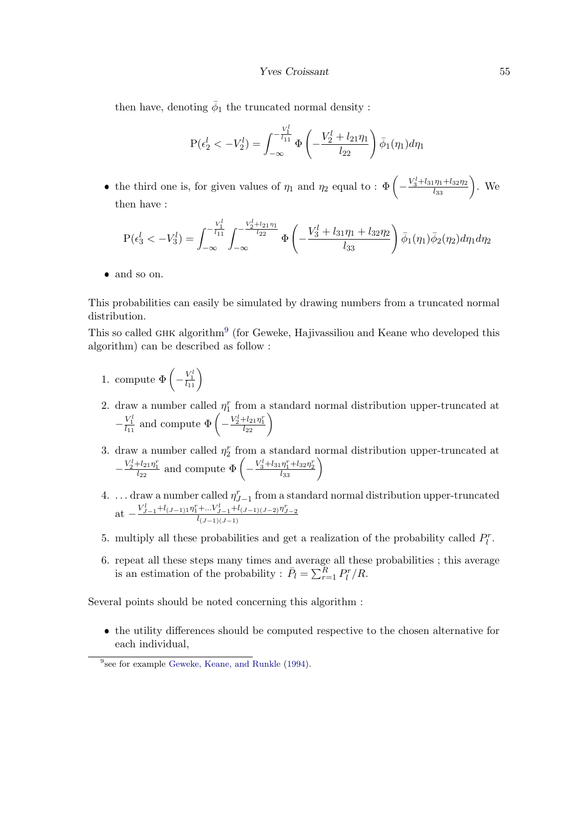#### Yves Croissant 55

then have, denoting  $\bar{\phi}_1$  the truncated normal density :

$$
P(\epsilon_2^l < -V_2^l) = \int_{-\infty}^{-\frac{V_1^l}{l_{11}}} \Phi\left(-\frac{V_2^l + l_{21}\eta_1}{l_{22}}\right) \bar{\phi}_1(\eta_1) d\eta_1
$$

• the third one is, for given values of  $\eta_1$  and  $\eta_2$  equal to :  $\Phi\left(-\frac{V_3^l+l_{31}\eta_1+l_{32}\eta_2}{l_{33}}\right)$ . We then have :

$$
P(\epsilon_3^l < -V_3^l) = \int_{-\infty}^{-\frac{V_1^l}{l_{11}}} \int_{-\infty}^{-\frac{V_2^l + l_{21}\eta_1}{l_{22}}} \Phi\left(-\frac{V_3^l + l_{31}\eta_1 + l_{32}\eta_2}{l_{33}}\right) \bar{\phi}_1(\eta_1) \bar{\phi}_2(\eta_2) d\eta_1 d\eta_2
$$

and so on.

This probabilities can easily be simulated by drawing numbers from a truncated normal distribution.

This so called GHK algorithm<sup>[9](#page-54-0)</sup> (for Geweke, Hajivassiliou and Keane who developed this algorithm) can be described as follow :

- 1. compute  $\Phi\left(-\frac{V_1^l}{l_{11}}\right)$
- 2. draw a number called  $\eta_1^r$  from a standard normal distribution upper-truncated at  $-\frac{V_1^l}{l_{11}}$  and compute  $\Phi\left(-\frac{V_2^l+l_{21}\eta_1^r}{l_{22}}\right)$
- 3. draw a number called  $\eta_2^r$  from a standard normal distribution upper-truncated at  $-\frac{V_2^l + l_{21}\eta_1^r}{l_{22}}$  and compute  $\Phi\left(-\frac{V_3^l + l_{31}\eta_1^r + l_{32}\eta_2^r}{l_{33}}\right)$
- 4. ... draw a number called  $\eta_{J-1}^r$  from a standard normal distribution upper-truncated at  $-\frac{V_{J-1}^l + l_{(J-1)1} \eta_1^r + \dots V_{J-1}^l + l_{(J-1)(J-2)} \eta_{J-2}^r}{l_{(J-1)(J-1)}}$
- 5. multiply all these probabilities and get a realization of the probability called  $P_l^r$ .
- 6. repeat all these steps many times and average all these probabilities ; this average is an estimation of the probability :  $\bar{P}_l = \sum_{r=1}^R P_l^r / R$ .

Several points should be noted concerning this algorithm :

 the utility differences should be computed respective to the chosen alternative for each individual,

<span id="page-54-0"></span><sup>&</sup>lt;sup>9</sup>see for example [Geweke, Keane, and Runkle](#page-68-3) [\(1994\)](#page-68-3).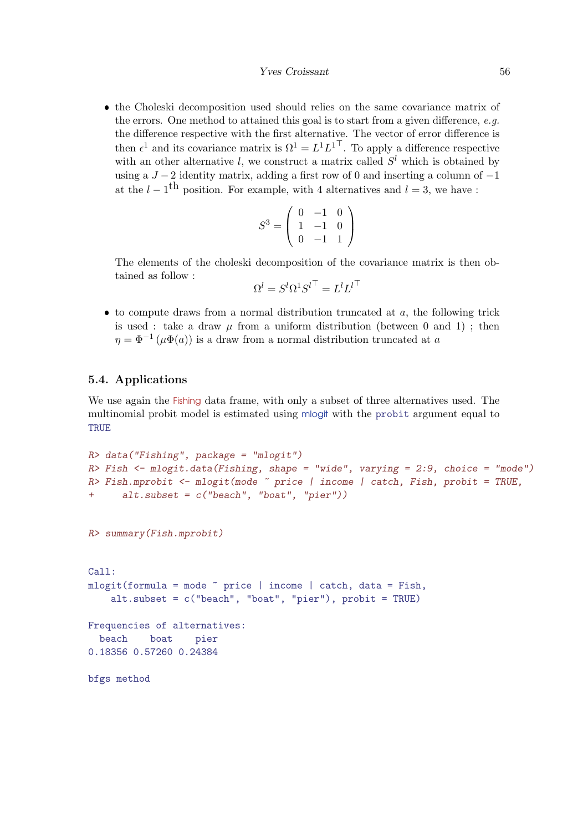<span id="page-55-0"></span> the Choleski decomposition used should relies on the same covariance matrix of the errors. One method to attained this goal is to start from a given difference, e.g. the difference respective with the first alternative. The vector of error difference is then  $\epsilon^1$  and its covariance matrix is  $\Omega^1 = L^1 L^{1\top}$ . To apply a difference respective with an other alternative l, we construct a matrix called  $S<sup>l</sup>$  which is obtained by using a  $J-2$  identity matrix, adding a first row of 0 and inserting a column of  $-1$ at the  $l - 1$ <sup>th</sup> position. For example, with 4 alternatives and  $l = 3$ , we have :

$$
S^3 = \left(\begin{array}{rrr} 0 & -1 & 0 \\ 1 & -1 & 0 \\ 0 & -1 & 1 \end{array}\right)
$$

The elements of the choleski decomposition of the covariance matrix is then obtained as follow :

$$
\Omega^l={S^l}{\Omega^1}{S^l}^\top={L^l}{L^l}^\top
$$

 $\bullet$  to compute draws from a normal distribution truncated at  $a$ , the following trick is used : take a draw  $\mu$  from a uniform distribution (between 0 and 1); then  $\eta = \Phi^{-1}(\mu \Phi(a))$  is a draw from a normal distribution truncated at a

#### 5.4. Applications

We use again the Fishing data frame, with only a subset of three alternatives used. The multinomial probit model is estimated using mlogit with the probit argument equal to **TRUE** 

```
R> data("Fishing", package = "mlogit")
R> Fish \leq mlogit.data(Fishing, shape = "wide", varying = 2:9, choice = "mode")
R> Fish.mprobit <- mlogit(mode ~ price | income | catch, Fish, probit = TRUE,
+ alt.subset = c("beach", "boat", "pier"))
R> summary(Fish.mprobit)
Call:
mlogit(formula = mode \text{" price } | income | catch, data = Fish,alt.subset = c("beach", "boat", "pier"), probit = TRUE)Frequencies of alternatives:
 beach boat pier
0.18356 0.57260 0.24384
bfgs method
```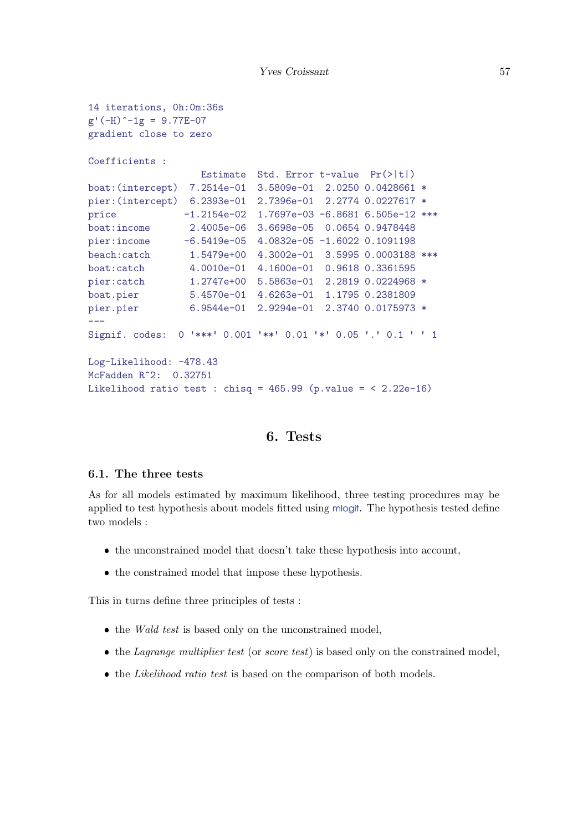```
14 iterations, 0h:0m:36s
g'(-H)^{-1}g = 9.77E-07gradient close to zero
Coefficients :
                  Estimate Std. Error t-value Pr(>|t|)
boat:(intercept) 7.2514e-01 3.5809e-01 2.0250 0.0428661 *
pier:(intercept) 6.2393e-01 2.7396e-01 2.2774 0.0227617 *
price -1.2154e-02 1.7697e-03 -6.8681 6.505e-12 ***
boat:income 2.4005e-06 3.6698e-05 0.0654 0.9478448
pier:income -6.5419e-05 4.0832e-05 -1.6022 0.1091198
beach:catch 1.5479e+00 4.3002e-01 3.5995 0.0003188 ***
boat:catch 4.0010e-01 4.1600e-01 0.9618 0.3361595
pier:catch 1.2747e+00 5.5863e-01 2.2819 0.0224968 *
boat.pier 5.4570e-01 4.6263e-01 1.1795 0.2381809
pier.pier 6.9544e-01 2.9294e-01 2.3740 0.0175973 *
---
Signif. codes: 0 '***' 0.001 '**' 0.01 '*' 0.05 '.' 0.1 ' ' 1
Log-Likelihood: -478.43
McFadden R^2: 0.32751
Likelihood ratio test : chisq = 465.99 (p.value = \langle 2.22e-16 \rangle
```
## 6. Tests

## 6.1. The three tests

As for all models estimated by maximum likelihood, three testing procedures may be applied to test hypothesis about models fitted using mlogit. The hypothesis tested define two models :

- $\bullet$  the unconstrained model that doesn't take these hypothesis into account,
- the constrained model that impose these hypothesis.

This in turns define three principles of tests :

- $\bullet$  the Wald test is based only on the unconstrained model,
- $\bullet$  the *Lagrange multiplier test* (or *score test*) is based only on the constrained model,
- $\bullet$  the *Likelihood ratio test* is based on the comparison of both models.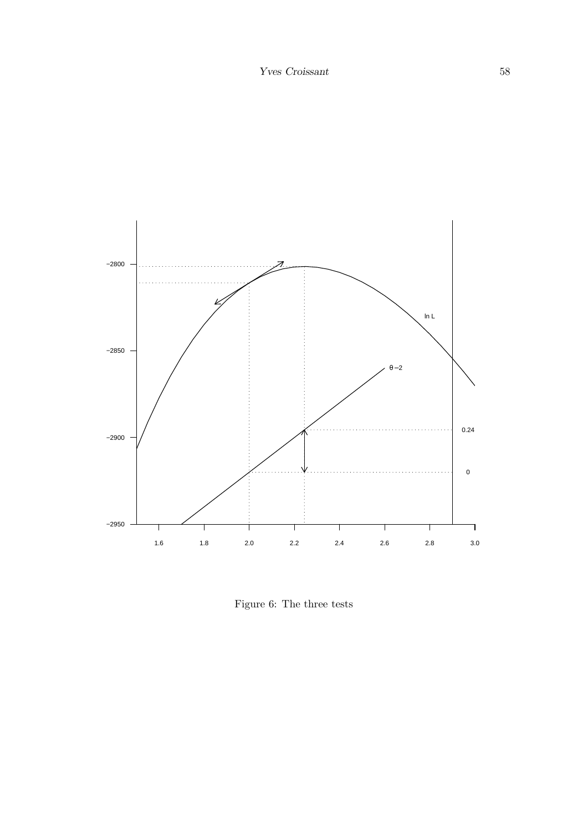

<span id="page-57-0"></span>Figure 6: The three tests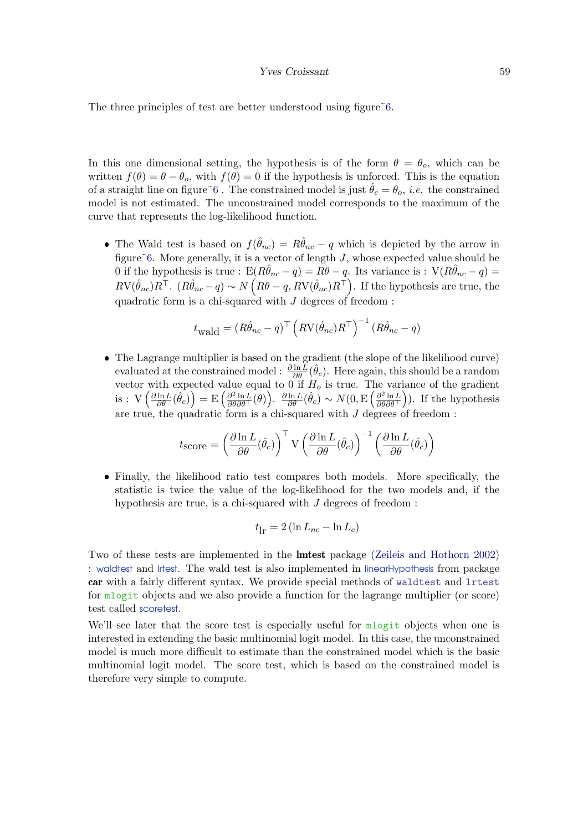#### Yves Croissant 59

<span id="page-58-0"></span>The three principles of test are better understood using figure  $\tilde{6}$ .

In this one dimensional setting, the hypothesis is of the form  $\theta = \theta_o$ , which can be written  $f(\theta) = \theta - \theta_o$ , with  $f(\theta) = 0$  if the hypothesis is unforced. This is the equation of a straight line on figure  $\tilde{6}$ . The constrained model is just  $\hat{\theta}_c = \theta_o$ , *i.e.* the constrained model is not estimated. The unconstrained model corresponds to the maximum of the curve that represents the log-likelihood function.

• The Wald test is based on  $f(\hat{\theta}_{nc}) = R\hat{\theta}_{nc} - q$  which is depicted by the arrow in figure $\tilde{6}$ . More generally, it is a vector of length  $J$ , whose expected value should be 0 if the hypothesis is true : E $(R\hat{\theta}_{nc} - q) = R\theta - q$ . Its variance is : V $(R\hat{\theta}_{nc} - q) =$  $RV(\hat{\theta}_{nc})R^{\top}$ .  $(R\hat{\theta}_{nc} - q) \sim N(R\theta - q, RV(\hat{\theta}_{nc})R^{\top})$ . If the hypothesis are true, the quadratic form is a chi-squared with  $J$  degrees of freedom :

$$
t_{\text{wald}} = (R\hat{\theta}_{nc} - q)^{\top} (RV(\hat{\theta}_{nc})R^{\top})^{-1} (R\hat{\theta}_{nc} - q)
$$

 The Lagrange multiplier is based on the gradient (the slope of the likelihood curve) evaluated at the constrained model :  $\frac{\partial \ln \bar{L}}{\partial \theta}(\hat{\theta}_c)$ . Here again, this should be a random vector with expected value equal to  $0$  if  $H_0$  is true. The variance of the gradient is :  $V\left(\frac{\partial \ln L}{\partial \theta}(\hat{\theta}_c)\right) = E\left(\frac{\partial^2 \ln L}{\partial \theta \partial \theta^{\top}}(\theta)\right)$ .  $\frac{\partial \ln L}{\partial \theta}(\hat{\theta}_c) \sim N(0, E\left(\frac{\partial^2 \ln L}{\partial \theta \partial \theta^{\top}}\right)$ . If the hypothesis are true, the quadratic form is a chi-squared with  $J$  degrees of freedom :

$$
t_{\text{score}} = \left(\frac{\partial \ln L}{\partial \theta}(\hat{\theta}_c)\right)^{\top} \mathbf{V} \left(\frac{\partial \ln L}{\partial \theta}(\hat{\theta}_c)\right)^{-1} \left(\frac{\partial \ln L}{\partial \theta}(\hat{\theta}_c)\right)
$$

 Finally, the likelihood ratio test compares both models. More specifically, the statistic is twice the value of the log-likelihood for the two models and, if the hypothesis are true, is a chi-squared with  $J$  degrees of freedom :

$$
t_{\rm lr} = 2\left(\ln L_{nc} - \ln L_c\right)
$$

Two of these tests are implemented in the lmtest package [\(Zeileis and Hothorn](#page-69-1) [2002\)](#page-69-1) : waldtest and lrtest. The wald test is also implemented in linearHypothesis from package car with a fairly different syntax. We provide special methods of waldtest and lrtest for mlogit objects and we also provide a function for the lagrange multiplier (or score) test called scoretest.

We'll see later that the score test is especially useful for  $\mathbf{m}$  logit objects when one is interested in extending the basic multinomial logit model. In this case, the unconstrained model is much more difficult to estimate than the constrained model which is the basic multinomial logit model. The score test, which is based on the constrained model is therefore very simple to compute.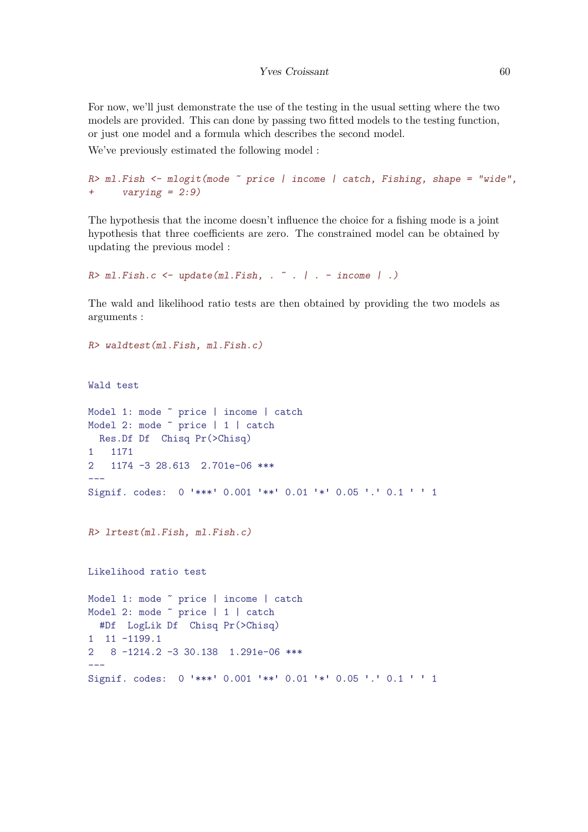For now, we'll just demonstrate the use of the testing in the usual setting where the two models are provided. This can done by passing two fitted models to the testing function, or just one model and a formula which describes the second model.

We've previously estimated the following model :

```
R> ml. Fish \leq mlogit(mode \leq price | income | catch, Fishing, shape = "wide",
+ varying = 2:9)
```
The hypothesis that the income doesn't influence the choice for a fishing mode is a joint hypothesis that three coefficients are zero. The constrained model can be obtained by updating the previous model :

```
R> ml. Fish.c <- update(ml. Fish, . \tilde{ } . | . - income | .)
```
The wald and likelihood ratio tests are then obtained by providing the two models as arguments :

```
R> waldtest(ml.Fish, ml.Fish.c)
```

```
Wald test
```

```
Model 1: mode ~ price | income | catch
Model 2: mode ~ price | 1 | catch
 Res.Df Df Chisq Pr(>Chisq)
1 1171
2 1174 -3 28.613 2.701e-06 ***
---
Signif. codes: 0 '***' 0.001 '**' 0.01 '*' 0.05 '.' 0.1 ' ' 1
R> lrtest(ml.Fish, ml.Fish.c)
Likelihood ratio test
Model 1: mode ~ price | income | catch
Model 2: mode ~ price | 1 | catch
 #Df LogLik Df Chisq Pr(>Chisq)
1 11 -1199.1
2 8 -1214.2 -3 30.138 1.291e-06 ***
---
Signif. codes: 0 '***' 0.001 '**' 0.01 '*' 0.05 '.' 0.1 ' ' 1
```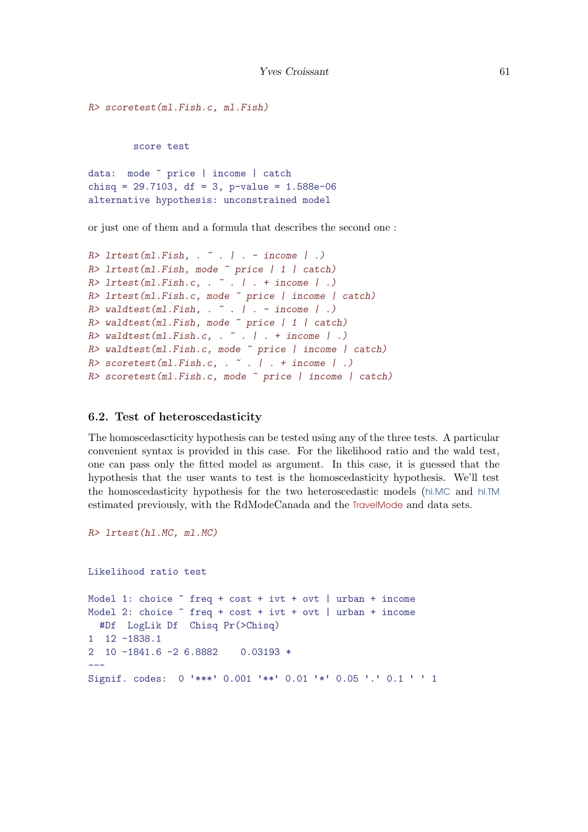```
R> scoretest(ml.Fish.c, ml.Fish)
        score test
data: mode ~ price | income | catch
chisq = 29.7103, df = 3, p-value = 1.588e-06alternative hypothesis: unconstrained model
```
or just one of them and a formula that describes the second one :

```
R> lrtest(ml.Fish, . ~ . | . - income | .)
R> lrtest(ml.Fish, mode ~ price | 1 | catch)
R > lrtest(ml.Fish.c, . \tilde{ } . | . + income | .)
R> lrtest(ml.Fish.c, mode ~ price | income | catch)
R valdtest(ml.Fish, . \tilde{ } . | . - income | .)
R> waldtest(ml.Fish, mode ~ price | 1 | catch)
R> waldtest(ml.Fish.c, . \tilde{ } . | . + income | .)
R> waldtest(ml.Fish.c, mode ~ price | income | catch)
R > scoretest(ml.Fish.c, . \tilde{ } . | . + income | .)
R> scoretest(ml.Fish.c, mode ~ price | income | catch)
```
## 6.2. Test of heteroscedasticity

The homoscedascticity hypothesis can be tested using any of the three tests. A particular convenient syntax is provided in this case. For the likelihood ratio and the wald test, one can pass only the fitted model as argument. In this case, it is guessed that the hypothesis that the user wants to test is the homoscedasticity hypothesis. We'll test the homoscedasticity hypothesis for the two heteroscedastic models (hl.MC and hl.TM estimated previously, with the RdModeCanada and the TravelMode and data sets.

```
R> lrtest(hl.MC, ml.MC)
```
Likelihood ratio test

```
Model 1: choice ~ freq + cost + ivt + ovt | urban + income
Model 2: choice \tilde{ } freq + cost + ivt + ovt | urban + income
  #Df LogLik Df Chisq Pr(>Chisq)
1 12 -1838.1
2 10 -1841.6 -2 6.8882 0.03193 *
---
Signif. codes: 0 '***' 0.001 '**' 0.01 '*' 0.05 '.' 0.1 ' ' 1
```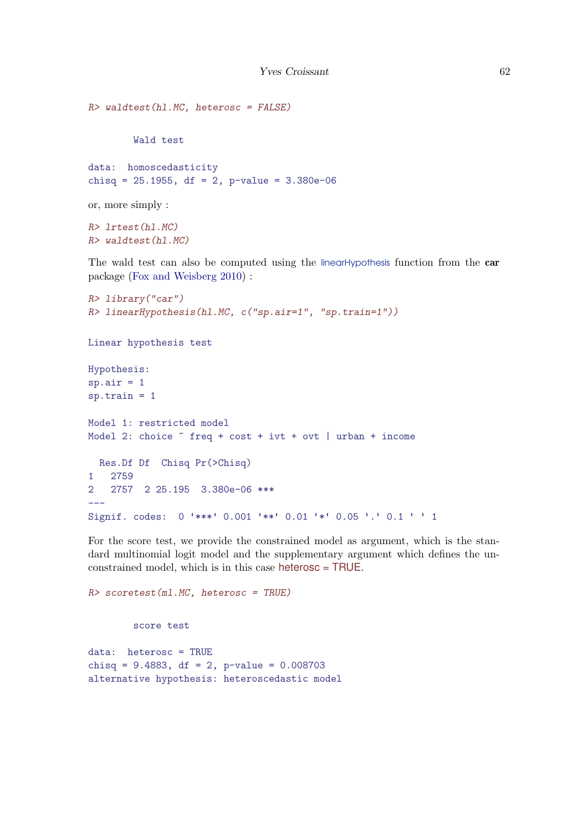```
R> waldtest(hl.MC, heterosc = FALSE)
        Wald test
data: homoscedasticity
chisq = 25.1955, df = 2, p-value = 3.380e-06or, more simply :
```
R> lrtest(hl.MC) R> waldtest(hl.MC)

The wald test can also be computed using the linearHypothesis function from the car package [\(Fox and Weisberg](#page-68-4) [2010\)](#page-68-4) :

```
R> library("car")
R> linearHypothesis(hl.MC, c("sp.air=1", "sp.train=1"))
Linear hypothesis test
Hypothesis:
sp.air = 1sp.train = 1Model 1: restricted model
Model 2: choice ~ freq + cost + ivt + ovt | urban + income
 Res.Df Df Chisq Pr(>Chisq)
1 2759
2 2757 2 25.195 3.380e-06 ***
-Signif. codes: 0 '***' 0.001 '**' 0.01 '*' 0.05 '.' 0.1 ' ' 1
```
For the score test, we provide the constrained model as argument, which is the standard multinomial logit model and the supplementary argument which defines the unconstrained model, which is in this case heterosc = TRUE.

R> scoretest(ml.MC, heterosc = TRUE)

score test

data: heterosc = TRUE chisq = 9.4883, df = 2, p-value = 0.008703 alternative hypothesis: heteroscedastic model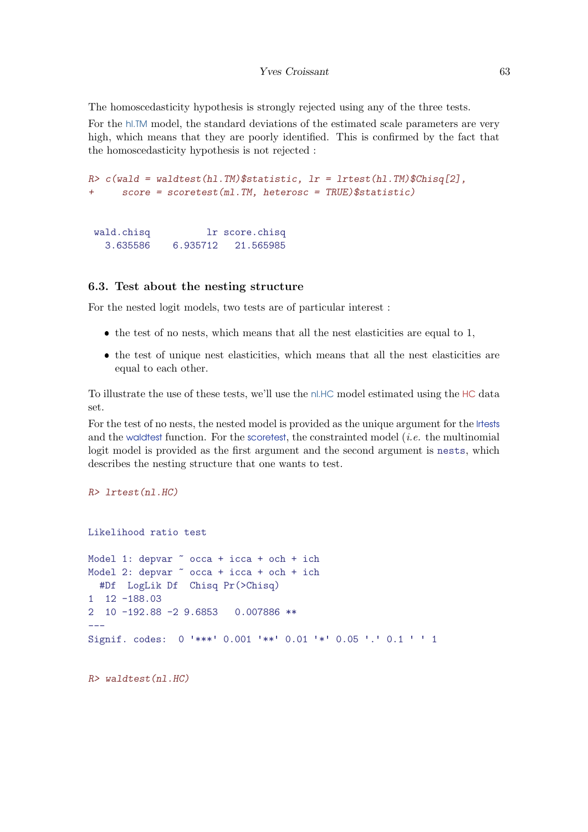<span id="page-62-0"></span>The homoscedasticity hypothesis is strongly rejected using any of the three tests.

For the hl.TM model, the standard deviations of the estimated scale parameters are very high, which means that they are poorly identified. This is confirmed by the fact that the homoscedasticity hypothesis is not rejected :

```
R> c(wald = waldtest(hl.TM)$statistic, lr = lrtest(hl.TM)$Chisq[2],
+ score = scoretest(ml.TM, heterosc = TRUE)$statistic)
```
wald.chisq lr score.chisq 3.635586 6.935712 21.565985

### 6.3. Test about the nesting structure

For the nested logit models, two tests are of particular interest :

- $\bullet$  the test of no nests, which means that all the nest elasticities are equal to 1,
- the test of unique nest elasticities, which means that all the nest elasticities are equal to each other.

To illustrate the use of these tests, we'll use the nl.HC model estimated using the HC data set.

For the test of no nests, the nested model is provided as the unique argument for the lrtests and the waldtest function. For the scoretest, the constrainted model  $(i.e.$  the multinomial logit model is provided as the first argument and the second argument is nests, which describes the nesting structure that one wants to test.

R> lrtest(nl.HC)

```
Likelihood ratio test
Model 1: depvar \degree occa + icca + och + ich
Model 2: depvar \degree occa + icca + och + ich
  #Df LogLik Df Chisq Pr(>Chisq)
1 12 -188.03
2 10 -192.88 -2 9.6853 0.007886 **
---
Signif. codes: 0 '***' 0.001 '**' 0.01 '*' 0.05 '.' 0.1 ' ' 1
```
R> waldtest(nl.HC)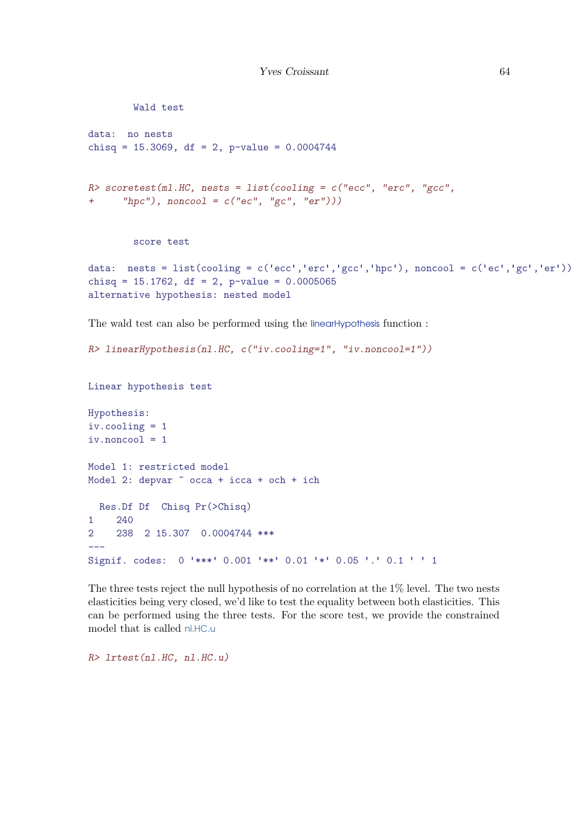```
Wald test
data: no nests
chisq = 15.3069, df = 2, p-value = 0.0004744R> scoretest(ml.HC, nests = list(cooling = c("ecc", "erc", "gcc",
+ "hpc"), noncool = c("ec", "gc", "er")))
       score test
data: nests = list(cooling = c('ecc','erc','gcc','hpc'), noncool = c('ec','gc','er'))
chisq = 15.1762, df = 2, p-value = 0.0005065alternative hypothesis: nested model
```
The wald test can also be performed using the linearHypothesis function :

R> linearHypothesis(nl.HC, c("iv.cooling=1", "iv.noncool=1"))

Linear hypothesis test

Hypothesis: iv.cooling = 1  $iv.noncool = 1$ Model 1: restricted model Model 2: depvar  $\degree$  occa + icca + och + ich Res.Df Df Chisq Pr(>Chisq) 1 240 2 238 2 15.307 0.0004744 \*\*\*  $---$ Signif. codes: 0 '\*\*\*' 0.001 '\*\*' 0.01 '\*' 0.05 '.' 0.1 ' ' <sup>1</sup>

The three tests reject the null hypothesis of no correlation at the 1% level. The two nests elasticities being very closed, we'd like to test the equality between both elasticities. This can be performed using the three tests. For the score test, we provide the constrained model that is called nl.HC.u

R> lrtest(nl.HC, nl.HC.u)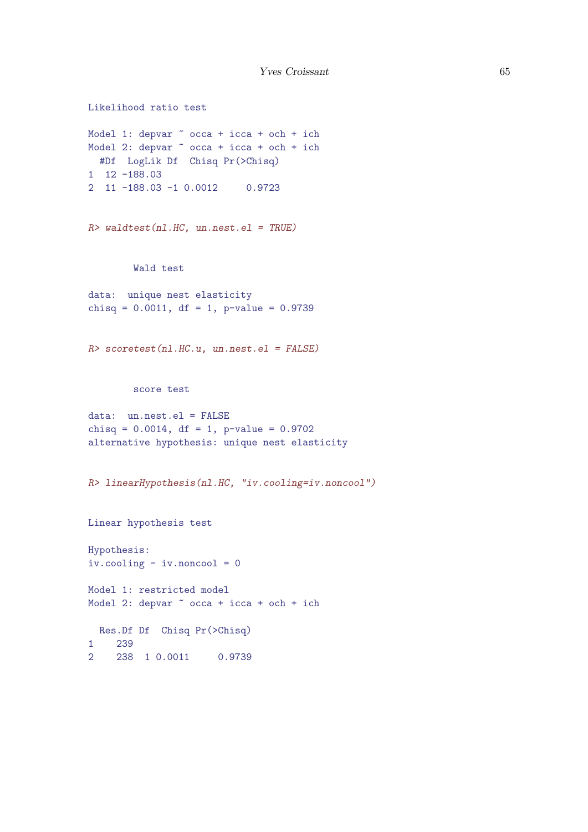```
Likelihood ratio test
Model 1: depvar \degree occa + icca + och + ich
Model 2: depvar \tilde{ } occa + icca + och + ich
 #Df LogLik Df Chisq Pr(>Chisq)
1 12 -188.03
2 11 -188.03 -1 0.0012 0.9723
R> waldtest(nl.HC, un.nest.el = TRUE)
        Wald test
data: unique nest elasticity
chisq = 0.0011, df = 1, p-value = 0.9739R> scoretest(nl.HC.u, un.nest.el = FALSE)
        score test
data: un.nest.el = FALSE
chisq = 0.0014, df = 1, p-value = 0.9702
alternative hypothesis: unique nest elasticity
R> linearHypothesis(nl.HC, "iv.cooling=iv.noncool")
Linear hypothesis test
Hypothesis:
iv.cooling - iv.noncool = 0
Model 1: restricted model
Model 2: depvar \degree occa + icca + och + ich
 Res.Df Df Chisq Pr(>Chisq)
1 239
2 238 1 0.0011 0.9739
```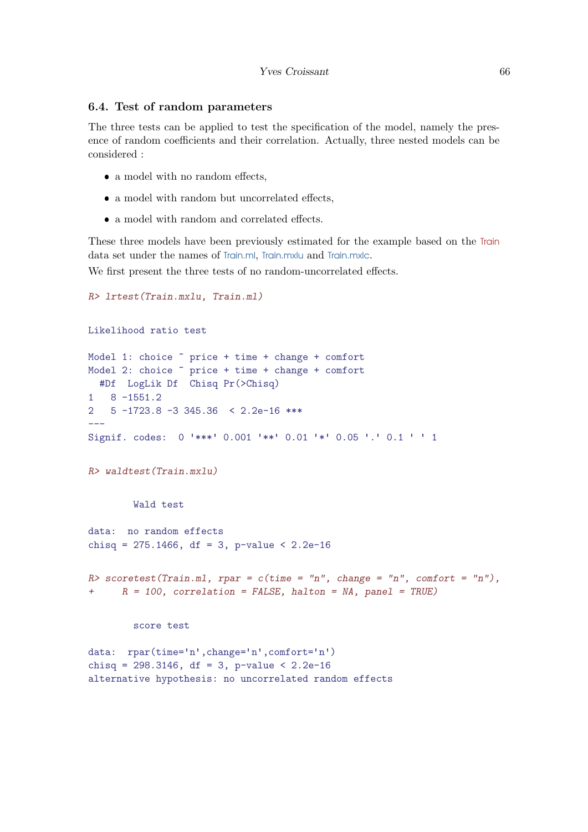### <span id="page-65-0"></span>6.4. Test of random parameters

The three tests can be applied to test the specification of the model, namely the presence of random coefficients and their correlation. Actually, three nested models can be considered :

- a model with no random effects,
- $\bullet\,$  a model with random but uncorrelated effects,
- a model with random and correlated effects.

These three models have been previously estimated for the example based on the Train data set under the names of Train.ml, Train.mxlu and Train.mxlc.

We first present the three tests of no random-uncorrelated effects.

```
R> lrtest(Train.mxlu, Train.ml)
Likelihood ratio test
Model 1: choice ~ price + time + change + comfort
Model 2: choice ~ price + time + change + comfort
 #Df LogLik Df Chisq Pr(>Chisq)
1 8 -1551.2
2 5 -1723.8 -3 345.36 < 2.2e-16 ***
---
Signif. codes: 0 '***' 0.001 '**' 0.01 '*' 0.05 '.' 0.1 ' ' 1
R> waldtest(Train.mxlu)
       Wald test
data: no random effects
chisq = 275.1466, df = 3, p-value < 2.2e-16
R> scoretest(Train.ml, rpar = c(time = "n", change = "n", comfort = "n"),
+ R = 100, correlation = FALSE, halton = NA, panel = TRUE)
        score test
data: rpar(time='n',change='n',comfort='n')
chisq = 298.3146, df = 3, p-value < 2.2e-16alternative hypothesis: no uncorrelated random effects
```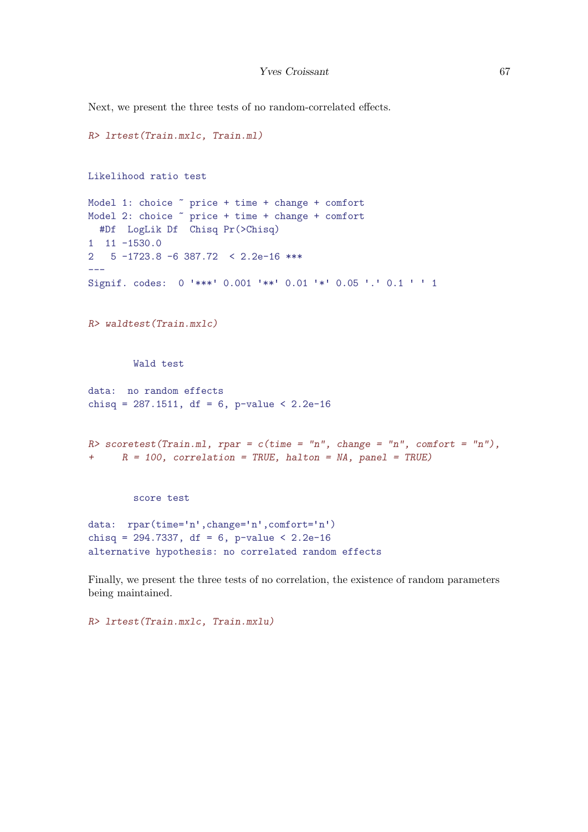Next, we present the three tests of no random-correlated effects.

```
R> lrtest(Train.mxlc, Train.ml)
Likelihood ratio test
Model 1: choice ~ price + time + change + comfort
Model 2: choice \sim price + time + change + comfort
 #Df LogLik Df Chisq Pr(>Chisq)
1 11 -1530.0
2 5 -1723.8 -6 387.72 < 2.2e-16 ***
---
Signif. codes: 0 '***' 0.001 '**' 0.01 '*' 0.05 '.' 0.1 ' ' 1
R> waldtest(Train.mxlc)
        Wald test
data: no random effects
chisq = 287.1511, df = 6, p-value < 2.2e-16
R> scoretest(Train.ml, rpar = c(time = "n", change = "n", comfort = "n"),
+ R = 100, correlation = TRUE, halton = NA, panel = TRUE)
        score test
data: rpar(time='n',change='n',comfort='n')
chisq = 294.7337, df = 6, p-value < 2.2e-16
alternative hypothesis: no correlated random effects
```
Finally, we present the three tests of no correlation, the existence of random parameters being maintained.

R> lrtest(Train.mxlc, Train.mxlu)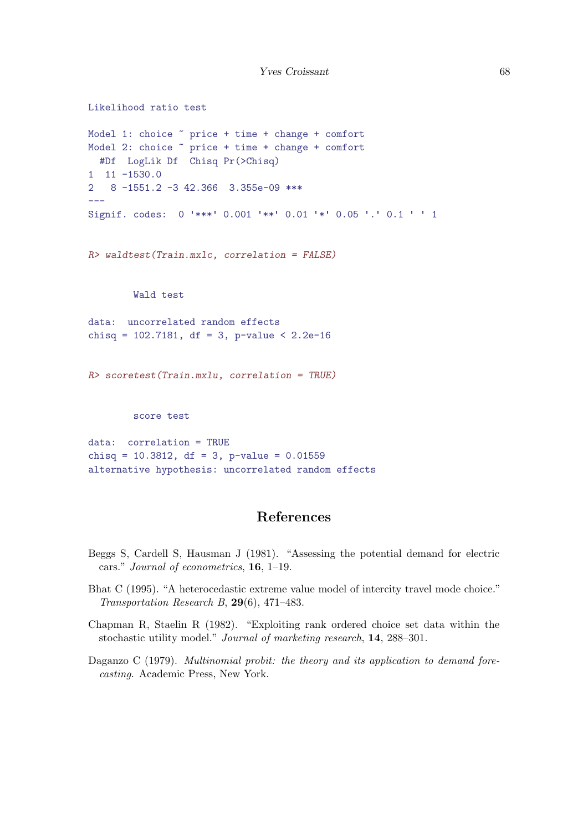```
Likelihood ratio test
Model 1: choice ~ price + time + change + comfort
Model 2: choice ~ price + time + change + comfort
  #Df LogLik Df Chisq Pr(>Chisq)
1 11 -1530.0
2 8 -1551.2 -3 42.366 3.355e-09 ***
---
Signif. codes: 0 '***' 0.001 '**' 0.01 '*' 0.05 '.' 0.1 ' ' 1
R> waldtest(Train.mxlc, correlation = FALSE)
        Wald test
data: uncorrelated random effects
chisq = 102.7181, df = 3, p-value < 2.2e-16R> scoretest(Train.mxlu, correlation = TRUE)
        score test
data: correlation = TRUE
chisq = 10.3812, df = 3, p-value = 0.01559
alternative hypothesis: uncorrelated random effects
```
## References

- Beggs S, Cardell S, Hausman J (1981). "Assessing the potential demand for electric cars." Journal of econometrics, 16, 1–19.
- <span id="page-67-0"></span>Bhat C (1995). "A heterocedastic extreme value model of intercity travel mode choice." Transportation Research B, 29(6), 471–483.
- Chapman R, Staelin R (1982). "Exploiting rank ordered choice set data within the stochastic utility model." Journal of marketing research, 14, 288–301.
- <span id="page-67-1"></span>Daganzo C (1979). Multinomial probit: the theory and its application to demand forecasting. Academic Press, New York.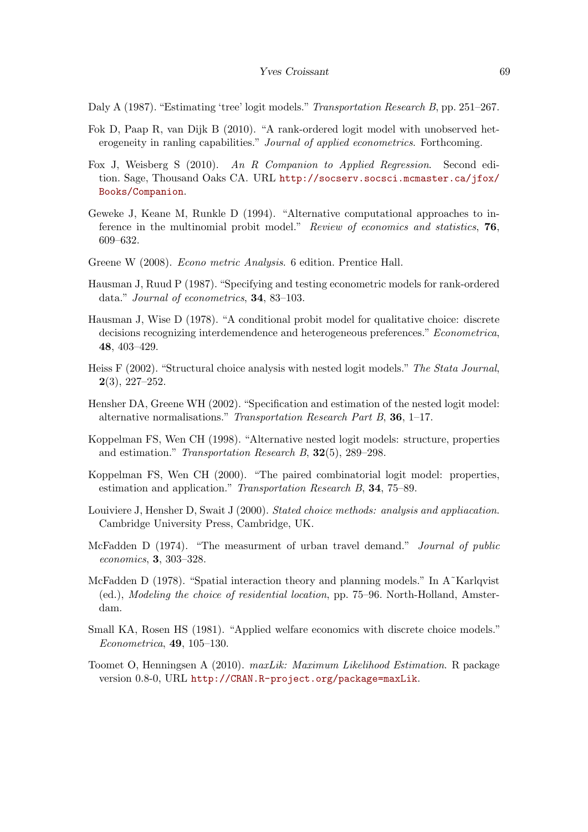Daly A (1987). "Estimating 'tree' logit models." Transportation Research B, pp. 251–267.

- Fok D, Paap R, van Dijk B (2010). "A rank-ordered logit model with unobserved heterogeneity in ranling capabilities." Journal of applied econometrics. Forthcoming.
- <span id="page-68-4"></span>Fox J, Weisberg S (2010). An R Companion to Applied Regression. Second edition. Sage, Thousand Oaks CA. URL [http://socserv.socsci.mcmaster.ca/jfox/](http://socserv.socsci.mcmaster.ca/jfox/Books/Companion) [Books/Companion](http://socserv.socsci.mcmaster.ca/jfox/Books/Companion).
- <span id="page-68-3"></span>Geweke J, Keane M, Runkle D (1994). "Alternative computational approaches to inference in the multinomial probit model." Review of economics and statistics, 76, 609–632.
- Greene W (2008). Econo metric Analysis. 6 edition. Prentice Hall.
- Hausman J, Ruud P (1987). "Specifying and testing econometric models for rank-ordered data." Journal of econometrics, 34, 83–103.
- <span id="page-68-2"></span>Hausman J, Wise D (1978). "A conditional probit model for qualitative choice: discrete decisions recognizing interdemendence and heterogeneous preferences." Econometrica, 48, 403–429.
- Heiss F (2002). "Structural choice analysis with nested logit models." The Stata Journal,  $2(3), 227-252.$
- Hensher DA, Greene WH (2002). "Specification and estimation of the nested logit model: alternative normalisations." Transportation Research Part B, 36, 1–17.
- Koppelman FS, Wen CH (1998). "Alternative nested logit models: structure, properties and estimation." Transportation Research B, 32(5), 289–298.
- <span id="page-68-1"></span>Koppelman FS, Wen CH (2000). "The paired combinatorial logit model: properties, estimation and application." Transportation Research B, 34, 75–89.
- Louiviere J, Hensher D, Swait J (2000). Stated choice methods: analysis and appliacation. Cambridge University Press, Cambridge, UK.
- McFadden D (1974). "The measurment of urban travel demand." Journal of public economics, 3, 303–328.
- <span id="page-68-0"></span>McFadden D (1978). "Spatial interaction theory and planning models." In A<sup> $\cdot$ </sup>Karlqvist (ed.), Modeling the choice of residential location, pp. 75–96. North-Holland, Amsterdam.
- Small KA, Rosen HS (1981). "Applied welfare economics with discrete choice models." Econometrica, 49, 105–130.
- Toomet O, Henningsen A (2010). maxLik: Maximum Likelihood Estimation. R package version 0.8-0, URL <http://CRAN.R-project.org/package=maxLik>.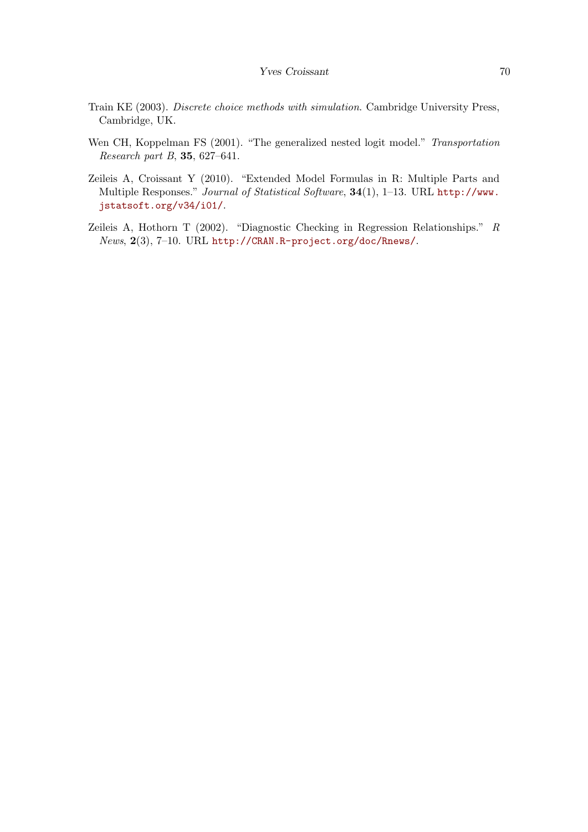- Train KE (2003). Discrete choice methods with simulation. Cambridge University Press, Cambridge, UK.
- <span id="page-69-0"></span>Wen CH, Koppelman FS (2001). "The generalized nested logit model." Transportation Research part B, 35, 627–641.
- Zeileis A, Croissant Y (2010). "Extended Model Formulas in R: Multiple Parts and Multiple Responses." Journal of Statistical Software, 34(1), 1–13. URL [http://www.](http://www.jstatsoft.org/v34/i01/) [jstatsoft.org/v34/i01/](http://www.jstatsoft.org/v34/i01/).
- <span id="page-69-1"></span>Zeileis A, Hothorn T (2002). "Diagnostic Checking in Regression Relationships." R News, 2(3), 7–10. URL <http://CRAN.R-project.org/doc/Rnews/>.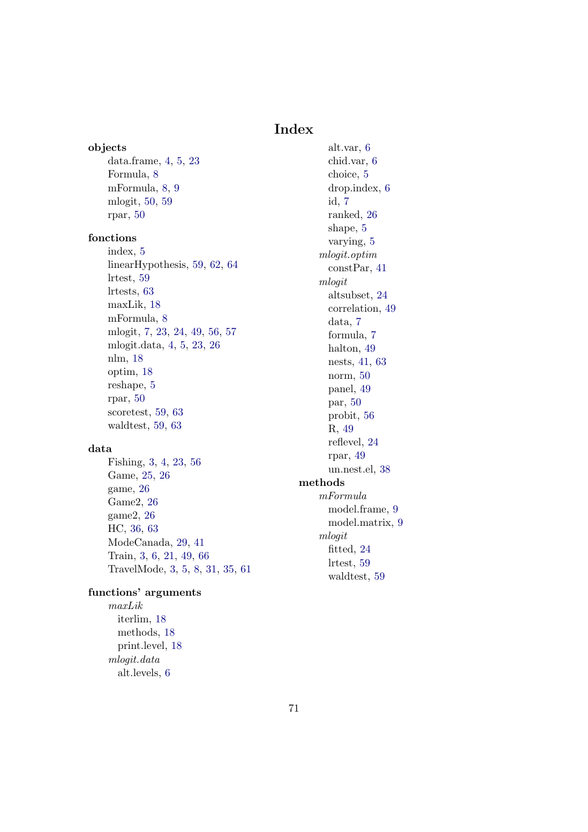## Index

objects data.frame, [4,](#page-3-0) [5,](#page-4-0) [23](#page-22-0) Formula, [8](#page-7-0) mFormula, [8,](#page-7-0) [9](#page-8-0) mlogit, [50,](#page-49-0) [59](#page-58-0) rpar, [50](#page-49-0)

## fonctions

index, [5](#page-4-0) linearHypothesis, [59,](#page-58-0) [62,](#page-61-0) [64](#page-63-0) lrtest, [59](#page-58-0) lrtests, [63](#page-62-0) maxLik, [18](#page-17-0) mFormula, [8](#page-7-0) mlogit, [7,](#page-6-0) [23,](#page-22-0) [24,](#page-23-0) [49,](#page-48-1) [56,](#page-55-0) [57](#page-56-0) mlogit.data, [4,](#page-3-0) [5,](#page-4-0) [23,](#page-22-0) [26](#page-25-0) nlm, [18](#page-17-0) optim, [18](#page-17-0) reshape, [5](#page-4-0) rpar, [50](#page-49-0) scoretest, [59,](#page-58-0) [63](#page-62-0) waldtest, [59,](#page-58-0) [63](#page-62-0)

## data

Fishing, [3,](#page-2-0) [4,](#page-3-0) [23,](#page-22-0) [56](#page-55-0) Game, [25,](#page-24-0) [26](#page-25-0) game, [26](#page-25-0) Game2, [26](#page-25-0) game2, [26](#page-25-0) HC, [36,](#page-35-0) [63](#page-62-0) ModeCanada, [29,](#page-28-0) [41](#page-40-0) Train, [3,](#page-2-0) [6,](#page-5-0) [21,](#page-20-0) [49,](#page-48-1) [66](#page-65-0) TravelMode, [3,](#page-2-0) [5,](#page-4-0) [8,](#page-7-0) [31,](#page-30-0) [35,](#page-34-0) [61](#page-60-0)

## functions' arguments

maxLik iterlim, [18](#page-17-0) methods, [18](#page-17-0) print.level, [18](#page-17-0) mlogit.data alt.levels, [6](#page-5-0)

alt.var, [6](#page-5-0) chid.var, [6](#page-5-0) choice, [5](#page-4-0) drop.index, [6](#page-5-0) id, [7](#page-6-0) ranked, [26](#page-25-0) shape, [5](#page-4-0) varying, [5](#page-4-0) mlogit.optim constPar, [41](#page-40-0) mlogit altsubset, [24](#page-23-0) correlation, [49](#page-48-1) data, [7](#page-6-0) formula, [7](#page-6-0) halton, [49](#page-48-1) nests, [41,](#page-40-0) [63](#page-62-0) norm, [50](#page-49-0) panel, [49](#page-48-1) par, [50](#page-49-0) probit, [56](#page-55-0) R, [49](#page-48-1) reflevel, [24](#page-23-0) rpar, [49](#page-48-1) un.nest.el, [38](#page-37-0) methods mFormula model.frame, [9](#page-8-0) model.matrix, [9](#page-8-0) mlogit fitted, [24](#page-23-0) lrtest, [59](#page-58-0) waldtest, [59](#page-58-0)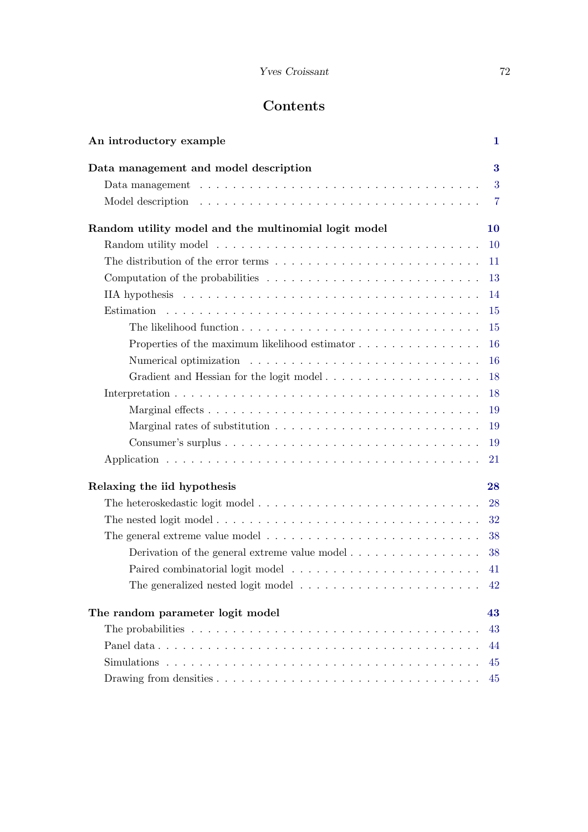## Yves Croissant 72

# Contents

| An introductory example                                                                                 | 1         |
|---------------------------------------------------------------------------------------------------------|-----------|
| Data management and model description                                                                   | 3         |
|                                                                                                         | 3         |
|                                                                                                         |           |
| Random utility model and the multinomial logit model                                                    | <b>10</b> |
|                                                                                                         | <b>10</b> |
|                                                                                                         |           |
| Computation of the probabilities $\ldots \ldots \ldots \ldots \ldots \ldots \ldots \ldots \ldots$ 13    |           |
|                                                                                                         | 14        |
|                                                                                                         | 15        |
|                                                                                                         | 15        |
| Properties of the maximum likelihood estimator                                                          | 16        |
|                                                                                                         | 16        |
|                                                                                                         | 18        |
|                                                                                                         | 18        |
|                                                                                                         | 19        |
|                                                                                                         | 19        |
|                                                                                                         | 19        |
|                                                                                                         | 21        |
| Relaxing the iid hypothesis                                                                             | 28        |
|                                                                                                         | 28        |
| The nested logit model                                                                                  | 32        |
|                                                                                                         | 38        |
| Derivation of the general extreme value model $\dots \dots \dots \dots \dots$                           | 38        |
|                                                                                                         |           |
| The generalized nested logit model $\dots \dots \dots \dots \dots \dots \dots \dots$                    | 42        |
| The random parameter logit model                                                                        | 43        |
| The probabilities $\ldots \ldots \ldots \ldots \ldots \ldots \ldots \ldots \ldots \ldots \ldots \ldots$ | 43        |
|                                                                                                         | 44        |
|                                                                                                         | 45        |
|                                                                                                         | 45        |